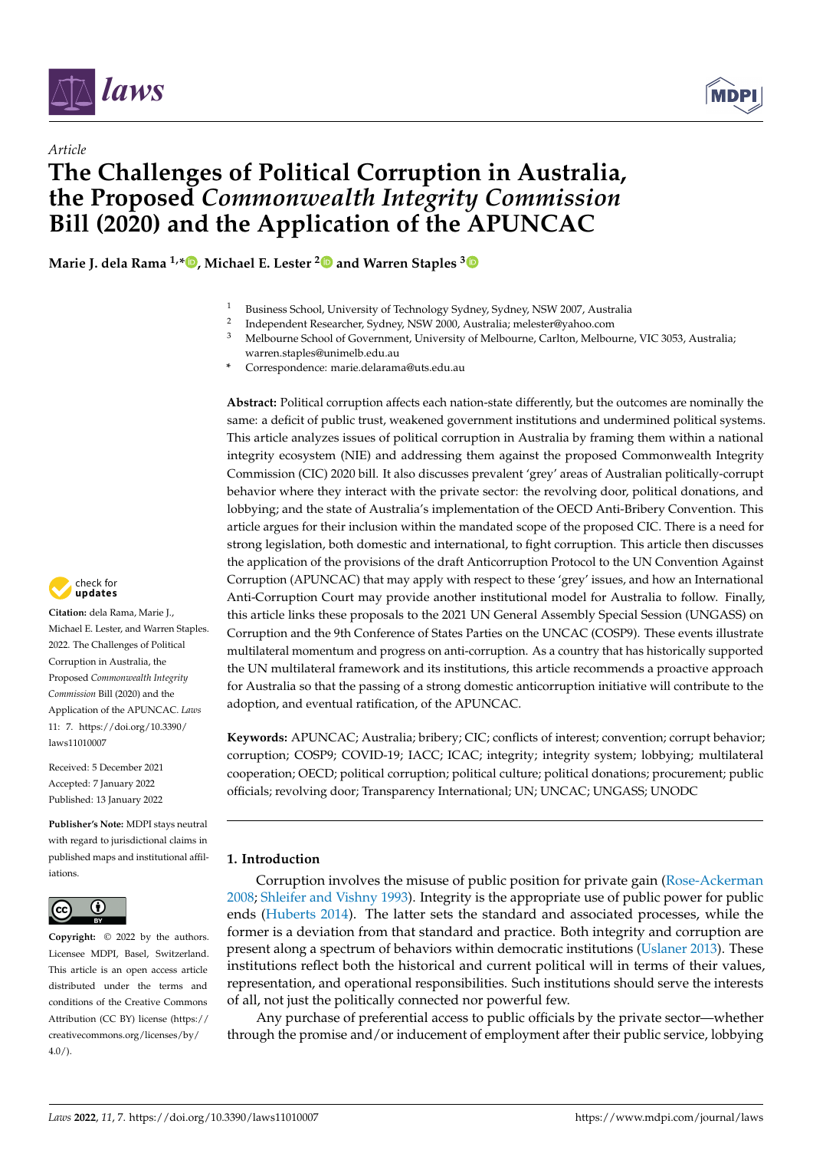



# *Article* **The Challenges of Political Corruption in Australia, the Proposed** *Commonwealth Integrity Commission* **Bill (2020) and the Application of the APUNCAC**

**Marie J. dela Rama 1,\* [,](https://orcid.org/0000-0001-7879-4750) Michael E. Lester [2](https://orcid.org/0000-0002-5359-1954) and Warren Staples [3](https://orcid.org/0000-0002-5343-4000)**

- <sup>1</sup> Business School, University of Technology Sydney, Sydney, NSW 2007, Australia
- 2 Independent Researcher, Sydney, NSW 2000, Australia; melester@yahoo.com
- <sup>3</sup> Melbourne School of Government, University of Melbourne, Carlton, Melbourne, VIC 3053, Australia; warren.staples@unimelb.edu.au
- **\*** Correspondence: marie.delarama@uts.edu.au

**Abstract:** Political corruption affects each nation-state differently, but the outcomes are nominally the same: a deficit of public trust, weakened government institutions and undermined political systems. This article analyzes issues of political corruption in Australia by framing them within a national integrity ecosystem (NIE) and addressing them against the proposed Commonwealth Integrity Commission (CIC) 2020 bill. It also discusses prevalent 'grey' areas of Australian politically-corrupt behavior where they interact with the private sector: the revolving door, political donations, and lobbying; and the state of Australia's implementation of the OECD Anti-Bribery Convention. This article argues for their inclusion within the mandated scope of the proposed CIC. There is a need for strong legislation, both domestic and international, to fight corruption. This article then discusses the application of the provisions of the draft Anticorruption Protocol to the UN Convention Against Corruption (APUNCAC) that may apply with respect to these 'grey' issues, and how an International Anti-Corruption Court may provide another institutional model for Australia to follow. Finally, this article links these proposals to the 2021 UN General Assembly Special Session (UNGASS) on Corruption and the 9th Conference of States Parties on the UNCAC (COSP9). These events illustrate multilateral momentum and progress on anti-corruption. As a country that has historically supported the UN multilateral framework and its institutions, this article recommends a proactive approach for Australia so that the passing of a strong domestic anticorruption initiative will contribute to the adoption, and eventual ratification, of the APUNCAC.

**Keywords:** APUNCAC; Australia; bribery; CIC; conflicts of interest; convention; corrupt behavior; corruption; COSP9; COVID-19; IACC; ICAC; integrity; integrity system; lobbying; multilateral cooperation; OECD; political corruption; political culture; political donations; procurement; public officials; revolving door; Transparency International; UN; UNCAC; UNGASS; UNODC

## **1. Introduction**

Corruption involves the misuse of public position for private gain [\(Rose-Ackerman](#page-24-0) [2008;](#page-24-0) [Shleifer and Vishny](#page-25-0) [1993\)](#page-25-0). Integrity is the appropriate use of public power for public ends [\(Huberts](#page-22-0) [2014\)](#page-22-0). The latter sets the standard and associated processes, while the former is a deviation from that standard and practice. Both integrity and corruption are present along a spectrum of behaviors within democratic institutions [\(Uslaner](#page-25-1) [2013\)](#page-25-1). These institutions reflect both the historical and current political will in terms of their values, representation, and operational responsibilities. Such institutions should serve the interests of all, not just the politically connected nor powerful few.

Any purchase of preferential access to public officials by the private sector—whether through the promise and/or inducement of employment after their public service, lobbying



**Citation:** dela Rama, Marie J., Michael E. Lester, and Warren Staples. 2022. The Challenges of Political Corruption in Australia, the Proposed *Commonwealth Integrity Commission* Bill (2020) and the Application of the APUNCAC. *Laws* 11: 7. [https://doi.org/10.3390/](https://doi.org/10.3390/laws11010007) [laws11010007](https://doi.org/10.3390/laws11010007)

Received: 5 December 2021 Accepted: 7 January 2022 Published: 13 January 2022

**Publisher's Note:** MDPI stays neutral with regard to jurisdictional claims in published maps and institutional affiliations.



**Copyright:** © 2022 by the authors. Licensee MDPI, Basel, Switzerland. This article is an open access article distributed under the terms and conditions of the Creative Commons Attribution (CC BY) license [\(https://](https://creativecommons.org/licenses/by/4.0/) [creativecommons.org/licenses/by/](https://creativecommons.org/licenses/by/4.0/)  $4.0/$ ).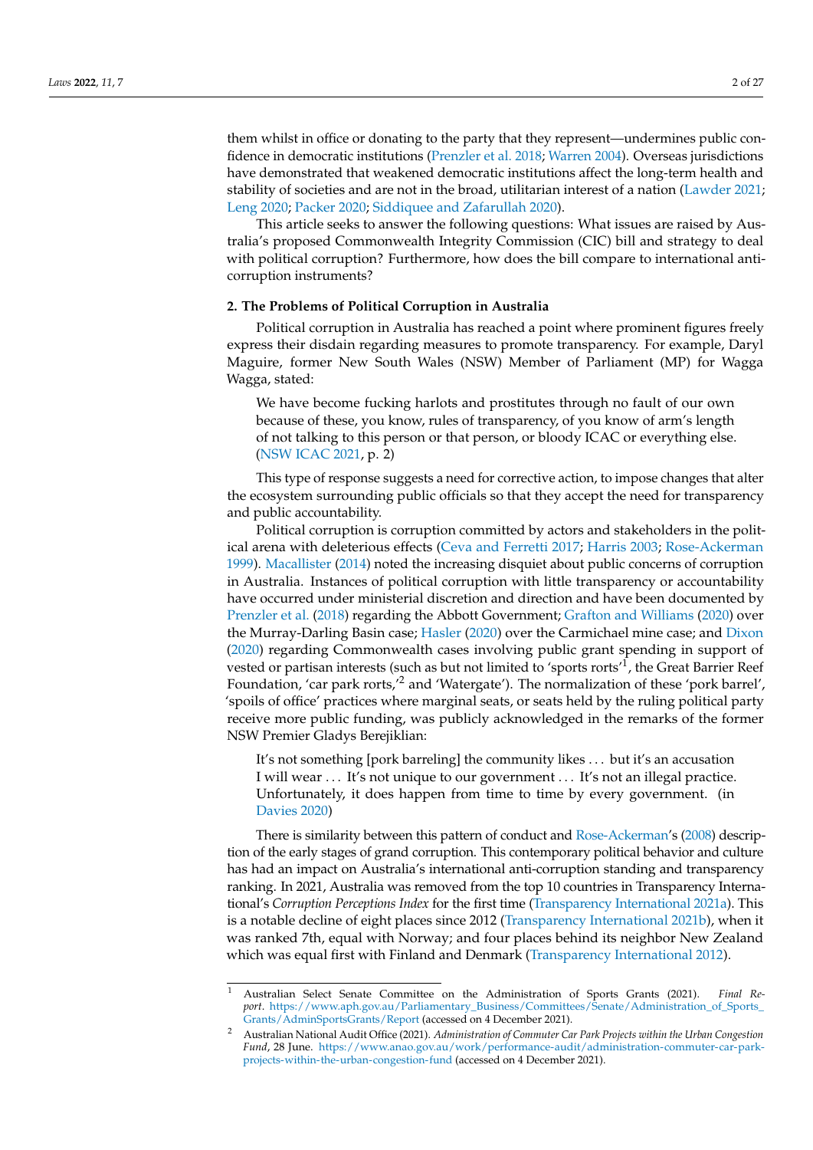them whilst in office or donating to the party that they represent—undermines public confidence in democratic institutions [\(Prenzler et al.](#page-24-1) [2018;](#page-24-1) [Warren](#page-26-0) [2004\)](#page-26-0). Overseas jurisdictions have demonstrated that weakened democratic institutions affect the long-term health and stability of societies and are not in the broad, utilitarian interest of a nation [\(Lawder](#page-23-0) [2021;](#page-23-0) [Leng](#page-23-1) [2020;](#page-23-1) [Packer](#page-24-2) [2020;](#page-24-2) [Siddiquee and Zafarullah](#page-25-2) [2020\)](#page-25-2).

This article seeks to answer the following questions: What issues are raised by Australia's proposed Commonwealth Integrity Commission (CIC) bill and strategy to deal with political corruption? Furthermore, how does the bill compare to international anticorruption instruments?

## **2. The Problems of Political Corruption in Australia**

Political corruption in Australia has reached a point where prominent figures freely express their disdain regarding measures to promote transparency. For example, Daryl Maguire, former New South Wales (NSW) Member of Parliament (MP) for Wagga Wagga, stated:

We have become fucking harlots and prostitutes through no fault of our own because of these, you know, rules of transparency, of you know of arm's length of not talking to this person or that person, or bloody ICAC or everything else. [\(NSW ICAC](#page-24-3) [2021,](#page-24-3) p. 2)

This type of response suggests a need for corrective action, to impose changes that alter the ecosystem surrounding public officials so that they accept the need for transparency and public accountability.

Political corruption is corruption committed by actors and stakeholders in the political arena with deleterious effects [\(Ceva and Ferretti](#page-21-0) [2017;](#page-21-0) [Harris](#page-22-1) [2003;](#page-22-1) [Rose-Ackerman](#page-24-4) [1999\)](#page-24-4). [Macallister](#page-23-2) [\(2014\)](#page-23-2) noted the increasing disquiet about public concerns of corruption in Australia. Instances of political corruption with little transparency or accountability have occurred under ministerial discretion and direction and have been documented by [Prenzler et al.](#page-24-1) [\(2018\)](#page-24-1) regarding the Abbott Government; [Grafton and Williams](#page-22-2) [\(2020\)](#page-22-2) over the Murray-Darling Basin case; [Hasler](#page-22-3) [\(2020\)](#page-22-3) over the Carmichael mine case; and [Dixon](#page-22-4) [\(2020\)](#page-22-4) regarding Commonwealth cases involving public grant spending in support of vested or partisan interests (such as but not limited to 'sports rorts'<sup>1</sup>, the Great Barrier Reef Foundation, 'car park rorts,'<sup>2</sup> and 'Watergate'). The normalization of these 'pork barrel', 'spoils of office' practices where marginal seats, or seats held by the ruling political party receive more public funding, was publicly acknowledged in the remarks of the former NSW Premier Gladys Berejiklian:

It's not something [pork barreling] the community likes . . . but it's an accusation I will wear . . . It's not unique to our government . . . It's not an illegal practice. Unfortunately, it does happen from time to time by every government. (in [Davies](#page-21-1) [2020\)](#page-21-1)

There is similarity between this pattern of conduct and [Rose-Ackerman'](#page-24-0)s [\(2008\)](#page-24-0) description of the early stages of grand corruption. This contemporary political behavior and culture has had an impact on Australia's international anti-corruption standing and transparency ranking. In 2021, Australia was removed from the top 10 countries in Transparency International's *Corruption Perceptions Index* for the first time [\(Transparency International](#page-25-3) [2021a\)](#page-25-3). This is a notable decline of eight places since 2012 [\(Transparency International](#page-25-4) [2021b\)](#page-25-4), when it was ranked 7th, equal with Norway; and four places behind its neighbor New Zealand which was equal first with Finland and Denmark [\(Transparency International](#page-25-5) [2012\)](#page-25-5).

<sup>1</sup> Australian Select Senate Committee on the Administration of Sports Grants (2021). *Final Report*. [https://www.aph.gov.au/Parliamentary\\_Business/Committees/Senate/Administration\\_of\\_Sports\\_](https://www.aph.gov.au/Parliamentary_Business/Committees/Senate/Administration_of_Sports_Grants/AdminSportsGrants/Report) [Grants/AdminSportsGrants/Report](https://www.aph.gov.au/Parliamentary_Business/Committees/Senate/Administration_of_Sports_Grants/AdminSportsGrants/Report) (accessed on 4 December 2021).

<sup>2</sup> Australian National Audit Office (2021). *Administration of Commuter Car Park Projects within the Urban Congestion Fund*, 28 June. [https://www.anao.gov.au/work/performance-audit/administration-commuter-car-park](https://www.anao.gov.au/work/performance-audit/administration-commuter-car-park-projects-within-the-urban-congestion-fund)[projects-within-the-urban-congestion-fund](https://www.anao.gov.au/work/performance-audit/administration-commuter-car-park-projects-within-the-urban-congestion-fund) (accessed on 4 December 2021).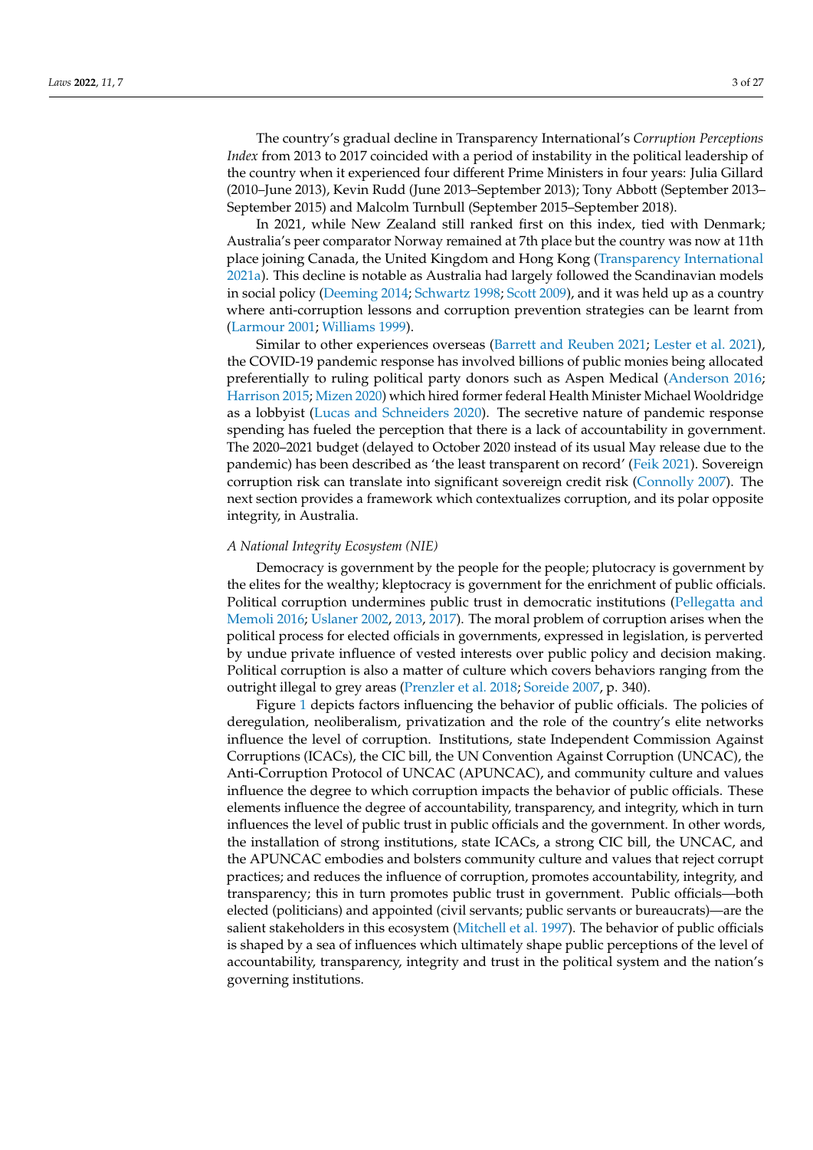The country's gradual decline in Transparency International's *Corruption Perceptions Index* from 2013 to 2017 coincided with a period of instability in the political leadership of the country when it experienced four different Prime Ministers in four years: Julia Gillard (2010–June 2013), Kevin Rudd (June 2013–September 2013); Tony Abbott (September 2013– September 2015) and Malcolm Turnbull (September 2015–September 2018).

In 2021, while New Zealand still ranked first on this index, tied with Denmark; Australia's peer comparator Norway remained at 7th place but the country was now at 11th place joining Canada, the United Kingdom and Hong Kong [\(Transparency International](#page-25-3) [2021a\)](#page-25-3). This decline is notable as Australia had largely followed the Scandinavian models in social policy [\(Deeming](#page-21-2) [2014;](#page-21-2) [Schwartz](#page-25-6) [1998;](#page-25-6) [Scott](#page-25-7) [2009\)](#page-25-7), and it was held up as a country where anti-corruption lessons and corruption prevention strategies can be learnt from [\(Larmour](#page-23-3) [2001;](#page-23-3) [Williams](#page-26-1) [1999\)](#page-26-1).

Similar to other experiences overseas [\(Barrett and Reuben](#page-21-3) [2021;](#page-21-3) [Lester et al.](#page-23-4) [2021\)](#page-23-4), the COVID-19 pandemic response has involved billions of public monies being allocated preferentially to ruling political party donors such as Aspen Medical [\(Anderson](#page-20-0) [2016;](#page-20-0) [Harrison](#page-22-5) [2015;](#page-22-5) [Mizen](#page-24-5) [2020\)](#page-24-5) which hired former federal Health Minister Michael Wooldridge as a lobbyist [\(Lucas and Schneiders](#page-23-5) [2020\)](#page-23-5). The secretive nature of pandemic response spending has fueled the perception that there is a lack of accountability in government. The 2020–2021 budget (delayed to October 2020 instead of its usual May release due to the pandemic) has been described as 'the least transparent on record' [\(Feik](#page-22-6) [2021\)](#page-22-6). Sovereign corruption risk can translate into significant sovereign credit risk [\(Connolly](#page-21-4) [2007\)](#page-21-4). The next section provides a framework which contextualizes corruption, and its polar opposite integrity, in Australia.

#### *A National Integrity Ecosystem (NIE)*

Democracy is government by the people for the people; plutocracy is government by the elites for the wealthy; kleptocracy is government for the enrichment of public officials. Political corruption undermines public trust in democratic institutions [\(Pellegatta and](#page-24-6) [Memoli](#page-24-6) [2016;](#page-24-6) [Uslaner](#page-25-8) [2002,](#page-25-8) [2013,](#page-25-1) [2017\)](#page-25-9). The moral problem of corruption arises when the political process for elected officials in governments, expressed in legislation, is perverted by undue private influence of vested interests over public policy and decision making. Political corruption is also a matter of culture which covers behaviors ranging from the outright illegal to grey areas [\(Prenzler et al.](#page-24-1) [2018;](#page-24-1) [Soreide](#page-25-10) [2007,](#page-25-10) p. 340).

Figure [1](#page-3-0) depicts factors influencing the behavior of public officials. The policies of deregulation, neoliberalism, privatization and the role of the country's elite networks influence the level of corruption. Institutions, state Independent Commission Against Corruptions (ICACs), the CIC bill, the UN Convention Against Corruption (UNCAC), the Anti-Corruption Protocol of UNCAC (APUNCAC), and community culture and values influence the degree to which corruption impacts the behavior of public officials. These elements influence the degree of accountability, transparency, and integrity, which in turn influences the level of public trust in public officials and the government. In other words, the installation of strong institutions, state ICACs, a strong CIC bill, the UNCAC, and the APUNCAC embodies and bolsters community culture and values that reject corrupt practices; and reduces the influence of corruption, promotes accountability, integrity, and transparency; this in turn promotes public trust in government. Public officials—both elected (politicians) and appointed (civil servants; public servants or bureaucrats)—are the salient stakeholders in this ecosystem [\(Mitchell et al.](#page-24-7) [1997\)](#page-24-7). The behavior of public officials is shaped by a sea of influences which ultimately shape public perceptions of the level of accountability, transparency, integrity and trust in the political system and the nation's governing institutions.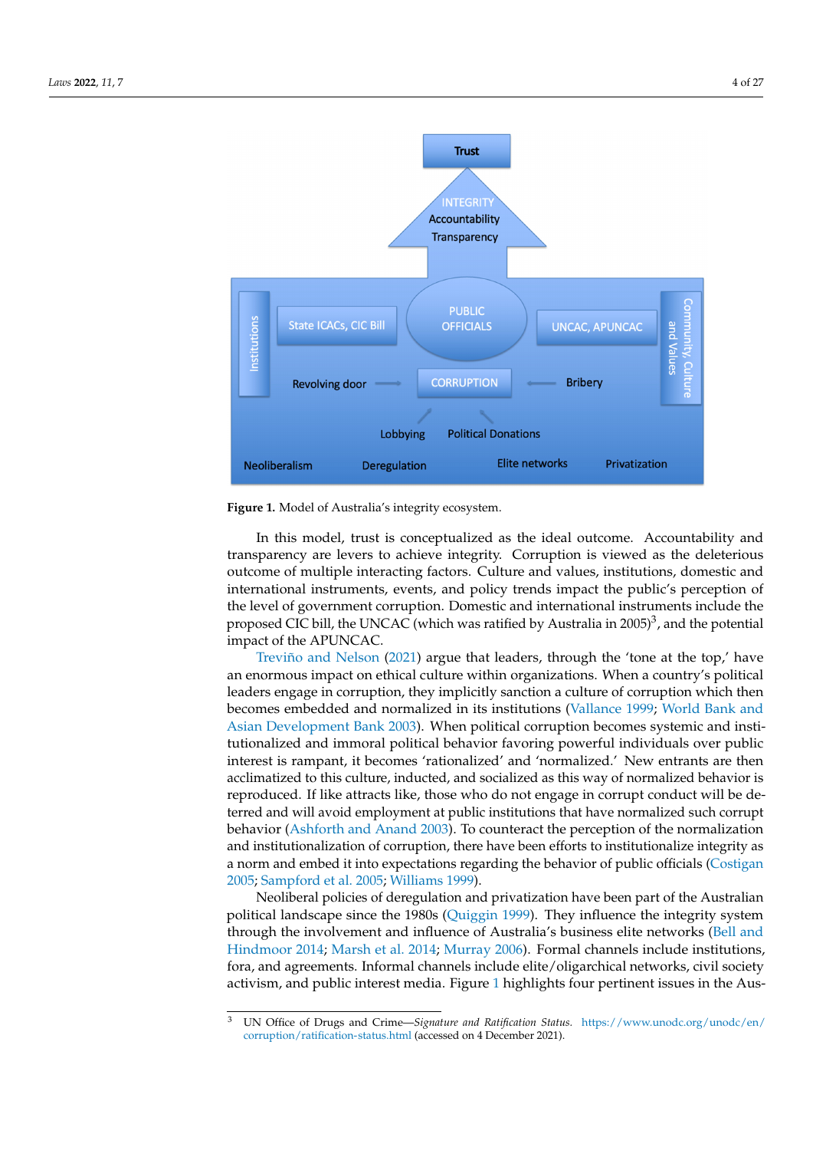<span id="page-3-0"></span>



In this model, trust is conceptualized as the ideal outcome. Accountability and transparency are levers to achieve integrity. Corruption is viewed as the deleterious outcome of multiple interacting factors. Culture and values, institutions, domestic and international instruments, events, and policy trends impact the public's perception of the level of government corruption. Domestic and international instruments include the proposed CIC bill, the UNCAC (which was ratified by Australia in 2005)<sup>3</sup>, and the potential impact of the APUNCAC.

[Treviño and Nelson](#page-25-11) [\(2021\)](#page-25-11) argue that leaders, through the 'tone at the top,' have an enormous impact on ethical culture within organizations. When a country's political leaders engage in corruption, they implicitly sanction a culture of corruption which then becomes embedded and normalized in its institutions [\(Vallance](#page-26-2) [1999;](#page-26-2) [World Bank and](#page-26-3) [Asian Development Bank](#page-26-3) [2003\)](#page-26-3). When political corruption becomes systemic and institutionalized and immoral political behavior favoring powerful individuals over public interest is rampant, it becomes 'rationalized' and 'normalized.' New entrants are then acclimatized to this culture, inducted, and socialized as this way of normalized behavior is reproduced. If like attracts like, those who do not engage in corrupt conduct will be deterred and will avoid employment at public institutions that have normalized such corrupt and institutionalization of corruption, there have been efforts to institutionalize integrity as<br>a norm and embed it into expectations regarding the behavior of public officials [\(Costigan](#page-21-5) [2005;](#page-25-12) [Sampford et al.](#page-25-12) 2005; [Williams](#page-26-1) [1999\)](#page-26-1). behavior [\(Ashforth and Anand](#page-20-1) [2003\)](#page-20-1). To counteract the perception of the normalization and institutionalization of corruption, there have been efforts to institutionalize integrity as

> Neoliberal policies of deregulation and privatization have been part of the Australian political landscape since the 1980s [\(Quiggin](#page-24-8) [1999\)](#page-24-8). They influence the integrity system through the involvement and influence of Australia's business elite networks [\(Bell and](#page-21-6) [Hindmoor](#page-21-6) [2014;](#page-21-6) [Marsh et al.](#page-23-6) [2014;](#page-23-6) [Murray](#page-24-9) [2006\)](#page-24-9). Formal channels include institutions, fora, and agreements. Informal channels include elite/oligarchical networks, civil society activism, and public interest media. Figure [1](#page-3-0) highlights four pertinent issues in the Aus-

<sup>3</sup> UN Office of Drugs and Crime—*Signature and Ratification Status.* [https://www.unodc.org/unodc/en/](https://www.unodc.org/unodc/en/corruption/ratification-status.html) [corruption/ratification-status.html](https://www.unodc.org/unodc/en/corruption/ratification-status.html) (accessed on 4 December 2021).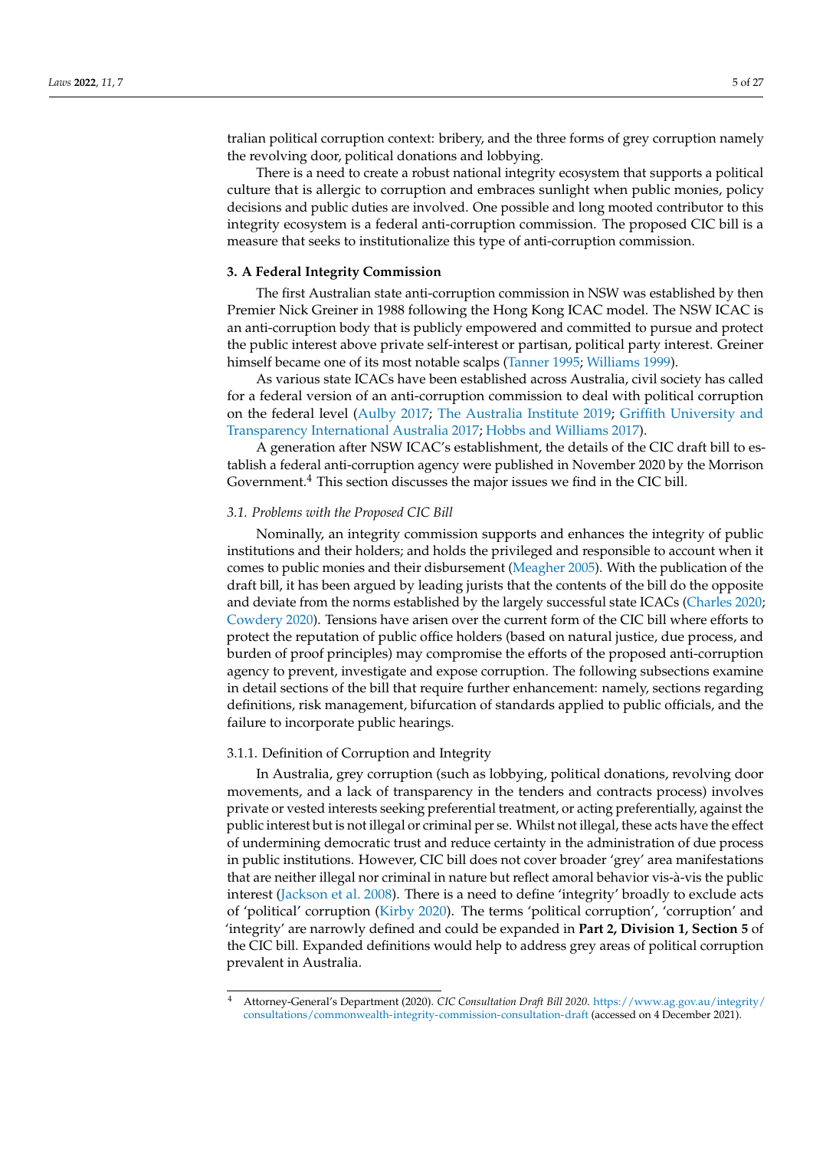tralian political corruption context: bribery, and the three forms of grey corruption namely the revolving door, political donations and lobbying.

There is a need to create a robust national integrity ecosystem that supports a political culture that is allergic to corruption and embraces sunlight when public monies, policy decisions and public duties are involved. One possible and long mooted contributor to this integrity ecosystem is a federal anti-corruption commission. The proposed CIC bill is a measure that seeks to institutionalize this type of anti-corruption commission.

## **3. A Federal Integrity Commission**

The first Australian state anti-corruption commission in NSW was established by then Premier Nick Greiner in 1988 following the Hong Kong ICAC model. The NSW ICAC is an anti-corruption body that is publicly empowered and committed to pursue and protect the public interest above private self-interest or partisan, political party interest. Greiner himself became one of its most notable scalps [\(Tanner](#page-25-13) [1995;](#page-25-13) [Williams](#page-26-1) [1999\)](#page-26-1).

As various state ICACs have been established across Australia, civil society has called for a federal version of an anti-corruption commission to deal with political corruption on the federal level [\(Aulby](#page-20-2) [2017;](#page-20-2) [The Australia Institute](#page-25-14) [2019;](#page-25-14) [Griffith University and](#page-22-7) [Transparency International Australia](#page-22-7) [2017;](#page-22-7) [Hobbs and Williams](#page-22-8) [2017\)](#page-22-8).

A generation after NSW ICAC's establishment, the details of the CIC draft bill to establish a federal anti-corruption agency were published in November 2020 by the Morrison Government.<sup>4</sup> This section discusses the major issues we find in the CIC bill.

### *3.1. Problems with the Proposed CIC Bill*

Nominally, an integrity commission supports and enhances the integrity of public institutions and their holders; and holds the privileged and responsible to account when it comes to public monies and their disbursement [\(Meagher](#page-23-7) [2005\)](#page-23-7). With the publication of the draft bill, it has been argued by leading jurists that the contents of the bill do the opposite and deviate from the norms established by the largely successful state ICACs [\(Charles](#page-21-7) [2020;](#page-21-7) [Cowdery](#page-21-8) [2020\)](#page-21-8). Tensions have arisen over the current form of the CIC bill where efforts to protect the reputation of public office holders (based on natural justice, due process, and burden of proof principles) may compromise the efforts of the proposed anti-corruption agency to prevent, investigate and expose corruption. The following subsections examine in detail sections of the bill that require further enhancement: namely, sections regarding definitions, risk management, bifurcation of standards applied to public officials, and the failure to incorporate public hearings.

#### 3.1.1. Definition of Corruption and Integrity

In Australia, grey corruption (such as lobbying, political donations, revolving door movements, and a lack of transparency in the tenders and contracts process) involves private or vested interests seeking preferential treatment, or acting preferentially, against the public interest but is not illegal or criminal per se. Whilst not illegal, these acts have the effect of undermining democratic trust and reduce certainty in the administration of due process in public institutions. However, CIC bill does not cover broader 'grey' area manifestations that are neither illegal nor criminal in nature but reflect amoral behavior vis-à-vis the public interest [\(Jackson et al.](#page-22-9) [2008\)](#page-22-9). There is a need to define 'integrity' broadly to exclude acts of 'political' corruption [\(Kirby](#page-23-8) [2020\)](#page-23-8). The terms 'political corruption', 'corruption' and 'integrity' are narrowly defined and could be expanded in **Part 2, Division 1, Section 5** of the CIC bill. Expanded definitions would help to address grey areas of political corruption prevalent in Australia.

<sup>4</sup> Attorney-General's Department (2020). *CIC Consultation Draft Bill 2020*. [https://www.ag.gov.au/integrity/](https://www.ag.gov.au/integrity/consultations/commonwealth-integrity-commission-consultation-draft) [consultations/commonwealth-integrity-commission-consultation-draft](https://www.ag.gov.au/integrity/consultations/commonwealth-integrity-commission-consultation-draft) (accessed on 4 December 2021).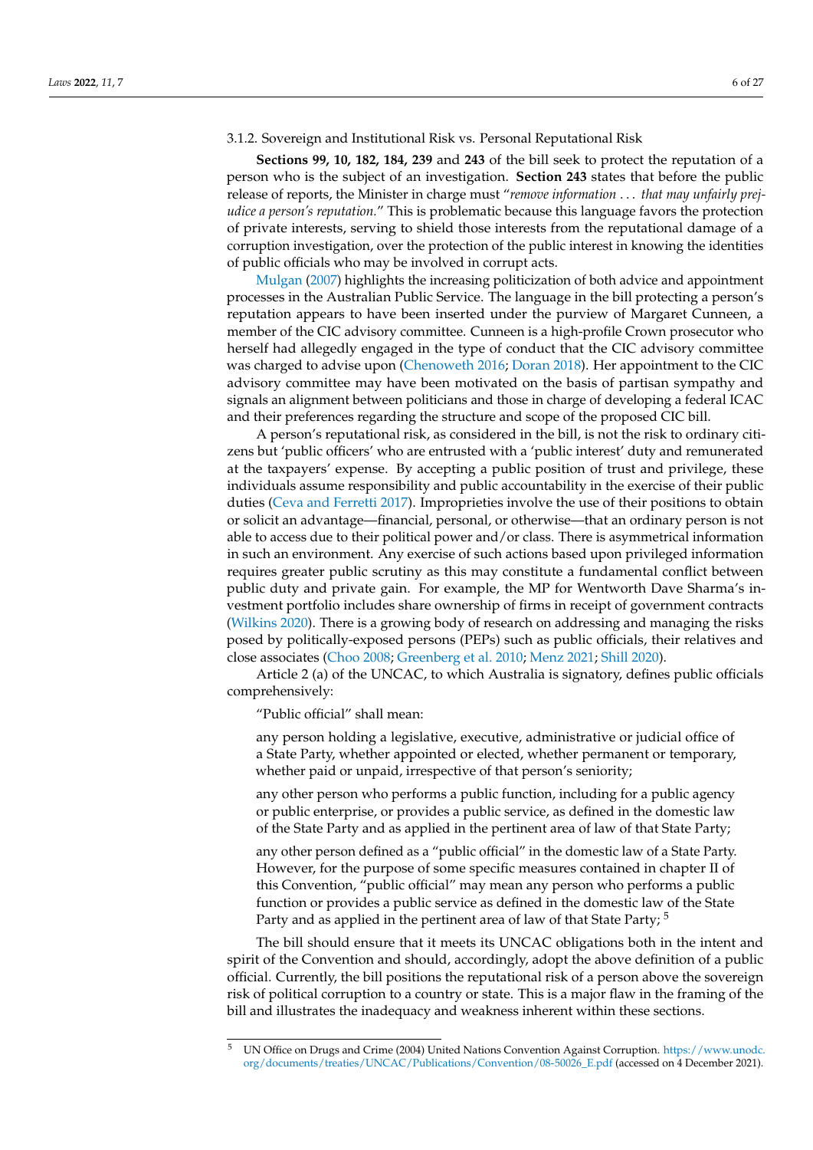#### <span id="page-5-0"></span>3.1.2. Sovereign and Institutional Risk vs. Personal Reputational Risk

**Sections 99, 10, 182, 184, 239** and **243** of the bill seek to protect the reputation of a person who is the subject of an investigation. **Section 243** states that before the public release of reports, the Minister in charge must "*remove information* . . . *that may unfairly prejudice a person's reputation.*" This is problematic because this language favors the protection of private interests, serving to shield those interests from the reputational damage of a corruption investigation, over the protection of the public interest in knowing the identities of public officials who may be involved in corrupt acts.

[Mulgan](#page-24-10) [\(2007\)](#page-24-10) highlights the increasing politicization of both advice and appointment processes in the Australian Public Service. The language in the bill protecting a person's reputation appears to have been inserted under the purview of Margaret Cunneen, a member of the CIC advisory committee. Cunneen is a high-profile Crown prosecutor who herself had allegedly engaged in the type of conduct that the CIC advisory committee was charged to advise upon [\(Chenoweth](#page-21-9) [2016;](#page-21-9) [Doran](#page-22-10) [2018\)](#page-22-10). Her appointment to the CIC advisory committee may have been motivated on the basis of partisan sympathy and signals an alignment between politicians and those in charge of developing a federal ICAC and their preferences regarding the structure and scope of the proposed CIC bill.

A person's reputational risk, as considered in the bill, is not the risk to ordinary citizens but 'public officers' who are entrusted with a 'public interest' duty and remunerated at the taxpayers' expense. By accepting a public position of trust and privilege, these individuals assume responsibility and public accountability in the exercise of their public duties [\(Ceva and Ferretti](#page-21-0) [2017\)](#page-21-0). Improprieties involve the use of their positions to obtain or solicit an advantage—financial, personal, or otherwise—that an ordinary person is not able to access due to their political power and/or class. There is asymmetrical information in such an environment. Any exercise of such actions based upon privileged information requires greater public scrutiny as this may constitute a fundamental conflict between public duty and private gain. For example, the MP for Wentworth Dave Sharma's investment portfolio includes share ownership of firms in receipt of government contracts [\(Wilkins](#page-26-4) [2020\)](#page-26-4). There is a growing body of research on addressing and managing the risks posed by politically-exposed persons (PEPs) such as public officials, their relatives and close associates [\(Choo](#page-21-10) [2008;](#page-21-10) [Greenberg et al.](#page-22-11) [2010;](#page-22-11) [Menz](#page-23-9) [2021;](#page-23-9) [Shill](#page-25-15) [2020\)](#page-25-15).

Article 2 (a) of the UNCAC, to which Australia is signatory, defines public officials comprehensively:

"Public official" shall mean:

any person holding a legislative, executive, administrative or judicial office of a State Party, whether appointed or elected, whether permanent or temporary, whether paid or unpaid, irrespective of that person's seniority;

any other person who performs a public function, including for a public agency or public enterprise, or provides a public service, as defined in the domestic law of the State Party and as applied in the pertinent area of law of that State Party;

any other person defined as a "public official" in the domestic law of a State Party. However, for the purpose of some specific measures contained in chapter II of this Convention, "public official" may mean any person who performs a public function or provides a public service as defined in the domestic law of the State Party and as applied in the pertinent area of law of that State Party;<sup>5</sup>

The bill should ensure that it meets its UNCAC obligations both in the intent and spirit of the Convention and should, accordingly, adopt the above definition of a public official. Currently, the bill positions the reputational risk of a person above the sovereign risk of political corruption to a country or state. This is a major flaw in the framing of the bill and illustrates the inadequacy and weakness inherent within these sections.

<sup>5</sup> UN Office on Drugs and Crime (2004) United Nations Convention Against Corruption. [https://www.unodc.](https://www.unodc.org/documents/treaties/UNCAC/Publications/Convention/08-50026_E.pdf) [org/documents/treaties/UNCAC/Publications/Convention/08-50026\\_E.pdf](https://www.unodc.org/documents/treaties/UNCAC/Publications/Convention/08-50026_E.pdf) (accessed on 4 December 2021).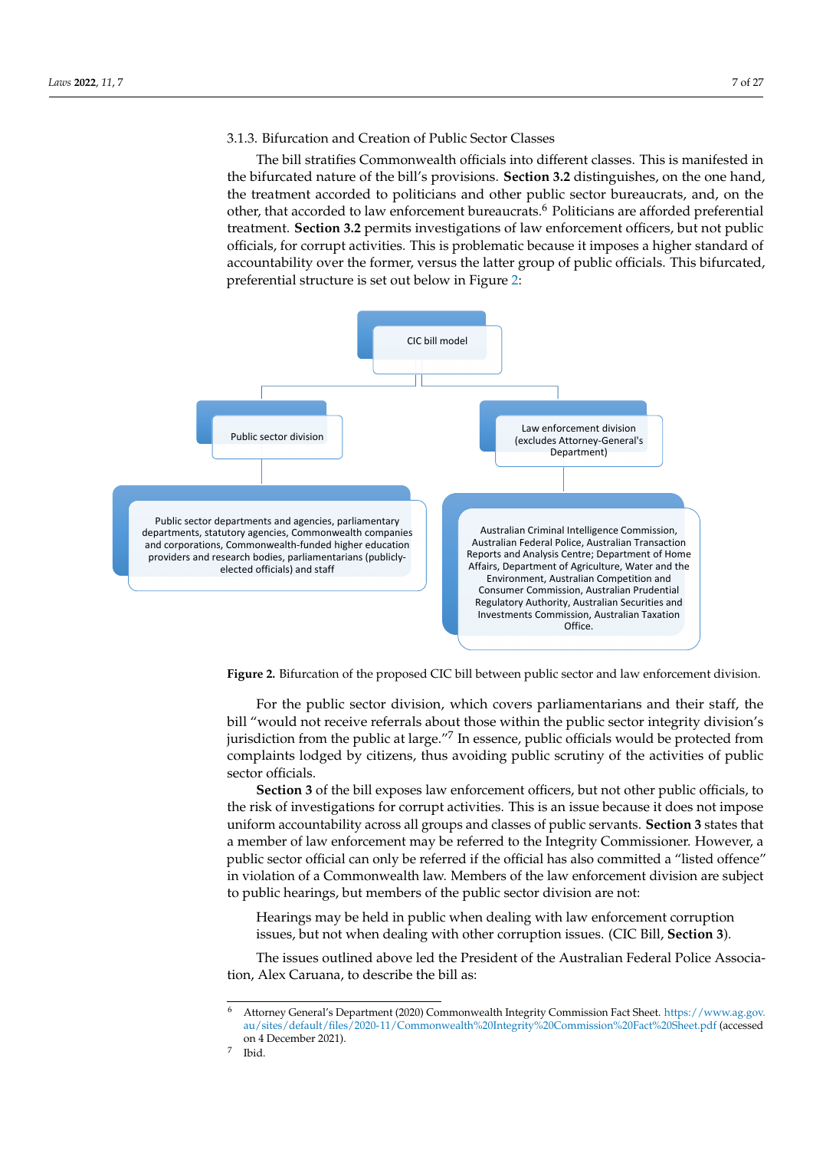#### 3.1.3. Bifurcation and Creation of Public Sector Classes The bill stratifies commonly stratified into different classes.

The bill stratifies Commonwealth officials into different classes. This is manifested in the bifurcated nature of the bill's provisions. **Section 3.2** distinguishes, on the one hand, the treatment accorded to politicians and other public sector bureaucrats, and, on the other, that accorded to law enforcement bureaucrats.<sup>6</sup> Politicians are afforded preferential treatment. **Section 3.2** permits investigations of law enforcement officers, but not public it is problematic because it in postofficials, for corrupt activities. This is problematic because it imposes a higher standard of public of public or public of public of public or public of public or public of public or public of public or public of public accountability over the former, versus the latter group of public officials. This bifurcated, preferential structure is set out below in Figure [2:](#page-6-0)

bill and illustrates the inadequacy and weakness inherent within these sections.

<span id="page-6-0"></span>

**Figure 2. Bifurcation of the proposed CIC bill between public sector and law enforcement division. Figure 2.** Bifurcation of the proposed CIC bill between public sector and law enforcement division.

bill "would not receive referrals about those within the public sector integrity division's jurisdiction from the public at large."<sup>7</sup> In essence, public officials would be protected from complaints lodged by citizens, thus avoiding public scrutiny of the activities of public For the public sector division, which covers parliamentarians and their staff, the sector officials.

Section 3 or the bill exposes law enforcement officers, but not other public officials, to<br>the risk of investigations for corrupt activities. This is an issue because it does not impose uniform accountability across all groups and classes of public servants. **Section 3** states that a member of law enforcement may be referred to the Integrity Commissioner. However, a public sector official can only be referred if the official has also committed a "listed offence" in violation of a Commonwealth law. Members of the law enforcement division are subject to public hearings, but members of the public sector division are not: **Section 3** of the bill exposes law enforcement officers, but not other public officials, to

> Hearings may be held in public when dealing with law enforcement corruption issues, but not when dealing with other corruption issues. (CIC Bill, **Section 3**).

The issues outlined above led the President of the Australian Federal Police Association, Alex Caruana, to describe the bill as:

<sup>6</sup> Attorney General's Department (2020) Commonwealth Integrity Commission Fact Sheet. [https://www.ag.gov.](https://www.ag.gov.au/sites/default/files/2020-11/Commonwealth%20Integrity%20Commission%20Fact%20Sheet.pdf) [au/sites/default/files/2020-11/Commonwealth%20Integrity%20Commission%20Fact%20Sheet.pdf](https://www.ag.gov.au/sites/default/files/2020-11/Commonwealth%20Integrity%20Commission%20Fact%20Sheet.pdf) (accessed on 4 December 2021).

<sup>7</sup> Ibid.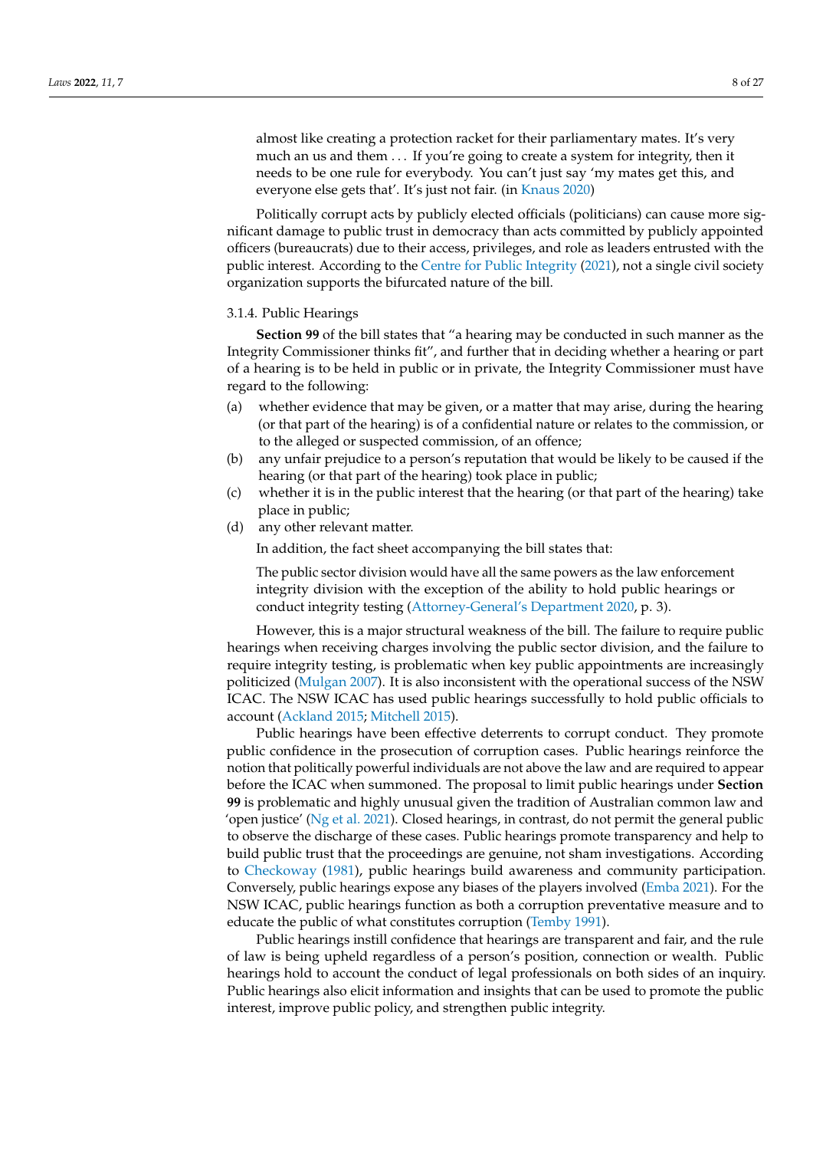almost like creating a protection racket for their parliamentary mates. It's very much an us and them ... If you're going to create a system for integrity, then it needs to be one rule for everybody. You can't just say 'my mates get this, and everyone else gets that'. It's just not fair. (in [Knaus](#page-23-10) [2020\)](#page-23-10)

Politically corrupt acts by publicly elected officials (politicians) can cause more significant damage to public trust in democracy than acts committed by publicly appointed officers (bureaucrats) due to their access, privileges, and role as leaders entrusted with the public interest. According to the [Centre for Public Integrity](#page-21-11) [\(2021\)](#page-21-11), not a single civil society organization supports the bifurcated nature of the bill.

#### 3.1.4. Public Hearings

**Section 99** of the bill states that "a hearing may be conducted in such manner as the Integrity Commissioner thinks fit", and further that in deciding whether a hearing or part of a hearing is to be held in public or in private, the Integrity Commissioner must have regard to the following:

- (a) whether evidence that may be given, or a matter that may arise, during the hearing (or that part of the hearing) is of a confidential nature or relates to the commission, or to the alleged or suspected commission, of an offence;
- (b) any unfair prejudice to a person's reputation that would be likely to be caused if the hearing (or that part of the hearing) took place in public;
- (c) whether it is in the public interest that the hearing (or that part of the hearing) take place in public;
- (d) any other relevant matter.

In addition, the fact sheet accompanying the bill states that:

The public sector division would have all the same powers as the law enforcement integrity division with the exception of the ability to hold public hearings or conduct integrity testing [\(Attorney-General's Department](#page-20-3) [2020,](#page-20-3) p. 3).

However, this is a major structural weakness of the bill. The failure to require public hearings when receiving charges involving the public sector division, and the failure to require integrity testing, is problematic when key public appointments are increasingly politicized [\(Mulgan](#page-24-10) [2007\)](#page-24-10). It is also inconsistent with the operational success of the NSW ICAC. The NSW ICAC has used public hearings successfully to hold public officials to account [\(Ackland](#page-20-4) [2015;](#page-20-4) [Mitchell](#page-24-11) [2015\)](#page-24-11).

Public hearings have been effective deterrents to corrupt conduct. They promote public confidence in the prosecution of corruption cases. Public hearings reinforce the notion that politically powerful individuals are not above the law and are required to appear before the ICAC when summoned. The proposal to limit public hearings under **Section 99** is problematic and highly unusual given the tradition of Australian common law and 'open justice' [\(Ng et al.](#page-24-12) [2021\)](#page-24-12). Closed hearings, in contrast, do not permit the general public to observe the discharge of these cases. Public hearings promote transparency and help to build public trust that the proceedings are genuine, not sham investigations. According to [Checkoway](#page-21-12) [\(1981\)](#page-21-12), public hearings build awareness and community participation. Conversely, public hearings expose any biases of the players involved [\(Emba](#page-22-12) [2021\)](#page-22-12). For the NSW ICAC, public hearings function as both a corruption preventative measure and to educate the public of what constitutes corruption [\(Temby](#page-25-16) [1991\)](#page-25-16).

Public hearings instill confidence that hearings are transparent and fair, and the rule of law is being upheld regardless of a person's position, connection or wealth. Public hearings hold to account the conduct of legal professionals on both sides of an inquiry. Public hearings also elicit information and insights that can be used to promote the public interest, improve public policy, and strengthen public integrity.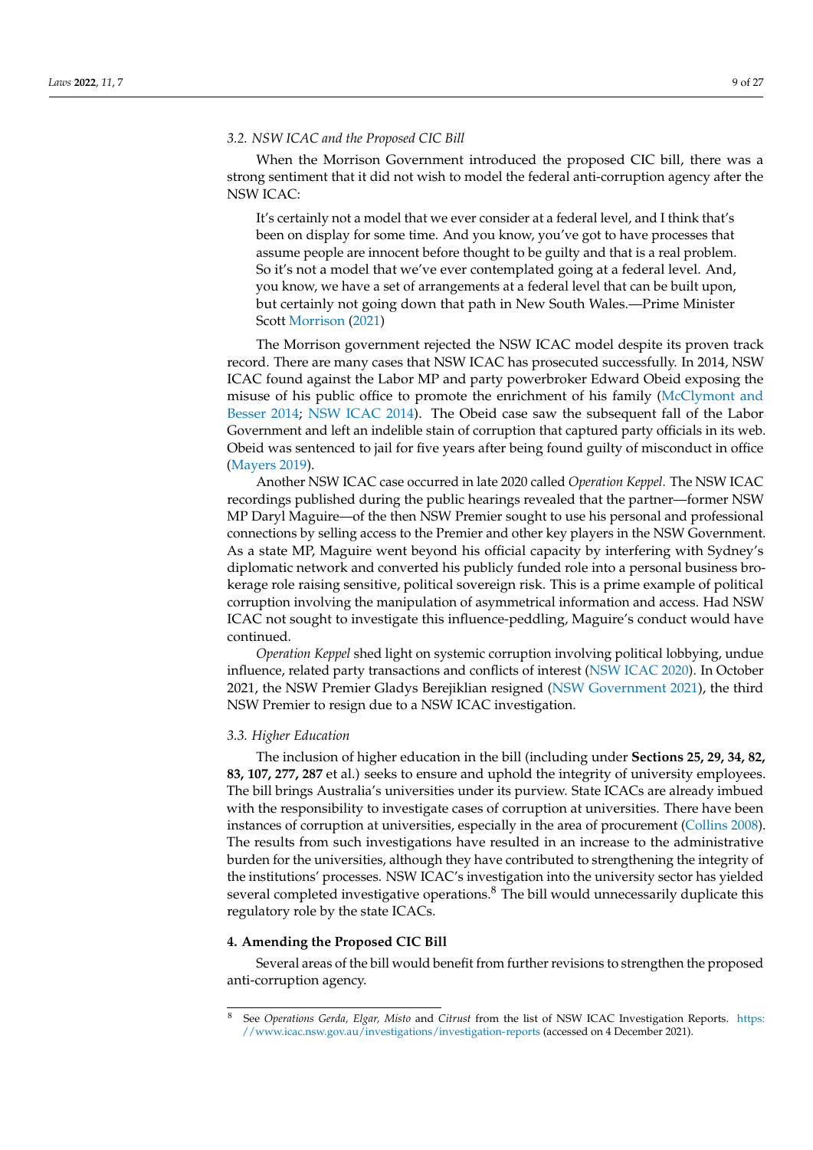## *3.2. NSW ICAC and the Proposed CIC Bill*

When the Morrison Government introduced the proposed CIC bill, there was a strong sentiment that it did not wish to model the federal anti-corruption agency after the NSW ICAC:

It's certainly not a model that we ever consider at a federal level, and I think that's been on display for some time. And you know, you've got to have processes that assume people are innocent before thought to be guilty and that is a real problem. So it's not a model that we've ever contemplated going at a federal level. And, you know, we have a set of arrangements at a federal level that can be built upon, but certainly not going down that path in New South Wales.—Prime Minister Scott [Morrison](#page-24-13) [\(2021\)](#page-24-13)

The Morrison government rejected the NSW ICAC model despite its proven track record. There are many cases that NSW ICAC has prosecuted successfully. In 2014, NSW ICAC found against the Labor MP and party powerbroker Edward Obeid exposing the misuse of his public office to promote the enrichment of his family [\(McClymont and](#page-23-11) [Besser](#page-23-11) [2014;](#page-23-11) [NSW ICAC](#page-24-14) [2014\)](#page-24-14). The Obeid case saw the subsequent fall of the Labor Government and left an indelible stain of corruption that captured party officials in its web. Obeid was sentenced to jail for five years after being found guilty of misconduct in office [\(Mayers](#page-23-12) [2019\)](#page-23-12).

Another NSW ICAC case occurred in late 2020 called *Operation Keppel.* The NSW ICAC recordings published during the public hearings revealed that the partner—former NSW MP Daryl Maguire—of the then NSW Premier sought to use his personal and professional connections by selling access to the Premier and other key players in the NSW Government. As a state MP, Maguire went beyond his official capacity by interfering with Sydney's diplomatic network and converted his publicly funded role into a personal business brokerage role raising sensitive, political sovereign risk. This is a prime example of political corruption involving the manipulation of asymmetrical information and access. Had NSW ICAC not sought to investigate this influence-peddling, Maguire's conduct would have continued.

*Operation Keppel* shed light on systemic corruption involving political lobbying, undue influence, related party transactions and conflicts of interest [\(NSW ICAC](#page-24-15) [2020\)](#page-24-15). In October 2021, the NSW Premier Gladys Berejiklian resigned [\(NSW Government](#page-24-16) [2021\)](#page-24-16), the third NSW Premier to resign due to a NSW ICAC investigation.

### *3.3. Higher Education*

The inclusion of higher education in the bill (including under **Sections 25, 29, 34, 82, 83, 107, 277, 287** et al.) seeks to ensure and uphold the integrity of university employees. The bill brings Australia's universities under its purview. State ICACs are already imbued with the responsibility to investigate cases of corruption at universities. There have been instances of corruption at universities, especially in the area of procurement [\(Collins](#page-21-13) [2008\)](#page-21-13). The results from such investigations have resulted in an increase to the administrative burden for the universities, although they have contributed to strengthening the integrity of the institutions' processes. NSW ICAC's investigation into the university sector has yielded several completed investigative operations.<sup>8</sup> The bill would unnecessarily duplicate this regulatory role by the state ICACs.

#### **4. Amending the Proposed CIC Bill**

Several areas of the bill would benefit from further revisions to strengthen the proposed anti-corruption agency.

<sup>8</sup> See *Operations Gerda, Elgar, Misto* and *Citrust* from the list of NSW ICAC Investigation Reports. [https:](https://www.icac.nsw.gov.au/investigations/investigation-reports) [//www.icac.nsw.gov.au/investigations/investigation-reports](https://www.icac.nsw.gov.au/investigations/investigation-reports) (accessed on 4 December 2021).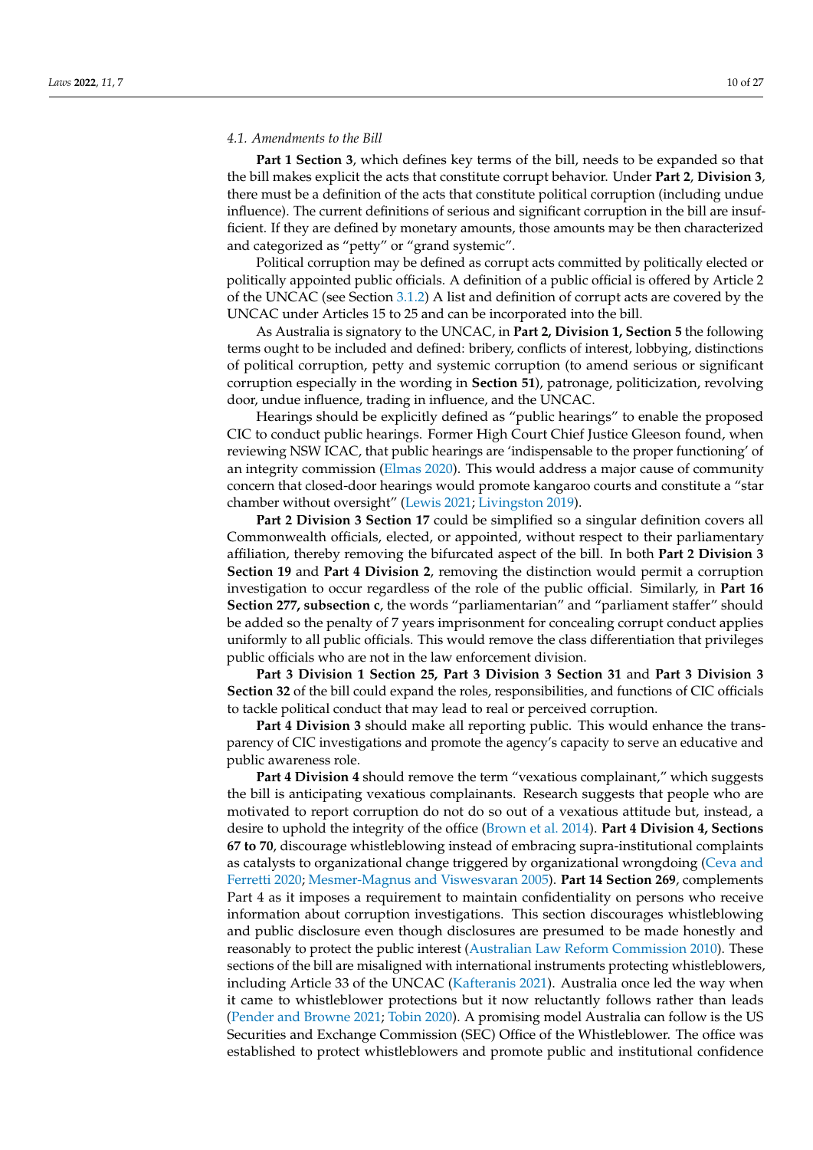#### *4.1. Amendments to the Bill*

**Part 1 Section 3**, which defines key terms of the bill, needs to be expanded so that the bill makes explicit the acts that constitute corrupt behavior. Under **Part 2**, **Division 3**, there must be a definition of the acts that constitute political corruption (including undue influence). The current definitions of serious and significant corruption in the bill are insufficient. If they are defined by monetary amounts, those amounts may be then characterized and categorized as "petty" or "grand systemic".

Political corruption may be defined as corrupt acts committed by politically elected or politically appointed public officials. A definition of a public official is offered by Article 2 of the UNCAC (see Section [3.1.2\)](#page-5-0) A list and definition of corrupt acts are covered by the UNCAC under Articles 15 to 25 and can be incorporated into the bill.

As Australia is signatory to the UNCAC, in **Part 2, Division 1, Section 5** the following terms ought to be included and defined: bribery, conflicts of interest, lobbying, distinctions of political corruption, petty and systemic corruption (to amend serious or significant corruption especially in the wording in **Section 51**), patronage, politicization, revolving door, undue influence, trading in influence, and the UNCAC.

Hearings should be explicitly defined as "public hearings" to enable the proposed CIC to conduct public hearings. Former High Court Chief Justice Gleeson found, when reviewing NSW ICAC, that public hearings are 'indispensable to the proper functioning' of an integrity commission [\(Elmas](#page-22-13) [2020\)](#page-22-13). This would address a major cause of community concern that closed-door hearings would promote kangaroo courts and constitute a "star chamber without oversight" [\(Lewis](#page-23-13) [2021;](#page-23-13) [Livingston](#page-23-14) [2019\)](#page-23-14).

**Part 2 Division 3 Section 17** could be simplified so a singular definition covers all Commonwealth officials, elected, or appointed, without respect to their parliamentary affiliation, thereby removing the bifurcated aspect of the bill. In both **Part 2 Division 3 Section 19** and **Part 4 Division 2**, removing the distinction would permit a corruption investigation to occur regardless of the role of the public official. Similarly, in **Part 16 Section 277, subsection c**, the words "parliamentarian" and "parliament staffer" should be added so the penalty of 7 years imprisonment for concealing corrupt conduct applies uniformly to all public officials. This would remove the class differentiation that privileges public officials who are not in the law enforcement division.

**Part 3 Division 1 Section 25, Part 3 Division 3 Section 31** and **Part 3 Division 3 Section 32** of the bill could expand the roles, responsibilities, and functions of CIC officials to tackle political conduct that may lead to real or perceived corruption.

**Part 4 Division 3** should make all reporting public. This would enhance the transparency of CIC investigations and promote the agency's capacity to serve an educative and public awareness role.

**Part 4 Division 4** should remove the term "vexatious complainant," which suggests the bill is anticipating vexatious complainants. Research suggests that people who are motivated to report corruption do not do so out of a vexatious attitude but, instead, a desire to uphold the integrity of the office [\(Brown et al.](#page-21-14) [2014\)](#page-21-14). **Part 4 Division 4, Sections 67 to 70**, discourage whistleblowing instead of embracing supra-institutional complaints as catalysts to organizational change triggered by organizational wrongdoing [\(Ceva and](#page-21-15) [Ferretti](#page-21-15) [2020;](#page-21-15) [Mesmer-Magnus and Viswesvaran](#page-24-17) [2005\)](#page-24-17). **Part 14 Section 269**, complements Part 4 as it imposes a requirement to maintain confidentiality on persons who receive information about corruption investigations. This section discourages whistleblowing and public disclosure even though disclosures are presumed to be made honestly and reasonably to protect the public interest [\(Australian Law Reform Commission](#page-20-5) [2010\)](#page-20-5). These sections of the bill are misaligned with international instruments protecting whistleblowers, including Article 33 of the UNCAC [\(Kafteranis](#page-23-15) [2021\)](#page-23-15). Australia once led the way when it came to whistleblower protections but it now reluctantly follows rather than leads [\(Pender and Browne](#page-24-18) [2021;](#page-24-18) [Tobin](#page-25-17) [2020\)](#page-25-17). A promising model Australia can follow is the US Securities and Exchange Commission (SEC) Office of the Whistleblower. The office was established to protect whistleblowers and promote public and institutional confidence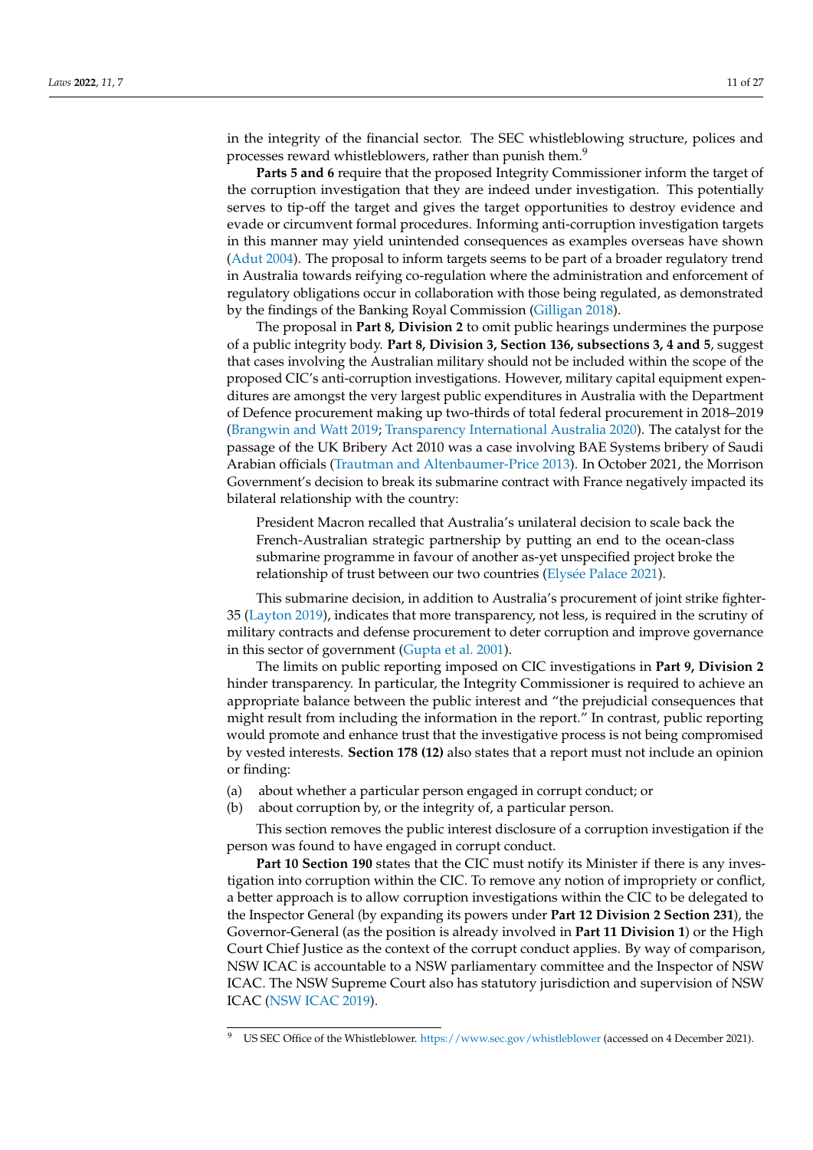in the integrity of the financial sector. The SEC whistleblowing structure, polices and processes reward whistleblowers, rather than punish them.<sup>9</sup>

**Parts 5 and 6** require that the proposed Integrity Commissioner inform the target of the corruption investigation that they are indeed under investigation. This potentially serves to tip-off the target and gives the target opportunities to destroy evidence and evade or circumvent formal procedures. Informing anti-corruption investigation targets in this manner may yield unintended consequences as examples overseas have shown [\(Adut](#page-20-6) [2004\)](#page-20-6). The proposal to inform targets seems to be part of a broader regulatory trend in Australia towards reifying co-regulation where the administration and enforcement of regulatory obligations occur in collaboration with those being regulated, as demonstrated by the findings of the Banking Royal Commission [\(Gilligan](#page-22-14) [2018\)](#page-22-14).

The proposal in **Part 8, Division 2** to omit public hearings undermines the purpose of a public integrity body. **Part 8, Division 3, Section 136, subsections 3, 4 and 5**, suggest that cases involving the Australian military should not be included within the scope of the proposed CIC's anti-corruption investigations. However, military capital equipment expenditures are amongst the very largest public expenditures in Australia with the Department of Defence procurement making up two-thirds of total federal procurement in 2018–2019 [\(Brangwin and Watt](#page-21-16) [2019;](#page-21-16) [Transparency International Australia](#page-25-18) [2020\)](#page-25-18). The catalyst for the passage of the UK Bribery Act 2010 was a case involving BAE Systems bribery of Saudi Arabian officials [\(Trautman and Altenbaumer-Price](#page-25-19) [2013\)](#page-25-19). In October 2021, the Morrison Government's decision to break its submarine contract with France negatively impacted its bilateral relationship with the country:

President Macron recalled that Australia's unilateral decision to scale back the French-Australian strategic partnership by putting an end to the ocean-class submarine programme in favour of another as-yet unspecified project broke the relationship of trust between our two countries (Elysé[e Palace](#page-22-15) [2021\)](#page-22-15).

This submarine decision, in addition to Australia's procurement of joint strike fighter-35 [\(Layton](#page-23-16) [2019\)](#page-23-16), indicates that more transparency, not less, is required in the scrutiny of military contracts and defense procurement to deter corruption and improve governance in this sector of government [\(Gupta et al.](#page-22-16) [2001\)](#page-22-16).

The limits on public reporting imposed on CIC investigations in **Part 9, Division 2** hinder transparency. In particular, the Integrity Commissioner is required to achieve an appropriate balance between the public interest and "the prejudicial consequences that might result from including the information in the report." In contrast, public reporting would promote and enhance trust that the investigative process is not being compromised by vested interests. **Section 178 (12)** also states that a report must not include an opinion or finding:

- (a) about whether a particular person engaged in corrupt conduct; or
- (b) about corruption by, or the integrity of, a particular person.

This section removes the public interest disclosure of a corruption investigation if the person was found to have engaged in corrupt conduct.

Part 10 Section 190 states that the CIC must notify its Minister if there is any investigation into corruption within the CIC. To remove any notion of impropriety or conflict, a better approach is to allow corruption investigations within the CIC to be delegated to the Inspector General (by expanding its powers under **Part 12 Division 2 Section 231**), the Governor-General (as the position is already involved in **Part 11 Division 1**) or the High Court Chief Justice as the context of the corrupt conduct applies. By way of comparison, NSW ICAC is accountable to a NSW parliamentary committee and the Inspector of NSW ICAC. The NSW Supreme Court also has statutory jurisdiction and supervision of NSW ICAC [\(NSW ICAC](#page-24-19) [2019\)](#page-24-19).

US SEC Office of the Whistleblower. <https://www.sec.gov/whistleblower> (accessed on 4 December 2021).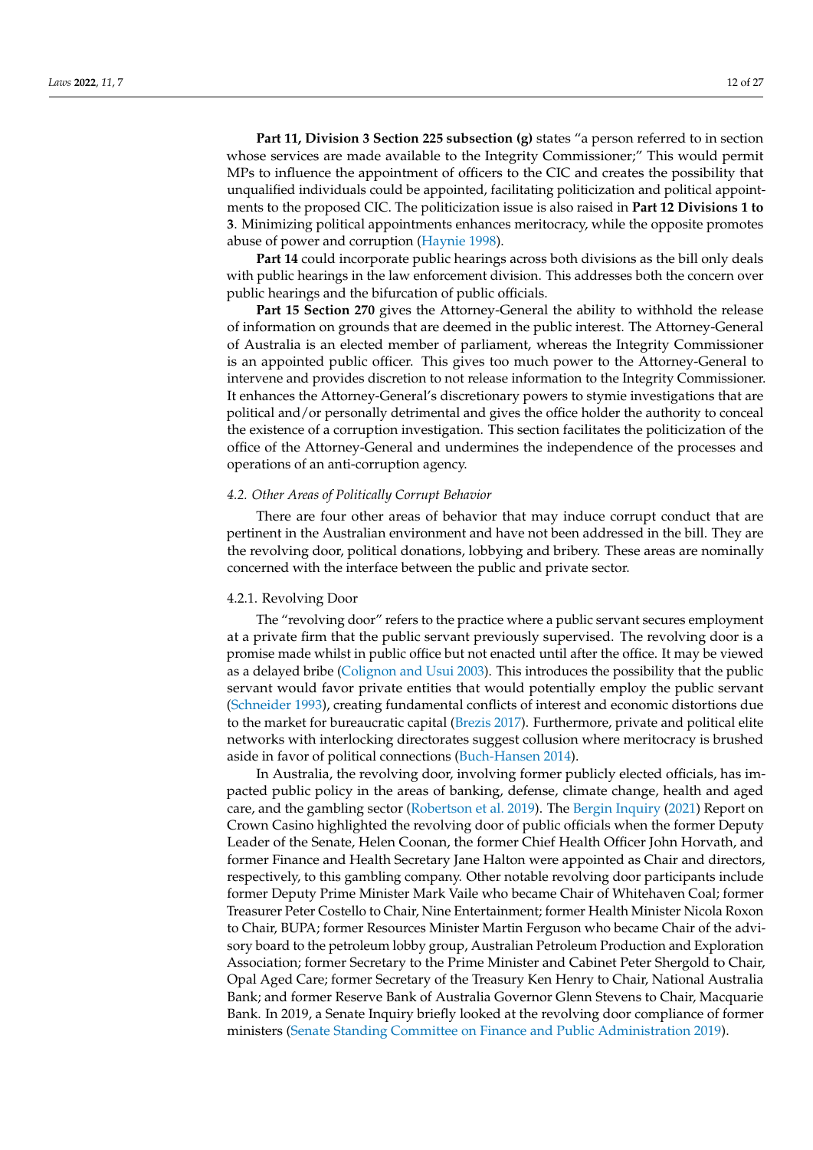**Part 11, Division 3 Section 225 subsection (g)** states "a person referred to in section whose services are made available to the Integrity Commissioner;" This would permit MPs to influence the appointment of officers to the CIC and creates the possibility that unqualified individuals could be appointed, facilitating politicization and political appointments to the proposed CIC. The politicization issue is also raised in **Part 12 Divisions 1 to 3**. Minimizing political appointments enhances meritocracy, while the opposite promotes abuse of power and corruption [\(Haynie](#page-22-17) [1998\)](#page-22-17).

**Part 14** could incorporate public hearings across both divisions as the bill only deals with public hearings in the law enforcement division. This addresses both the concern over public hearings and the bifurcation of public officials.

**Part 15 Section 270** gives the Attorney-General the ability to withhold the release of information on grounds that are deemed in the public interest. The Attorney-General of Australia is an elected member of parliament, whereas the Integrity Commissioner is an appointed public officer. This gives too much power to the Attorney-General to intervene and provides discretion to not release information to the Integrity Commissioner. It enhances the Attorney-General's discretionary powers to stymie investigations that are political and/or personally detrimental and gives the office holder the authority to conceal the existence of a corruption investigation. This section facilitates the politicization of the office of the Attorney-General and undermines the independence of the processes and operations of an anti-corruption agency.

#### *4.2. Other Areas of Politically Corrupt Behavior*

There are four other areas of behavior that may induce corrupt conduct that are pertinent in the Australian environment and have not been addressed in the bill. They are the revolving door, political donations, lobbying and bribery. These areas are nominally concerned with the interface between the public and private sector.

## 4.2.1. Revolving Door

The "revolving door" refers to the practice where a public servant secures employment at a private firm that the public servant previously supervised. The revolving door is a promise made whilst in public office but not enacted until after the office. It may be viewed as a delayed bribe [\(Colignon and Usui](#page-21-17) [2003\)](#page-21-17). This introduces the possibility that the public servant would favor private entities that would potentially employ the public servant [\(Schneider](#page-25-20) [1993\)](#page-25-20), creating fundamental conflicts of interest and economic distortions due to the market for bureaucratic capital [\(Brezis](#page-21-18) [2017\)](#page-21-18). Furthermore, private and political elite networks with interlocking directorates suggest collusion where meritocracy is brushed aside in favor of political connections [\(Buch-Hansen](#page-21-19) [2014\)](#page-21-19).

In Australia, the revolving door, involving former publicly elected officials, has impacted public policy in the areas of banking, defense, climate change, health and aged care, and the gambling sector [\(Robertson et al.](#page-24-20) [2019\)](#page-24-20). The [Bergin Inquiry](#page-21-20) [\(2021\)](#page-21-20) Report on Crown Casino highlighted the revolving door of public officials when the former Deputy Leader of the Senate, Helen Coonan, the former Chief Health Officer John Horvath, and former Finance and Health Secretary Jane Halton were appointed as Chair and directors, respectively, to this gambling company. Other notable revolving door participants include former Deputy Prime Minister Mark Vaile who became Chair of Whitehaven Coal; former Treasurer Peter Costello to Chair, Nine Entertainment; former Health Minister Nicola Roxon to Chair, BUPA; former Resources Minister Martin Ferguson who became Chair of the advisory board to the petroleum lobby group, Australian Petroleum Production and Exploration Association; former Secretary to the Prime Minister and Cabinet Peter Shergold to Chair, Opal Aged Care; former Secretary of the Treasury Ken Henry to Chair, National Australia Bank; and former Reserve Bank of Australia Governor Glenn Stevens to Chair, Macquarie Bank. In 2019, a Senate Inquiry briefly looked at the revolving door compliance of former ministers [\(Senate Standing Committee on Finance and Public Administration](#page-25-21) [2019\)](#page-25-21).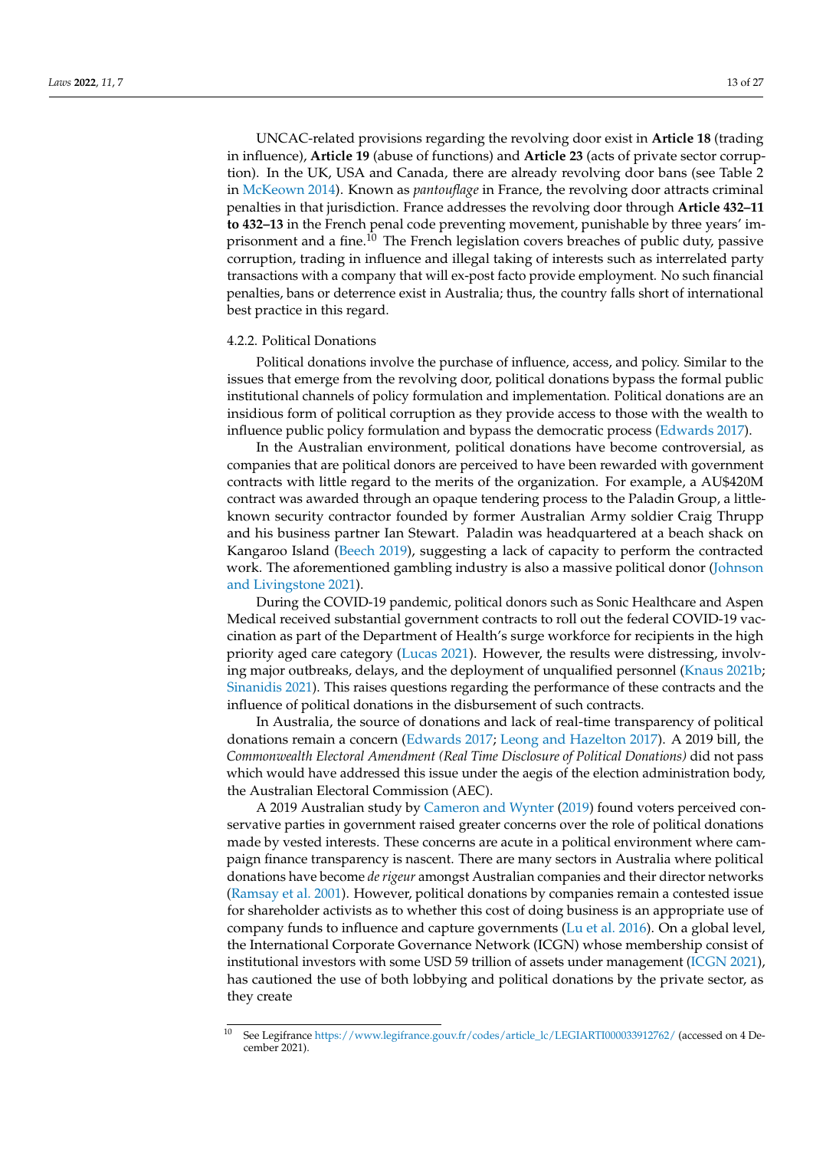UNCAC-related provisions regarding the revolving door exist in **Article 18** (trading in influence), **Article 19** (abuse of functions) and **Article 23** (acts of private sector corruption). In the UK, USA and Canada, there are already revolving door bans (see Table 2 in [McKeown](#page-23-17) [2014\)](#page-23-17). Known as *pantouflage* in France, the revolving door attracts criminal penalties in that jurisdiction. France addresses the revolving door through **Article 432–11 to 432–13** in the French penal code preventing movement, punishable by three years' imprisonment and a fine.<sup>10</sup> The French legislation covers breaches of public duty, passive corruption, trading in influence and illegal taking of interests such as interrelated party transactions with a company that will ex-post facto provide employment. No such financial penalties, bans or deterrence exist in Australia; thus, the country falls short of international best practice in this regard.

#### <span id="page-12-0"></span>4.2.2. Political Donations

Political donations involve the purchase of influence, access, and policy. Similar to the issues that emerge from the revolving door, political donations bypass the formal public institutional channels of policy formulation and implementation. Political donations are an insidious form of political corruption as they provide access to those with the wealth to influence public policy formulation and bypass the democratic process [\(Edwards](#page-22-18) [2017\)](#page-22-18).

In the Australian environment, political donations have become controversial, as companies that are political donors are perceived to have been rewarded with government contracts with little regard to the merits of the organization. For example, a AU\$420M contract was awarded through an opaque tendering process to the Paladin Group, a littleknown security contractor founded by former Australian Army soldier Craig Thrupp and his business partner Ian Stewart. Paladin was headquartered at a beach shack on Kangaroo Island [\(Beech](#page-21-21) [2019\)](#page-21-21), suggesting a lack of capacity to perform the contracted work. The aforementioned gambling industry is also a massive political donor [\(Johnson](#page-23-18) [and Livingstone](#page-23-18) [2021\)](#page-23-18).

During the COVID-19 pandemic, political donors such as Sonic Healthcare and Aspen Medical received substantial government contracts to roll out the federal COVID-19 vaccination as part of the Department of Health's surge workforce for recipients in the high priority aged care category [\(Lucas](#page-23-19) [2021\)](#page-23-19). However, the results were distressing, involving major outbreaks, delays, and the deployment of unqualified personnel [\(Knaus](#page-23-20) [2021b;](#page-23-20) [Sinanidis](#page-25-22) [2021\)](#page-25-22). This raises questions regarding the performance of these contracts and the influence of political donations in the disbursement of such contracts.

In Australia, the source of donations and lack of real-time transparency of political donations remain a concern [\(Edwards](#page-22-18) [2017;](#page-22-18) [Leong and Hazelton](#page-23-21) [2017\)](#page-23-21). A 2019 bill, the *Commonwealth Electoral Amendment (Real Time Disclosure of Political Donations)* did not pass which would have addressed this issue under the aegis of the election administration body, the Australian Electoral Commission (AEC).

A 2019 Australian study by [Cameron and Wynter](#page-21-22) [\(2019\)](#page-21-22) found voters perceived conservative parties in government raised greater concerns over the role of political donations made by vested interests. These concerns are acute in a political environment where campaign finance transparency is nascent. There are many sectors in Australia where political donations have become *de rigeur* amongst Australian companies and their director networks [\(Ramsay et al.](#page-24-21) [2001\)](#page-24-21). However, political donations by companies remain a contested issue for shareholder activists as to whether this cost of doing business is an appropriate use of company funds to influence and capture governments [\(Lu et al.](#page-23-22) [2016\)](#page-23-22). On a global level, the International Corporate Governance Network (ICGN) whose membership consist of institutional investors with some USD 59 trillion of assets under management [\(ICGN](#page-22-19) [2021\)](#page-22-19), has cautioned the use of both lobbying and political donations by the private sector, as they create

<sup>10</sup> See Legifrance [https://www.legifrance.gouv.fr/codes/article\\_lc/LEGIARTI000033912762/](https://www.legifrance.gouv.fr/codes/article_lc/LEGIARTI000033912762/) (accessed on 4 December 2021).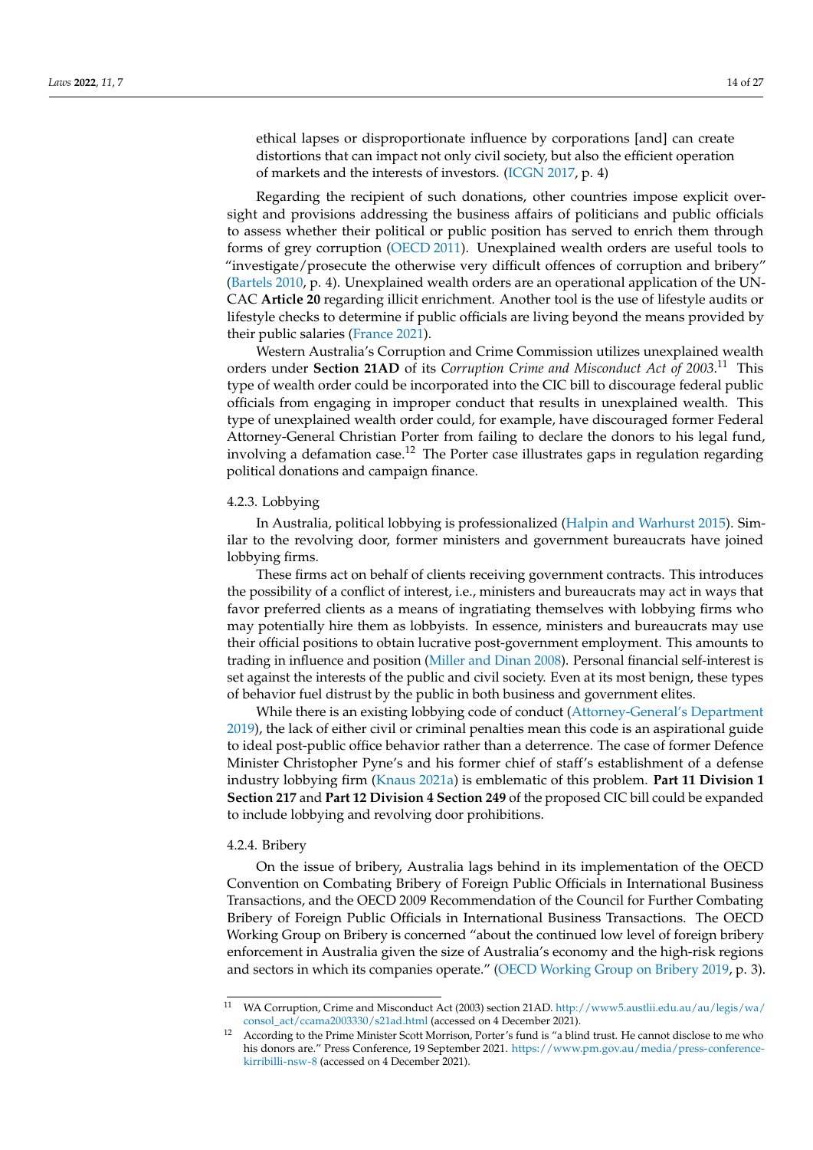ethical lapses or disproportionate influence by corporations [and] can create distortions that can impact not only civil society, but also the efficient operation of markets and the interests of investors. [\(ICGN](#page-22-20) [2017,](#page-22-20) p. 4)

Regarding the recipient of such donations, other countries impose explicit oversight and provisions addressing the business affairs of politicians and public officials to assess whether their political or public position has served to enrich them through forms of grey corruption [\(OECD](#page-24-22) [2011\)](#page-24-22). Unexplained wealth orders are useful tools to "investigate/prosecute the otherwise very difficult offences of corruption and bribery" [\(Bartels](#page-21-23) [2010,](#page-21-23) p. 4). Unexplained wealth orders are an operational application of the UN-CAC **Article 20** regarding illicit enrichment. Another tool is the use of lifestyle audits or lifestyle checks to determine if public officials are living beyond the means provided by their public salaries [\(France](#page-22-21) [2021\)](#page-22-21).

Western Australia's Corruption and Crime Commission utilizes unexplained wealth orders under **Section 21AD** of its *Corruption Crime and Misconduct Act of 2003*. <sup>11</sup> This type of wealth order could be incorporated into the CIC bill to discourage federal public officials from engaging in improper conduct that results in unexplained wealth. This type of unexplained wealth order could, for example, have discouraged former Federal Attorney-General Christian Porter from failing to declare the donors to his legal fund, involving a defamation case.<sup>12</sup> The Porter case illustrates gaps in regulation regarding political donations and campaign finance.

## 4.2.3. Lobbying

In Australia, political lobbying is professionalized [\(Halpin and Warhurst](#page-22-22) [2015\)](#page-22-22). Similar to the revolving door, former ministers and government bureaucrats have joined lobbying firms.

These firms act on behalf of clients receiving government contracts. This introduces the possibility of a conflict of interest, i.e., ministers and bureaucrats may act in ways that favor preferred clients as a means of ingratiating themselves with lobbying firms who may potentially hire them as lobbyists. In essence, ministers and bureaucrats may use their official positions to obtain lucrative post-government employment. This amounts to trading in influence and position [\(Miller and Dinan](#page-24-23) [2008\)](#page-24-23). Personal financial self-interest is set against the interests of the public and civil society. Even at its most benign, these types of behavior fuel distrust by the public in both business and government elites.

While there is an existing lobbying code of conduct [\(Attorney-General's Department](#page-20-7) [2019\)](#page-20-7), the lack of either civil or criminal penalties mean this code is an aspirational guide to ideal post-public office behavior rather than a deterrence. The case of former Defence Minister Christopher Pyne's and his former chief of staff's establishment of a defense industry lobbying firm [\(Knaus](#page-23-23) [2021a\)](#page-23-23) is emblematic of this problem. **Part 11 Division 1 Section 217** and **Part 12 Division 4 Section 249** of the proposed CIC bill could be expanded to include lobbying and revolving door prohibitions.

#### 4.2.4. Bribery

On the issue of bribery, Australia lags behind in its implementation of the OECD Convention on Combating Bribery of Foreign Public Officials in International Business Transactions, and the OECD 2009 Recommendation of the Council for Further Combating Bribery of Foreign Public Officials in International Business Transactions. The OECD Working Group on Bribery is concerned "about the continued low level of foreign bribery enforcement in Australia given the size of Australia's economy and the high-risk regions and sectors in which its companies operate." [\(OECD Working Group on Bribery](#page-24-24) [2019,](#page-24-24) p. 3).

<sup>11</sup> WA Corruption, Crime and Misconduct Act (2003) section 21AD. [http://www5.austlii.edu.au/au/legis/wa/](http://www5.austlii.edu.au/au/legis/wa/consol_act/ccama2003330/s21ad.html) [consol\\_act/ccama2003330/s21ad.html](http://www5.austlii.edu.au/au/legis/wa/consol_act/ccama2003330/s21ad.html) (accessed on 4 December 2021).

<sup>&</sup>lt;sup>12</sup> According to the Prime Minister Scott Morrison, Porter's fund is "a blind trust. He cannot disclose to me who his donors are." Press Conference, 19 September 2021. [https://www.pm.gov.au/media/press-conference](https://www.pm.gov.au/media/press-conference-kirribilli-nsw-8)[kirribilli-nsw-8](https://www.pm.gov.au/media/press-conference-kirribilli-nsw-8) (accessed on 4 December 2021).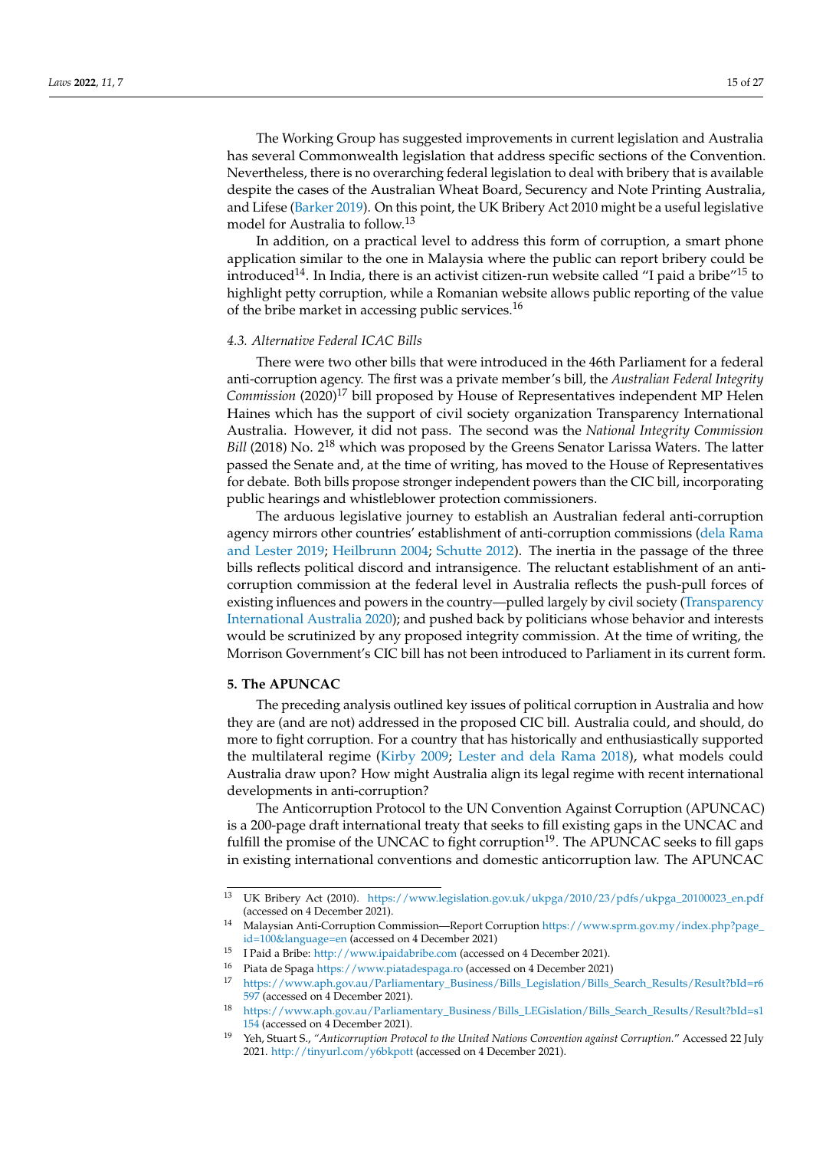The Working Group has suggested improvements in current legislation and Australia has several Commonwealth legislation that address specific sections of the Convention. Nevertheless, there is no overarching federal legislation to deal with bribery that is available despite the cases of the Australian Wheat Board, Securency and Note Printing Australia, and Lifese [\(Barker](#page-21-24) [2019\)](#page-21-24). On this point, the UK Bribery Act 2010 might be a useful legislative model for Australia to follow.<sup>13</sup>

In addition, on a practical level to address this form of corruption, a smart phone application similar to the one in Malaysia where the public can report bribery could be introduced<sup>14</sup>. In India, there is an activist citizen-run website called "I paid a bribe"<sup>15</sup> to highlight petty corruption, while a Romanian website allows public reporting of the value of the bribe market in accessing public services.<sup>16</sup>

### *4.3. Alternative Federal ICAC Bills*

There were two other bills that were introduced in the 46th Parliament for a federal anti-corruption agency. The first was a private member's bill, the *Australian Federal Integrity Commission* (2020)<sup>17</sup> bill proposed by House of Representatives independent MP Helen Haines which has the support of civil society organization Transparency International Australia. However, it did not pass. The second was the *National Integrity Commission Bill* (2018) No. 2<sup>18</sup> which was proposed by the Greens Senator Larissa Waters. The latter passed the Senate and, at the time of writing, has moved to the House of Representatives for debate. Both bills propose stronger independent powers than the CIC bill, incorporating public hearings and whistleblower protection commissioners.

The arduous legislative journey to establish an Australian federal anti-corruption agency mirrors other countries' establishment of anti-corruption commissions [\(dela Rama](#page-22-23) [and Lester](#page-22-23) [2019;](#page-22-23) [Heilbrunn](#page-22-24) [2004;](#page-22-24) [Schutte](#page-25-23) [2012\)](#page-25-23). The inertia in the passage of the three bills reflects political discord and intransigence. The reluctant establishment of an anticorruption commission at the federal level in Australia reflects the push-pull forces of existing influences and powers in the country—pulled largely by civil society [\(Transparency](#page-25-18) [International Australia](#page-25-18) [2020\)](#page-25-18); and pushed back by politicians whose behavior and interests would be scrutinized by any proposed integrity commission. At the time of writing, the Morrison Government's CIC bill has not been introduced to Parliament in its current form.

## **5. The APUNCAC**

The preceding analysis outlined key issues of political corruption in Australia and how they are (and are not) addressed in the proposed CIC bill. Australia could, and should, do more to fight corruption. For a country that has historically and enthusiastically supported the multilateral regime [\(Kirby](#page-23-24) [2009;](#page-23-24) [Lester and dela Rama](#page-23-25) [2018\)](#page-23-25), what models could Australia draw upon? How might Australia align its legal regime with recent international developments in anti-corruption?

The Anticorruption Protocol to the UN Convention Against Corruption (APUNCAC) is a 200-page draft international treaty that seeks to fill existing gaps in the UNCAC and fulfill the promise of the UNCAC to fight corruption $19$ . The APUNCAC seeks to fill gaps in existing international conventions and domestic anticorruption law. The APUNCAC

<sup>13</sup> UK Bribery Act (2010). [https://www.legislation.gov.uk/ukpga/2010/23/pdfs/ukpga\\_20100023\\_en.pdf](https://www.legislation.gov.uk/ukpga/2010/23/pdfs/ukpga_20100023_en.pdf) (accessed on 4 December 2021).

<sup>14</sup> Malaysian Anti-Corruption Commission—Report Corruption [https://www.sprm.gov.my/index.php?page\\_](https://www.sprm.gov.my/index.php?page_id=100&language=en) [id=100&language=en](https://www.sprm.gov.my/index.php?page_id=100&language=en) (accessed on 4 December 2021)

<sup>15</sup> I Paid a Bribe: <http://www.ipaidabribe.com> (accessed on 4 December 2021).

<sup>&</sup>lt;sup>16</sup> Piata de Spaga <https://www.piatadespaga.ro> (accessed on 4 December 2021)<br><sup>17</sup> https://www.aph.gov.au/Parliamentary Business/Bills Legislation/Bills

<sup>17</sup> [https://www.aph.gov.au/Parliamentary\\_Business/Bills\\_Legislation/Bills\\_Search\\_Results/Result?bId=r6](https://www.aph.gov.au/Parliamentary_Business/Bills_Legislation/Bills_Search_Results/Result?bId=r6597) [597](https://www.aph.gov.au/Parliamentary_Business/Bills_Legislation/Bills_Search_Results/Result?bId=r6597) (accessed on 4 December 2021).

<sup>18</sup> [https://www.aph.gov.au/Parliamentary\\_Business/Bills\\_LEGislation/Bills\\_Search\\_Results/Result?bId=s1](https://www.aph.gov.au/Parliamentary_Business/Bills_LEGislation/Bills_Search_Results/Result?bId=s1154) [154](https://www.aph.gov.au/Parliamentary_Business/Bills_LEGislation/Bills_Search_Results/Result?bId=s1154) (accessed on 4 December 2021).

<sup>19</sup> Yeh, Stuart S., *"Anticorruption Protocol to the United Nations Convention against Corruption.*" Accessed 22 July 2021. <http://tinyurl.com/y6bkpott> (accessed on 4 December 2021).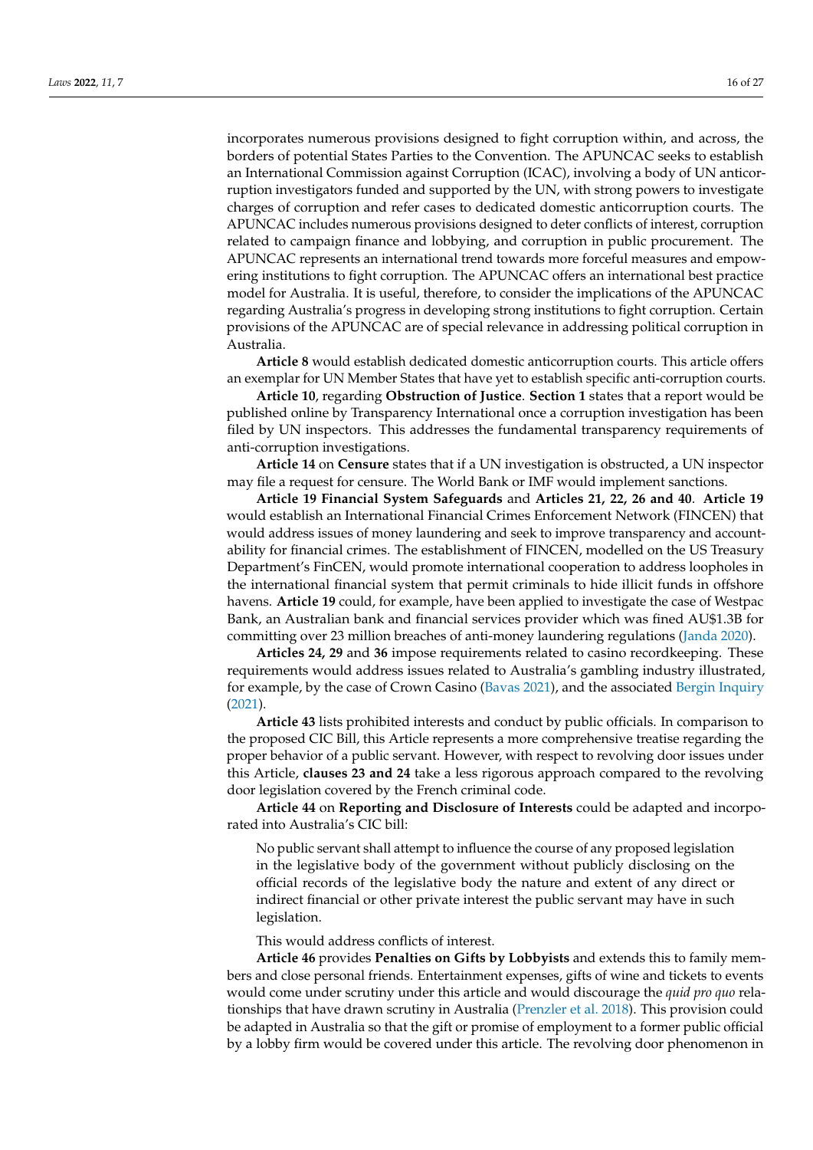incorporates numerous provisions designed to fight corruption within, and across, the borders of potential States Parties to the Convention. The APUNCAC seeks to establish an International Commission against Corruption (ICAC), involving a body of UN anticorruption investigators funded and supported by the UN, with strong powers to investigate charges of corruption and refer cases to dedicated domestic anticorruption courts. The APUNCAC includes numerous provisions designed to deter conflicts of interest, corruption related to campaign finance and lobbying, and corruption in public procurement. The APUNCAC represents an international trend towards more forceful measures and empowering institutions to fight corruption. The APUNCAC offers an international best practice model for Australia. It is useful, therefore, to consider the implications of the APUNCAC regarding Australia's progress in developing strong institutions to fight corruption. Certain provisions of the APUNCAC are of special relevance in addressing political corruption in Australia.

**Article 8** would establish dedicated domestic anticorruption courts. This article offers an exemplar for UN Member States that have yet to establish specific anti-corruption courts.

**Article 10**, regarding **Obstruction of Justice**. **Section 1** states that a report would be published online by Transparency International once a corruption investigation has been filed by UN inspectors. This addresses the fundamental transparency requirements of anti-corruption investigations.

**Article 14** on **Censure** states that if a UN investigation is obstructed, a UN inspector may file a request for censure. The World Bank or IMF would implement sanctions.

**Article 19 Financial System Safeguards** and **Articles 21, 22, 26 and 40**. **Article 19** would establish an International Financial Crimes Enforcement Network (FINCEN) that would address issues of money laundering and seek to improve transparency and accountability for financial crimes. The establishment of FINCEN, modelled on the US Treasury Department's FinCEN, would promote international cooperation to address loopholes in the international financial system that permit criminals to hide illicit funds in offshore havens. **Article 19** could, for example, have been applied to investigate the case of Westpac Bank, an Australian bank and financial services provider which was fined AU\$1.3B for committing over 23 million breaches of anti-money laundering regulations [\(Janda](#page-22-25) [2020\)](#page-22-25).

**Articles 24, 29** and **36** impose requirements related to casino recordkeeping. These requirements would address issues related to Australia's gambling industry illustrated, for example, by the case of Crown Casino [\(Bavas](#page-21-25) [2021\)](#page-21-25), and the associated [Bergin Inquiry](#page-21-20) [\(2021\)](#page-21-20).

**Article 43** lists prohibited interests and conduct by public officials. In comparison to the proposed CIC Bill, this Article represents a more comprehensive treatise regarding the proper behavior of a public servant. However, with respect to revolving door issues under this Article, **clauses 23 and 24** take a less rigorous approach compared to the revolving door legislation covered by the French criminal code.

**Article 44** on **Reporting and Disclosure of Interests** could be adapted and incorporated into Australia's CIC bill:

No public servant shall attempt to influence the course of any proposed legislation in the legislative body of the government without publicly disclosing on the official records of the legislative body the nature and extent of any direct or indirect financial or other private interest the public servant may have in such legislation.

This would address conflicts of interest.

**Article 46** provides **Penalties on Gifts by Lobbyists** and extends this to family members and close personal friends. Entertainment expenses, gifts of wine and tickets to events would come under scrutiny under this article and would discourage the *quid pro quo* relationships that have drawn scrutiny in Australia [\(Prenzler et al.](#page-24-1) [2018\)](#page-24-1). This provision could be adapted in Australia so that the gift or promise of employment to a former public official by a lobby firm would be covered under this article. The revolving door phenomenon in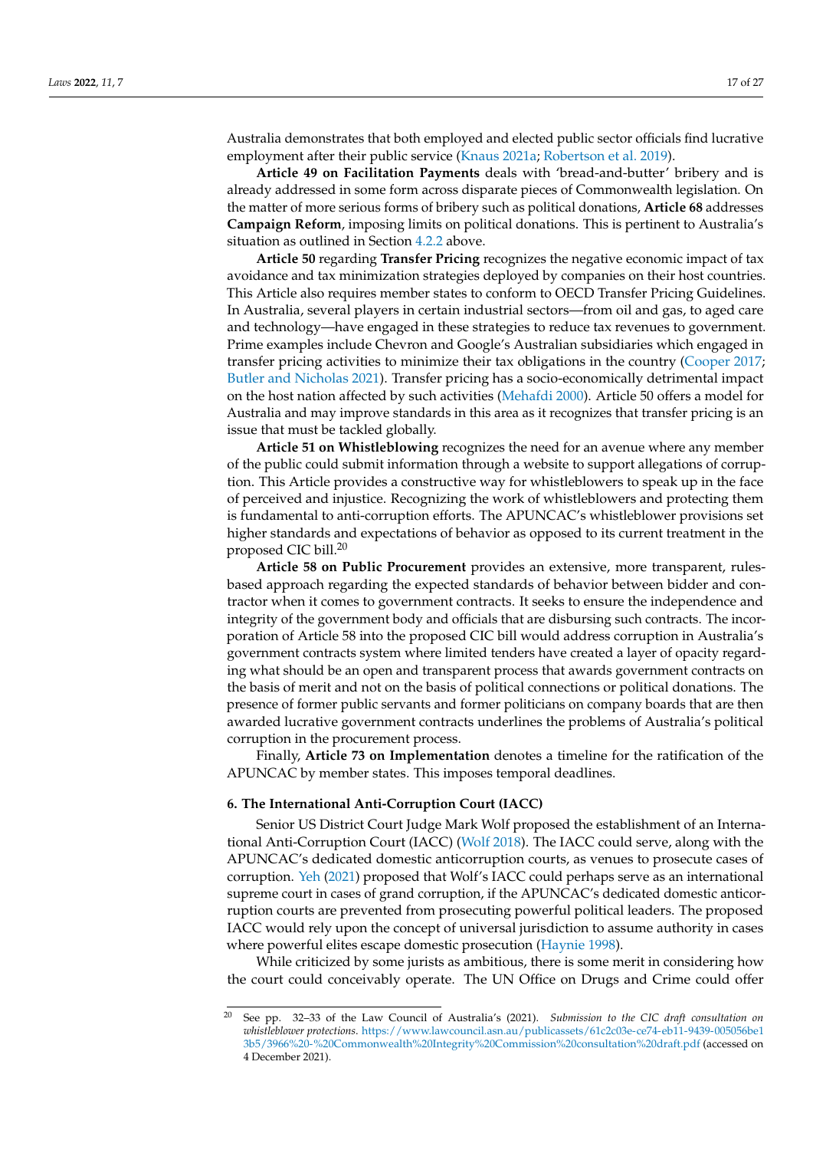Australia demonstrates that both employed and elected public sector officials find lucrative employment after their public service [\(Knaus](#page-23-23) [2021a;](#page-23-23) [Robertson et al.](#page-24-20) [2019\)](#page-24-20).

**Article 49 on Facilitation Payments** deals with 'bread-and-butter' bribery and is already addressed in some form across disparate pieces of Commonwealth legislation. On the matter of more serious forms of bribery such as political donations, **Article 68** addresses **Campaign Reform**, imposing limits on political donations. This is pertinent to Australia's situation as outlined in Section [4.2.2](#page-12-0) above.

**Article 50** regarding **Transfer Pricing** recognizes the negative economic impact of tax avoidance and tax minimization strategies deployed by companies on their host countries. This Article also requires member states to conform to OECD Transfer Pricing Guidelines. In Australia, several players in certain industrial sectors—from oil and gas, to aged care and technology—have engaged in these strategies to reduce tax revenues to government. Prime examples include Chevron and Google's Australian subsidiaries which engaged in transfer pricing activities to minimize their tax obligations in the country [\(Cooper](#page-21-26) [2017;](#page-21-26) [Butler and Nicholas](#page-21-27) [2021\)](#page-21-27). Transfer pricing has a socio-economically detrimental impact on the host nation affected by such activities [\(Mehafdi](#page-23-26) [2000\)](#page-23-26). Article 50 offers a model for Australia and may improve standards in this area as it recognizes that transfer pricing is an issue that must be tackled globally.

**Article 51 on Whistleblowing** recognizes the need for an avenue where any member of the public could submit information through a website to support allegations of corruption. This Article provides a constructive way for whistleblowers to speak up in the face of perceived and injustice. Recognizing the work of whistleblowers and protecting them is fundamental to anti-corruption efforts. The APUNCAC's whistleblower provisions set higher standards and expectations of behavior as opposed to its current treatment in the proposed CIC bill.<sup>20</sup>

**Article 58 on Public Procurement** provides an extensive, more transparent, rulesbased approach regarding the expected standards of behavior between bidder and contractor when it comes to government contracts. It seeks to ensure the independence and integrity of the government body and officials that are disbursing such contracts. The incorporation of Article 58 into the proposed CIC bill would address corruption in Australia's government contracts system where limited tenders have created a layer of opacity regarding what should be an open and transparent process that awards government contracts on the basis of merit and not on the basis of political connections or political donations. The presence of former public servants and former politicians on company boards that are then awarded lucrative government contracts underlines the problems of Australia's political corruption in the procurement process.

Finally, **Article 73 on Implementation** denotes a timeline for the ratification of the APUNCAC by member states. This imposes temporal deadlines.

## **6. The International Anti-Corruption Court (IACC)**

Senior US District Court Judge Mark Wolf proposed the establishment of an International Anti-Corruption Court (IACC) [\(Wolf](#page-26-5) [2018\)](#page-26-5). The IACC could serve, along with the APUNCAC's dedicated domestic anticorruption courts, as venues to prosecute cases of corruption. [Yeh](#page-26-6) [\(2021\)](#page-26-6) proposed that Wolf's IACC could perhaps serve as an international supreme court in cases of grand corruption, if the APUNCAC's dedicated domestic anticorruption courts are prevented from prosecuting powerful political leaders. The proposed IACC would rely upon the concept of universal jurisdiction to assume authority in cases where powerful elites escape domestic prosecution [\(Haynie](#page-22-17) [1998\)](#page-22-17).

While criticized by some jurists as ambitious, there is some merit in considering how the court could conceivably operate. The UN Office on Drugs and Crime could offer

<sup>20</sup> See pp. 32–33 of the Law Council of Australia's (2021). *Submission to the CIC draft consultation on whistleblower protections*. [https://www.lawcouncil.asn.au/publicassets/61c2c03e-ce74-eb11-9439-005056be1](https://www.lawcouncil.asn.au/publicassets/61c2c03e-ce74-eb11-9439-005056be13b5/3966%20-%20Commonwealth%20Integrity%20Commission%20consultation%20draft.pdf) [3b5/3966%20-%20Commonwealth%20Integrity%20Commission%20consultation%20draft.pdf](https://www.lawcouncil.asn.au/publicassets/61c2c03e-ce74-eb11-9439-005056be13b5/3966%20-%20Commonwealth%20Integrity%20Commission%20consultation%20draft.pdf) (accessed on 4 December 2021).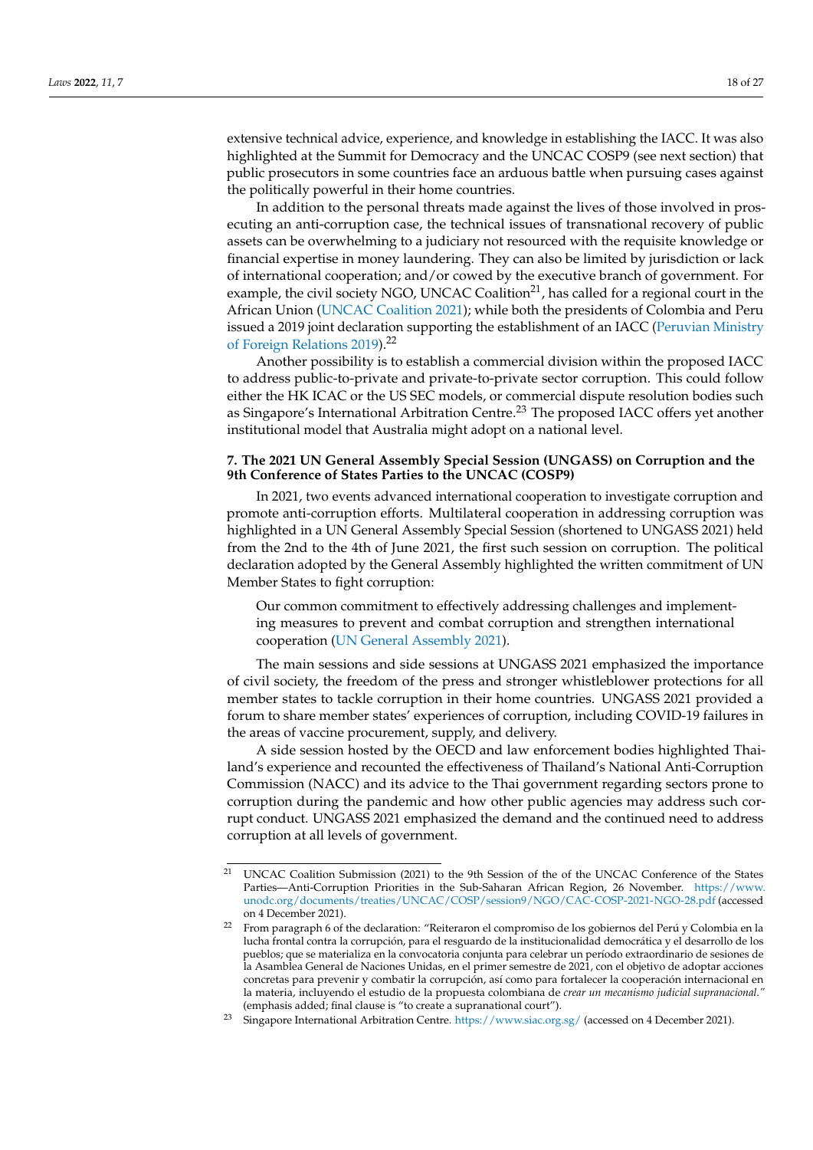extensive technical advice, experience, and knowledge in establishing the IACC. It was also highlighted at the Summit for Democracy and the UNCAC COSP9 (see next section) that public prosecutors in some countries face an arduous battle when pursuing cases against the politically powerful in their home countries.

In addition to the personal threats made against the lives of those involved in prosecuting an anti-corruption case, the technical issues of transnational recovery of public assets can be overwhelming to a judiciary not resourced with the requisite knowledge or financial expertise in money laundering. They can also be limited by jurisdiction or lack of international cooperation; and/or cowed by the executive branch of government. For example, the civil society NGO, UNCAC Coalition $^{21}$ , has called for a regional court in the African Union [\(UNCAC Coalition](#page-25-24) [2021\)](#page-25-24); while both the presidents of Colombia and Peru issued a 2019 joint declaration supporting the establishment of an IACC [\(Peruvian Ministry](#page-24-25) [of Foreign Relations](#page-24-25) [2019\)](#page-24-25).<sup>22</sup>

Another possibility is to establish a commercial division within the proposed IACC to address public-to-private and private-to-private sector corruption. This could follow either the HK ICAC or the US SEC models, or commercial dispute resolution bodies such as Singapore's International Arbitration Centre.<sup>23</sup> The proposed IACC offers yet another institutional model that Australia might adopt on a national level.

## **7. The 2021 UN General Assembly Special Session (UNGASS) on Corruption and the 9th Conference of States Parties to the UNCAC (COSP9)**

In 2021, two events advanced international cooperation to investigate corruption and promote anti-corruption efforts. Multilateral cooperation in addressing corruption was highlighted in a UN General Assembly Special Session (shortened to UNGASS 2021) held from the 2nd to the 4th of June 2021, the first such session on corruption. The political declaration adopted by the General Assembly highlighted the written commitment of UN Member States to fight corruption:

Our common commitment to effectively addressing challenges and implementing measures to prevent and combat corruption and strengthen international cooperation [\(UN General Assembly](#page-25-25) [2021\)](#page-25-25).

The main sessions and side sessions at UNGASS 2021 emphasized the importance of civil society, the freedom of the press and stronger whistleblower protections for all member states to tackle corruption in their home countries. UNGASS 2021 provided a forum to share member states' experiences of corruption, including COVID-19 failures in the areas of vaccine procurement, supply, and delivery.

A side session hosted by the OECD and law enforcement bodies highlighted Thailand's experience and recounted the effectiveness of Thailand's National Anti-Corruption Commission (NACC) and its advice to the Thai government regarding sectors prone to corruption during the pandemic and how other public agencies may address such corrupt conduct. UNGASS 2021 emphasized the demand and the continued need to address corruption at all levels of government.

<sup>&</sup>lt;sup>21</sup> UNCAC Coalition Submission (2021) to the 9th Session of the of the UNCAC Conference of the States Parties—Anti-Corruption Priorities in the Sub-Saharan African Region, 26 November. [https://www.](https://www.unodc.org/documents/treaties/UNCAC/COSP/session9/NGO/CAC-COSP-2021-NGO-28.pdf) [unodc.org/documents/treaties/UNCAC/COSP/session9/NGO/CAC-COSP-2021-NGO-28.pdf](https://www.unodc.org/documents/treaties/UNCAC/COSP/session9/NGO/CAC-COSP-2021-NGO-28.pdf) (accessed on 4 December 2021).

<sup>&</sup>lt;sup>22</sup> From paragraph 6 of the declaration: "Reiteraron el compromiso de los gobiernos del Perú y Colombia en la lucha frontal contra la corrupción, para el resguardo de la institucionalidad democrática y el desarrollo de los pueblos; que se materializa en la convocatoria conjunta para celebrar un período extraordinario de sesiones de la Asamblea General de Naciones Unidas, en el primer semestre de 2021, con el objetivo de adoptar acciones concretas para prevenir y combatir la corrupción, así como para fortalecer la cooperación internacional en la materia, incluyendo el estudio de la propuesta colombiana de *crear un mecanismo judicial supranacional."* (emphasis added; final clause is "to create a supranational court").

<sup>&</sup>lt;sup>23</sup> Singapore International Arbitration Centre. <https://www.siac.org.sg/> (accessed on 4 December 2021).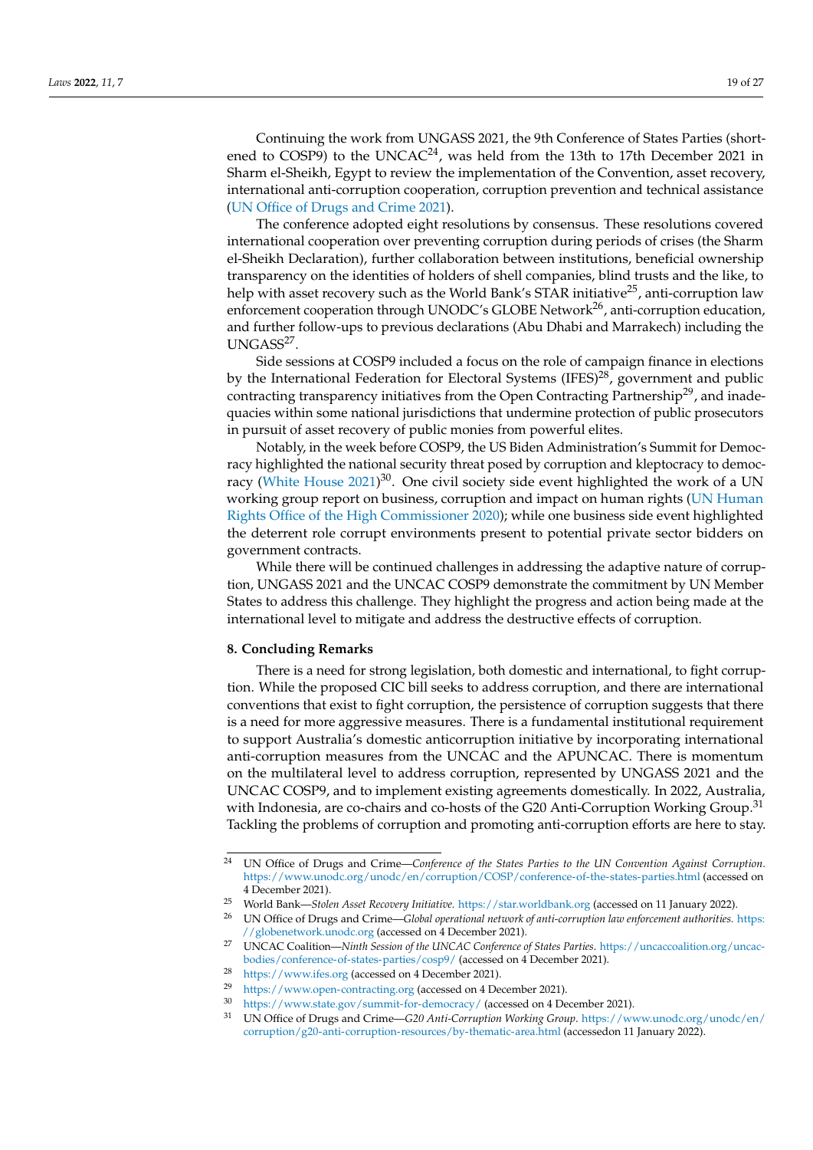Continuing the work from UNGASS 2021, the 9th Conference of States Parties (shortened to COSP9) to the UNCAC<sup>24</sup>, was held from the 13th to 17th December 2021 in Sharm el-Sheikh, Egypt to review the implementation of the Convention, asset recovery, international anti-corruption cooperation, corruption prevention and technical assistance [\(UN Office of Drugs and Crime](#page-25-26) [2021\)](#page-25-26).

The conference adopted eight resolutions by consensus. These resolutions covered international cooperation over preventing corruption during periods of crises (the Sharm el-Sheikh Declaration), further collaboration between institutions, beneficial ownership transparency on the identities of holders of shell companies, blind trusts and the like, to help with asset recovery such as the World Bank's STAR initiative<sup>25</sup>, anti-corruption law enforcement cooperation through UNODC's GLOBE Network<sup>26</sup>, anti-corruption education, and further follow-ups to previous declarations (Abu Dhabi and Marrakech) including the UNGASS<sup>27</sup>.

Side sessions at COSP9 included a focus on the role of campaign finance in elections by the International Federation for Electoral Systems (IFES)<sup>28</sup>, government and public contracting transparency initiatives from the Open Contracting Partnership<sup>29</sup>, and inadequacies within some national jurisdictions that undermine protection of public prosecutors in pursuit of asset recovery of public monies from powerful elites.

Notably, in the week before COSP9, the US Biden Administration's Summit for Democracy highlighted the national security threat posed by corruption and kleptocracy to democ-racy [\(White House](#page-26-7) [2021\)](#page-26-7)<sup>30</sup>. One civil society side event highlighted the work of a UN working group report on business, corruption and impact on human rights [\(UN Human](#page-25-27) [Rights Office of the High Commissioner](#page-25-27) [2020\)](#page-25-27); while one business side event highlighted the deterrent role corrupt environments present to potential private sector bidders on government contracts.

While there will be continued challenges in addressing the adaptive nature of corruption, UNGASS 2021 and the UNCAC COSP9 demonstrate the commitment by UN Member States to address this challenge. They highlight the progress and action being made at the international level to mitigate and address the destructive effects of corruption.

#### **8. Concluding Remarks**

There is a need for strong legislation, both domestic and international, to fight corruption. While the proposed CIC bill seeks to address corruption, and there are international conventions that exist to fight corruption, the persistence of corruption suggests that there is a need for more aggressive measures. There is a fundamental institutional requirement to support Australia's domestic anticorruption initiative by incorporating international anti-corruption measures from the UNCAC and the APUNCAC. There is momentum on the multilateral level to address corruption, represented by UNGASS 2021 and the UNCAC COSP9, and to implement existing agreements domestically. In 2022, Australia, with Indonesia, are co-chairs and co-hosts of the G20 Anti-Corruption Working Group.<sup>31</sup> Tackling the problems of corruption and promoting anti-corruption efforts are here to stay.

<sup>24</sup> UN Office of Drugs and Crime—*Conference of the States Parties to the UN Convention Against Corruption*. <https://www.unodc.org/unodc/en/corruption/COSP/conference-of-the-states-parties.html> (accessed on 4 December 2021).

<sup>25</sup> World Bank—*Stolen Asset Recovery Initiative.* <https://star.worldbank.org> (accessed on 11 January 2022).

<sup>26</sup> UN Office of Drugs and Crime—*Global operational network of anti-corruption law enforcement authorities.* [https:](https://globenetwork.unodc.org) [//globenetwork.unodc.org](https://globenetwork.unodc.org) (accessed on 4 December 2021).

<sup>27</sup> UNCAC Coalition—*Ninth Session of the UNCAC Conference of States Parties*. [https://uncaccoalition.org/uncac](https://uncaccoalition.org/uncac-bodies/conference-of-states-parties/cosp9/)[bodies/conference-of-states-parties/cosp9/](https://uncaccoalition.org/uncac-bodies/conference-of-states-parties/cosp9/) (accessed on 4 December 2021).

<sup>28</sup> <https://www.ifes.org> (accessed on 4 December 2021).

<sup>&</sup>lt;sup>29</sup> <https://www.open-contracting.org> (accessed on 4 December 2021).<br> $\frac{30}{2}$  https://www.open-contracting.org (accessed on 4 December 2021).

<sup>&</sup>lt;sup>30</sup> <https://www.state.gov/summit-for-democracy/> (accessed on 4 December 2021).<br><sup>31</sup> LIMOffice of Dures and Crime *C20 Anti Comunition Warking Crawn https://ww* 

<sup>31</sup> UN Office of Drugs and Crime—*G20 Anti-Corruption Working Group*. [https://www.unodc.org/unodc/en/](https://www.unodc.org/unodc/en/corruption/g20-anti-corruption-resources/by-thematic-area.html) [corruption/g20-anti-corruption-resources/by-thematic-area.html](https://www.unodc.org/unodc/en/corruption/g20-anti-corruption-resources/by-thematic-area.html) (accessedon 11 January 2022).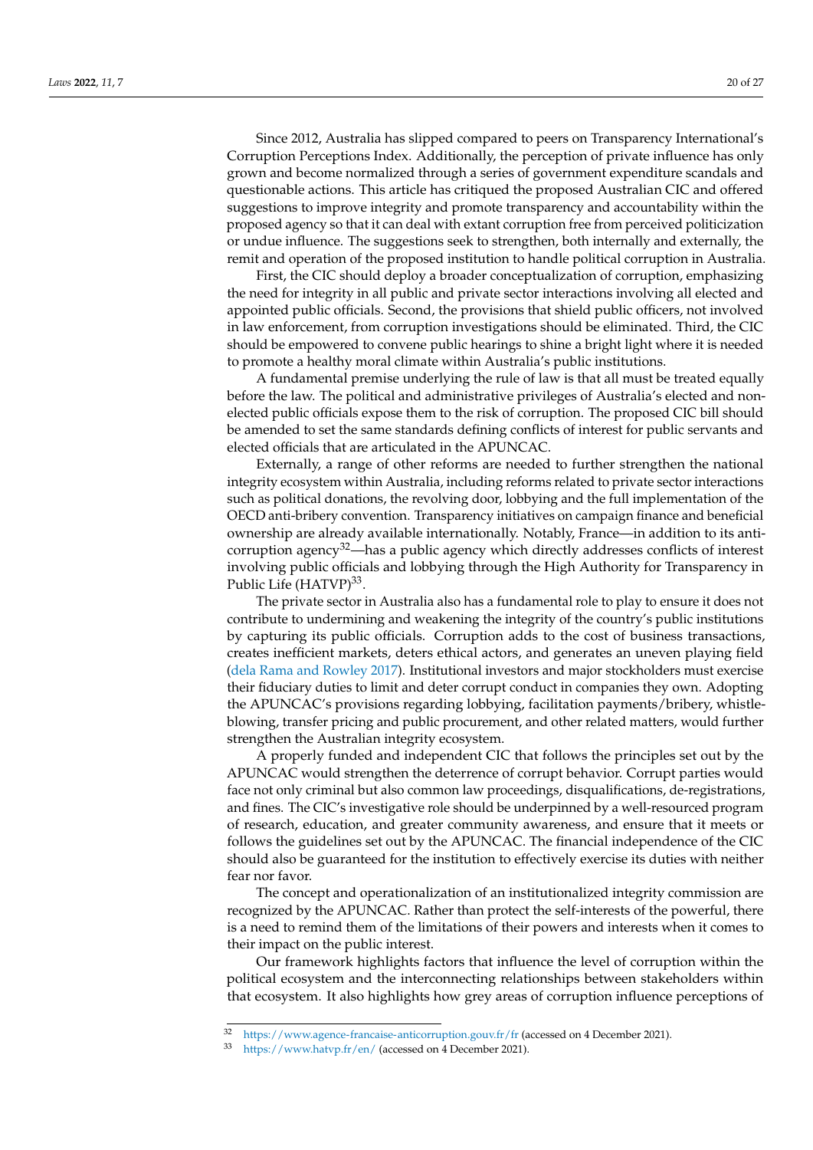Since 2012, Australia has slipped compared to peers on Transparency International's Corruption Perceptions Index. Additionally, the perception of private influence has only grown and become normalized through a series of government expenditure scandals and questionable actions. This article has critiqued the proposed Australian CIC and offered suggestions to improve integrity and promote transparency and accountability within the proposed agency so that it can deal with extant corruption free from perceived politicization or undue influence. The suggestions seek to strengthen, both internally and externally, the remit and operation of the proposed institution to handle political corruption in Australia.

First, the CIC should deploy a broader conceptualization of corruption, emphasizing the need for integrity in all public and private sector interactions involving all elected and appointed public officials. Second, the provisions that shield public officers, not involved in law enforcement, from corruption investigations should be eliminated. Third, the CIC should be empowered to convene public hearings to shine a bright light where it is needed to promote a healthy moral climate within Australia's public institutions.

A fundamental premise underlying the rule of law is that all must be treated equally before the law. The political and administrative privileges of Australia's elected and nonelected public officials expose them to the risk of corruption. The proposed CIC bill should be amended to set the same standards defining conflicts of interest for public servants and elected officials that are articulated in the APUNCAC.

Externally, a range of other reforms are needed to further strengthen the national integrity ecosystem within Australia, including reforms related to private sector interactions such as political donations, the revolving door, lobbying and the full implementation of the OECD anti-bribery convention. Transparency initiatives on campaign finance and beneficial ownership are already available internationally. Notably, France—in addition to its anticorruption agency $3^2$ —has a public agency which directly addresses conflicts of interest involving public officials and lobbying through the High Authority for Transparency in Public Life (HATVP)<sup>33</sup>.

The private sector in Australia also has a fundamental role to play to ensure it does not contribute to undermining and weakening the integrity of the country's public institutions by capturing its public officials. Corruption adds to the cost of business transactions, creates inefficient markets, deters ethical actors, and generates an uneven playing field [\(dela Rama and Rowley](#page-21-28) [2017\)](#page-21-28). Institutional investors and major stockholders must exercise their fiduciary duties to limit and deter corrupt conduct in companies they own. Adopting the APUNCAC's provisions regarding lobbying, facilitation payments/bribery, whistleblowing, transfer pricing and public procurement, and other related matters, would further strengthen the Australian integrity ecosystem.

A properly funded and independent CIC that follows the principles set out by the APUNCAC would strengthen the deterrence of corrupt behavior. Corrupt parties would face not only criminal but also common law proceedings, disqualifications, de-registrations, and fines. The CIC's investigative role should be underpinned by a well-resourced program of research, education, and greater community awareness, and ensure that it meets or follows the guidelines set out by the APUNCAC. The financial independence of the CIC should also be guaranteed for the institution to effectively exercise its duties with neither fear nor favor.

The concept and operationalization of an institutionalized integrity commission are recognized by the APUNCAC. Rather than protect the self-interests of the powerful, there is a need to remind them of the limitations of their powers and interests when it comes to their impact on the public interest.

Our framework highlights factors that influence the level of corruption within the political ecosystem and the interconnecting relationships between stakeholders within that ecosystem. It also highlights how grey areas of corruption influence perceptions of

<sup>32</sup> <https://www.agence-francaise-anticorruption.gouv.fr/fr> (accessed on 4 December 2021).

<sup>33</sup> <https://www.hatvp.fr/en/> (accessed on 4 December 2021).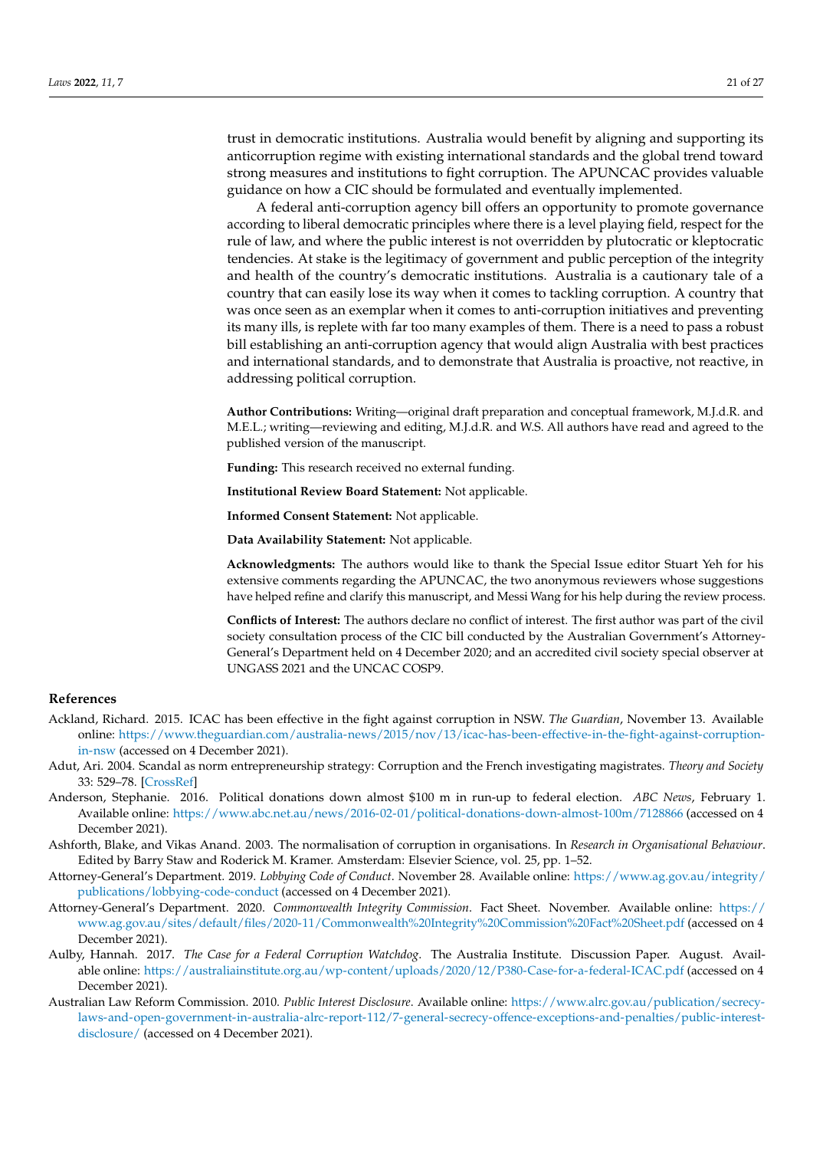trust in democratic institutions. Australia would benefit by aligning and supporting its anticorruption regime with existing international standards and the global trend toward strong measures and institutions to fight corruption. The APUNCAC provides valuable guidance on how a CIC should be formulated and eventually implemented.

A federal anti-corruption agency bill offers an opportunity to promote governance according to liberal democratic principles where there is a level playing field, respect for the rule of law, and where the public interest is not overridden by plutocratic or kleptocratic tendencies. At stake is the legitimacy of government and public perception of the integrity and health of the country's democratic institutions. Australia is a cautionary tale of a country that can easily lose its way when it comes to tackling corruption. A country that was once seen as an exemplar when it comes to anti-corruption initiatives and preventing its many ills, is replete with far too many examples of them. There is a need to pass a robust bill establishing an anti-corruption agency that would align Australia with best practices and international standards, and to demonstrate that Australia is proactive, not reactive, in addressing political corruption.

**Author Contributions:** Writing—original draft preparation and conceptual framework, M.J.d.R. and M.E.L.; writing—reviewing and editing, M.J.d.R. and W.S. All authors have read and agreed to the published version of the manuscript.

**Funding:** This research received no external funding.

**Institutional Review Board Statement:** Not applicable.

**Informed Consent Statement:** Not applicable.

**Data Availability Statement:** Not applicable.

**Acknowledgments:** The authors would like to thank the Special Issue editor Stuart Yeh for his extensive comments regarding the APUNCAC, the two anonymous reviewers whose suggestions have helped refine and clarify this manuscript, and Messi Wang for his help during the review process.

**Conflicts of Interest:** The authors declare no conflict of interest. The first author was part of the civil society consultation process of the CIC bill conducted by the Australian Government's Attorney-General's Department held on 4 December 2020; and an accredited civil society special observer at UNGASS 2021 and the UNCAC COSP9.

## **References**

- <span id="page-20-4"></span>Ackland, Richard. 2015. ICAC has been effective in the fight against corruption in NSW. *The Guardian*, November 13. Available online: [https://www.theguardian.com/australia-news/2015/nov/13/icac-has-been-effective-in-the-fight-against-corruption](https://www.theguardian.com/australia-news/2015/nov/13/icac-has-been-effective-in-the-fight-against-corruption-in-nsw)[in-nsw](https://www.theguardian.com/australia-news/2015/nov/13/icac-has-been-effective-in-the-fight-against-corruption-in-nsw) (accessed on 4 December 2021).
- <span id="page-20-6"></span>Adut, Ari. 2004. Scandal as norm entrepreneurship strategy: Corruption and the French investigating magistrates. *Theory and Society* 33: 529–78. [\[CrossRef\]](http://doi.org/10.1023/B:RYSO.0000045718.42431.7d)
- <span id="page-20-0"></span>Anderson, Stephanie. 2016. Political donations down almost \$100 m in run-up to federal election. *ABC News*, February 1. Available online: <https://www.abc.net.au/news/2016-02-01/political-donations-down-almost-100m/7128866> (accessed on 4 December 2021).
- <span id="page-20-1"></span>Ashforth, Blake, and Vikas Anand. 2003. The normalisation of corruption in organisations. In *Research in Organisational Behaviour*. Edited by Barry Staw and Roderick M. Kramer. Amsterdam: Elsevier Science, vol. 25, pp. 1–52.
- <span id="page-20-7"></span>Attorney-General's Department. 2019. *Lobbying Code of Conduct*. November 28. Available online: [https://www.ag.gov.au/integrity/](https://www.ag.gov.au/integrity/publications/lobbying-code-conduct) [publications/lobbying-code-conduct](https://www.ag.gov.au/integrity/publications/lobbying-code-conduct) (accessed on 4 December 2021).
- <span id="page-20-3"></span>Attorney-General's Department. 2020. *Commonwealth Integrity Commission*. Fact Sheet. November. Available online: [https://](https://www.ag.gov.au/sites/default/files/2020-11/Commonwealth%20Integrity%20Commission%20Fact%20Sheet.pdf) [www.ag.gov.au/sites/default/files/2020-11/Commonwealth%20Integrity%20Commission%20Fact%20Sheet.pdf](https://www.ag.gov.au/sites/default/files/2020-11/Commonwealth%20Integrity%20Commission%20Fact%20Sheet.pdf) (accessed on 4 December 2021).
- <span id="page-20-2"></span>Aulby, Hannah. 2017. *The Case for a Federal Corruption Watchdog*. The Australia Institute. Discussion Paper. August. Available online: <https://australiainstitute.org.au/wp-content/uploads/2020/12/P380-Case-for-a-federal-ICAC.pdf> (accessed on 4 December 2021).
- <span id="page-20-5"></span>Australian Law Reform Commission. 2010. *Public Interest Disclosure*. Available online: [https://www.alrc.gov.au/publication/secrecy](https://www.alrc.gov.au/publication/secrecy-laws-and-open-government-in-australia-alrc-report-112/7-general-secrecy-offence-exceptions-and-penalties/public-interest-disclosure/)[laws-and-open-government-in-australia-alrc-report-112/7-general-secrecy-offence-exceptions-and-penalties/public-interest](https://www.alrc.gov.au/publication/secrecy-laws-and-open-government-in-australia-alrc-report-112/7-general-secrecy-offence-exceptions-and-penalties/public-interest-disclosure/)[disclosure/](https://www.alrc.gov.au/publication/secrecy-laws-and-open-government-in-australia-alrc-report-112/7-general-secrecy-offence-exceptions-and-penalties/public-interest-disclosure/) (accessed on 4 December 2021).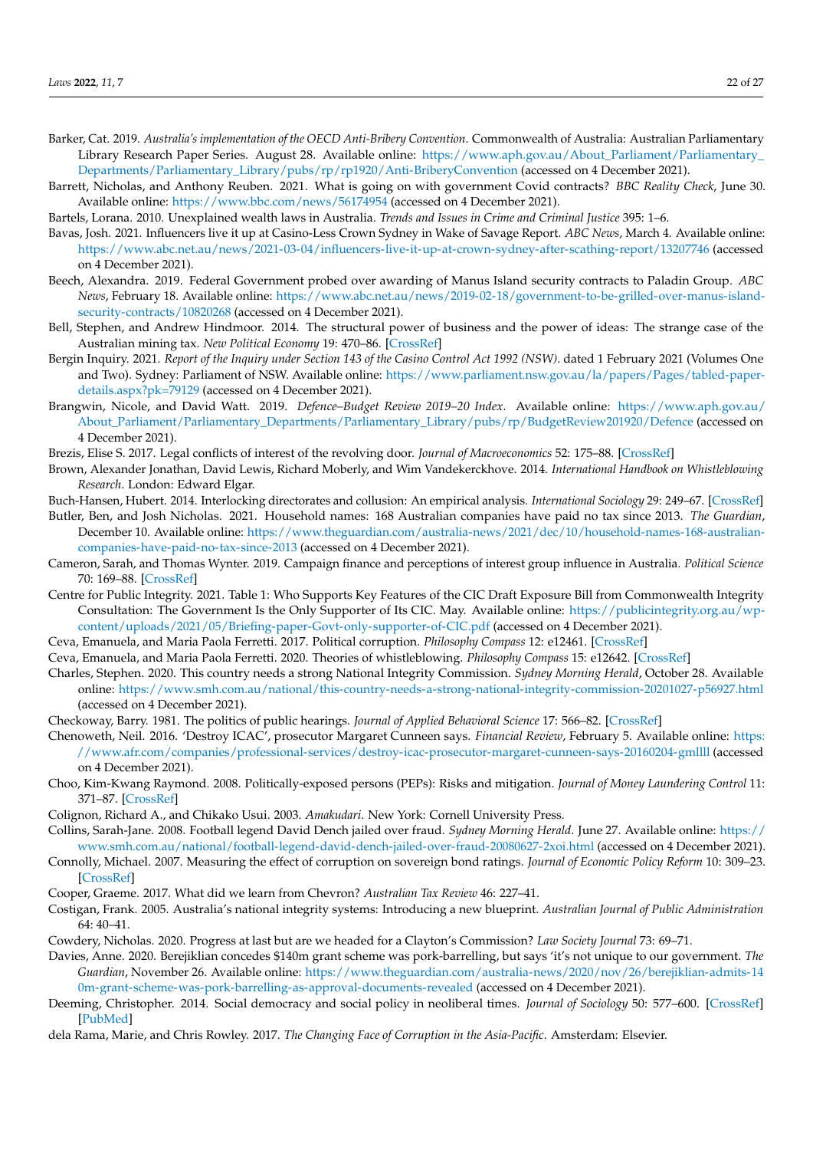- <span id="page-21-24"></span>Barker, Cat. 2019. *Australia's implementation of the OECD Anti-Bribery Convention*. Commonwealth of Australia: Australian Parliamentary Library Research Paper Series. August 28. Available online: [https://www.aph.gov.au/About\\_Parliament/Parliamentary\\_](https://www.aph.gov.au/About_Parliament/Parliamentary_Departments/Parliamentary_Library/pubs/rp/rp1920/Anti-BriberyConvention) [Departments/Parliamentary\\_Library/pubs/rp/rp1920/Anti-BriberyConvention](https://www.aph.gov.au/About_Parliament/Parliamentary_Departments/Parliamentary_Library/pubs/rp/rp1920/Anti-BriberyConvention) (accessed on 4 December 2021).
- <span id="page-21-3"></span>Barrett, Nicholas, and Anthony Reuben. 2021. What is going on with government Covid contracts? *BBC Reality Check*, June 30. Available online: <https://www.bbc.com/news/56174954> (accessed on 4 December 2021).
- <span id="page-21-23"></span>Bartels, Lorana. 2010. Unexplained wealth laws in Australia. *Trends and Issues in Crime and Criminal Justice* 395: 1–6.
- <span id="page-21-25"></span>Bavas, Josh. 2021. Influencers live it up at Casino-Less Crown Sydney in Wake of Savage Report. *ABC News*, March 4. Available online: <https://www.abc.net.au/news/2021-03-04/influencers-live-it-up-at-crown-sydney-after-scathing-report/13207746> (accessed on 4 December 2021).
- <span id="page-21-21"></span>Beech, Alexandra. 2019. Federal Government probed over awarding of Manus Island security contracts to Paladin Group. *ABC News*, February 18. Available online: [https://www.abc.net.au/news/2019-02-18/government-to-be-grilled-over-manus-island](https://www.abc.net.au/news/2019-02-18/government-to-be-grilled-over-manus-island-security-contracts/10820268)[security-contracts/10820268](https://www.abc.net.au/news/2019-02-18/government-to-be-grilled-over-manus-island-security-contracts/10820268) (accessed on 4 December 2021).
- <span id="page-21-6"></span>Bell, Stephen, and Andrew Hindmoor. 2014. The structural power of business and the power of ideas: The strange case of the Australian mining tax. *New Political Economy* 19: 470–86. [\[CrossRef\]](http://doi.org/10.1080/13563467.2013.796452)
- <span id="page-21-20"></span>Bergin Inquiry. 2021. *Report of the Inquiry under Section 143 of the Casino Control Act 1992 (NSW)*. dated 1 February 2021 (Volumes One and Two). Sydney: Parliament of NSW. Available online: [https://www.parliament.nsw.gov.au/la/papers/Pages/tabled-paper](https://www.parliament.nsw.gov.au/la/papers/Pages/tabled-paper-details.aspx?pk=79129)[details.aspx?pk=79129](https://www.parliament.nsw.gov.au/la/papers/Pages/tabled-paper-details.aspx?pk=79129) (accessed on 4 December 2021).
- <span id="page-21-16"></span>Brangwin, Nicole, and David Watt. 2019. *Defence–Budget Review 2019–20 Index*. Available online: [https://www.aph.gov.au/](https://www.aph.gov.au/About_Parliament/Parliamentary_Departments/Parliamentary_Library/pubs/rp/BudgetReview201920/Defence) [About\\_Parliament/Parliamentary\\_Departments/Parliamentary\\_Library/pubs/rp/BudgetReview201920/Defence](https://www.aph.gov.au/About_Parliament/Parliamentary_Departments/Parliamentary_Library/pubs/rp/BudgetReview201920/Defence) (accessed on 4 December 2021).
- <span id="page-21-18"></span>Brezis, Elise S. 2017. Legal conflicts of interest of the revolving door. *Journal of Macroeconomics* 52: 175–88. [\[CrossRef\]](http://doi.org/10.1016/j.jmacro.2017.04.006)
- <span id="page-21-14"></span>Brown, Alexander Jonathan, David Lewis, Richard Moberly, and Wim Vandekerckhove. 2014. *International Handbook on Whistleblowing Research*. London: Edward Elgar.
- <span id="page-21-19"></span>Buch-Hansen, Hubert. 2014. Interlocking directorates and collusion: An empirical analysis. *International Sociology* 29: 249–67. [\[CrossRef\]](http://doi.org/10.1177/0268580914527021)
- <span id="page-21-27"></span>Butler, Ben, and Josh Nicholas. 2021. Household names: 168 Australian companies have paid no tax since 2013. *The Guardian*, December 10. Available online: [https://www.theguardian.com/australia-news/2021/dec/10/household-names-168-australian](https://www.theguardian.com/australia-news/2021/dec/10/household-names-168-australian-companies-have-paid-no-tax-since-2013)[companies-have-paid-no-tax-since-2013](https://www.theguardian.com/australia-news/2021/dec/10/household-names-168-australian-companies-have-paid-no-tax-since-2013) (accessed on 4 December 2021).
- <span id="page-21-22"></span>Cameron, Sarah, and Thomas Wynter. 2019. Campaign finance and perceptions of interest group influence in Australia. *Political Science* 70: 169–88. [\[CrossRef\]](http://doi.org/10.1080/00323187.2018.1562307)
- <span id="page-21-11"></span>Centre for Public Integrity. 2021. Table 1: Who Supports Key Features of the CIC Draft Exposure Bill from Commonwealth Integrity Consultation: The Government Is the Only Supporter of Its CIC. May. Available online: [https://publicintegrity.org.au/wp](https://publicintegrity.org.au/wp-content/uploads/2021/05/Briefing-paper-Govt-only-supporter-of-CIC.pdf)[content/uploads/2021/05/Briefing-paper-Govt-only-supporter-of-CIC.pdf](https://publicintegrity.org.au/wp-content/uploads/2021/05/Briefing-paper-Govt-only-supporter-of-CIC.pdf) (accessed on 4 December 2021).
- <span id="page-21-0"></span>Ceva, Emanuela, and Maria Paola Ferretti. 2017. Political corruption. *Philosophy Compass* 12: e12461. [\[CrossRef\]](http://doi.org/10.1111/phc3.12461)
- <span id="page-21-15"></span>Ceva, Emanuela, and Maria Paola Ferretti. 2020. Theories of whistleblowing. *Philosophy Compass* 15: e12642. [\[CrossRef\]](http://doi.org/10.1111/phc3.12642)
- <span id="page-21-7"></span>Charles, Stephen. 2020. This country needs a strong National Integrity Commission. *Sydney Morning Herald*, October 28. Available online: <https://www.smh.com.au/national/this-country-needs-a-strong-national-integrity-commission-20201027-p56927.html> (accessed on 4 December 2021).
- <span id="page-21-12"></span>Checkoway, Barry. 1981. The politics of public hearings. *Journal of Applied Behavioral Science* 17: 566–82. [\[CrossRef\]](http://doi.org/10.1177/002188638101700411)
- <span id="page-21-9"></span>Chenoweth, Neil. 2016. 'Destroy ICAC', prosecutor Margaret Cunneen says. *Financial Review*, February 5. Available online: [https:](https://www.afr.com/companies/professional-services/destroy-icac-prosecutor-margaret-cunneen-says-20160204-gmllll) [//www.afr.com/companies/professional-services/destroy-icac-prosecutor-margaret-cunneen-says-20160204-gmllll](https://www.afr.com/companies/professional-services/destroy-icac-prosecutor-margaret-cunneen-says-20160204-gmllll) (accessed on 4 December 2021).
- <span id="page-21-10"></span>Choo, Kim-Kwang Raymond. 2008. Politically-exposed persons (PEPs): Risks and mitigation. *Journal of Money Laundering Control* 11: 371–87. [\[CrossRef\]](http://doi.org/10.1108/13685200810910439)
- <span id="page-21-17"></span>Colignon, Richard A., and Chikako Usui. 2003. *Amakudari*. New York: Cornell University Press.
- <span id="page-21-13"></span>Collins, Sarah-Jane. 2008. Football legend David Dench jailed over fraud. *Sydney Morning Herald*. June 27. Available online: [https://](https://www.smh.com.au/national/football-legend-david-dench-jailed-over-fraud-20080627-2xoi.html) [www.smh.com.au/national/football-legend-david-dench-jailed-over-fraud-20080627-2xoi.html](https://www.smh.com.au/national/football-legend-david-dench-jailed-over-fraud-20080627-2xoi.html) (accessed on 4 December 2021).
- <span id="page-21-4"></span>Connolly, Michael. 2007. Measuring the effect of corruption on sovereign bond ratings. *Journal of Economic Policy Reform* 10: 309–23. [\[CrossRef\]](http://doi.org/10.1080/17487870701552053)
- <span id="page-21-26"></span>Cooper, Graeme. 2017. What did we learn from Chevron? *Australian Tax Review* 46: 227–41.
- <span id="page-21-5"></span>Costigan, Frank. 2005. Australia's national integrity systems: Introducing a new blueprint. *Australian Journal of Public Administration* 64: 40–41.
- <span id="page-21-8"></span>Cowdery, Nicholas. 2020. Progress at last but are we headed for a Clayton's Commission? *Law Society Journal* 73: 69–71.
- <span id="page-21-1"></span>Davies, Anne. 2020. Berejiklian concedes \$140m grant scheme was pork-barrelling, but says 'it's not unique to our government. *The Guardian*, November 26. Available online: [https://www.theguardian.com/australia-news/2020/nov/26/berejiklian-admits-14](https://www.theguardian.com/australia-news/2020/nov/26/berejiklian-admits-140m-grant-scheme-was-pork-barrelling-as-approval-documents-revealed) [0m-grant-scheme-was-pork-barrelling-as-approval-documents-revealed](https://www.theguardian.com/australia-news/2020/nov/26/berejiklian-admits-140m-grant-scheme-was-pork-barrelling-as-approval-documents-revealed) (accessed on 4 December 2021).
- <span id="page-21-2"></span>Deeming, Christopher. 2014. Social democracy and social policy in neoliberal times. *Journal of Sociology* 50: 577–600. [\[CrossRef\]](http://doi.org/10.1177/1440783313492240) [\[PubMed\]](http://www.ncbi.nlm.nih.gov/pubmed/25473376)
- <span id="page-21-28"></span>dela Rama, Marie, and Chris Rowley. 2017. *The Changing Face of Corruption in the Asia-Pacific*. Amsterdam: Elsevier.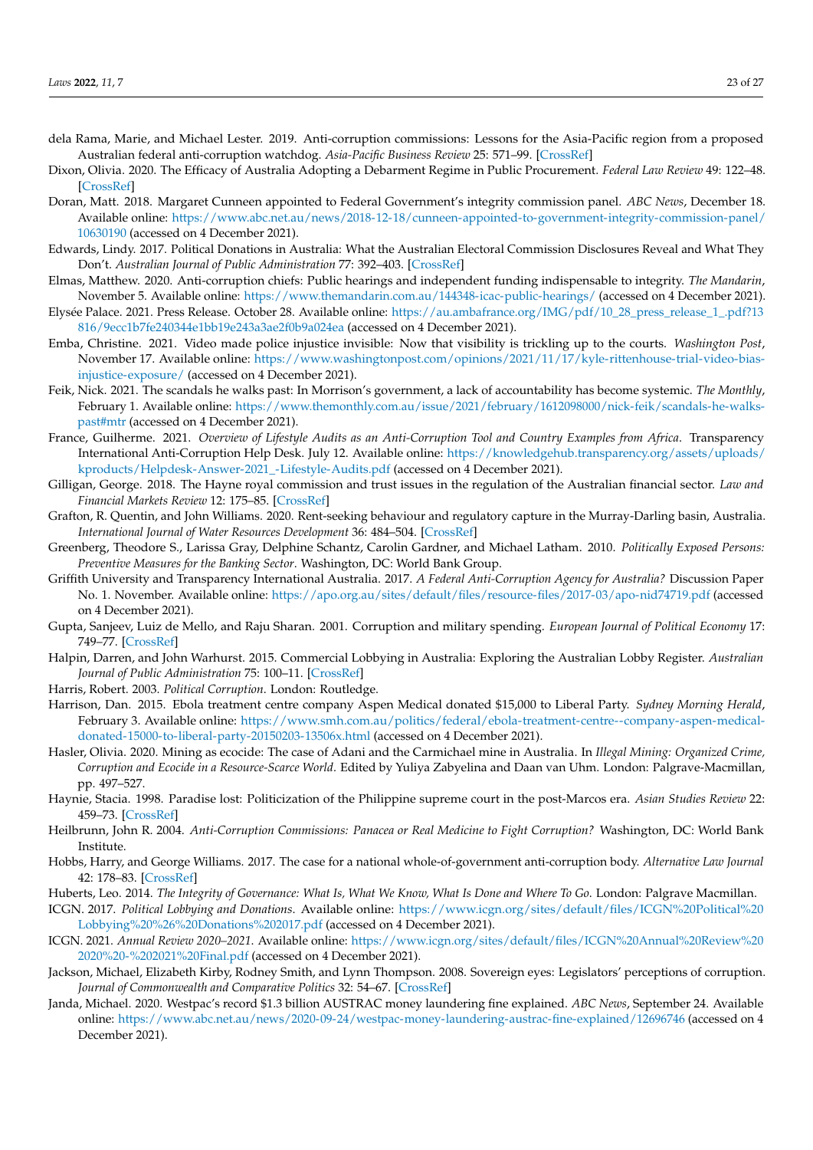- <span id="page-22-23"></span>dela Rama, Marie, and Michael Lester. 2019. Anti-corruption commissions: Lessons for the Asia-Pacific region from a proposed Australian federal anti-corruption watchdog. *Asia-Pacific Business Review* 25: 571–99. [\[CrossRef\]](http://doi.org/10.1080/13602381.2019.1589971)
- <span id="page-22-4"></span>Dixon, Olivia. 2020. The Efficacy of Australia Adopting a Debarment Regime in Public Procurement. *Federal Law Review* 49: 122–48. [\[CrossRef\]](http://doi.org/10.1177/0067205X20973478)
- <span id="page-22-10"></span>Doran, Matt. 2018. Margaret Cunneen appointed to Federal Government's integrity commission panel. *ABC News*, December 18. Available online: [https://www.abc.net.au/news/2018-12-18/cunneen-appointed-to-government-integrity-commission-panel/](https://www.abc.net.au/news/2018-12-18/cunneen-appointed-to-government-integrity-commission-panel/10630190) [10630190](https://www.abc.net.au/news/2018-12-18/cunneen-appointed-to-government-integrity-commission-panel/10630190) (accessed on 4 December 2021).
- <span id="page-22-18"></span>Edwards, Lindy. 2017. Political Donations in Australia: What the Australian Electoral Commission Disclosures Reveal and What They Don't. *Australian Journal of Public Administration* 77: 392–403. [\[CrossRef\]](http://doi.org/10.1111/1467-8500.12283)
- <span id="page-22-13"></span>Elmas, Matthew. 2020. Anti-corruption chiefs: Public hearings and independent funding indispensable to integrity. *The Mandarin*, November 5. Available online: <https://www.themandarin.com.au/144348-icac-public-hearings/> (accessed on 4 December 2021).
- <span id="page-22-15"></span>Elysée Palace. 2021. Press Release. October 28. Available online: [https://au.ambafrance.org/IMG/pdf/10\\_28\\_press\\_release\\_1\\_.pdf?13](https://au.ambafrance.org/IMG/pdf/10_28_press_release_1_.pdf?13816/9ecc1b7fe240344e1bb19e243a3ae2f0b9a024ea) [816/9ecc1b7fe240344e1bb19e243a3ae2f0b9a024ea](https://au.ambafrance.org/IMG/pdf/10_28_press_release_1_.pdf?13816/9ecc1b7fe240344e1bb19e243a3ae2f0b9a024ea) (accessed on 4 December 2021).
- <span id="page-22-12"></span>Emba, Christine. 2021. Video made police injustice invisible: Now that visibility is trickling up to the courts. *Washington Post*, November 17. Available online: [https://www.washingtonpost.com/opinions/2021/11/17/kyle-rittenhouse-trial-video-bias](https://www.washingtonpost.com/opinions/2021/11/17/kyle-rittenhouse-trial-video-bias-injustice-exposure/)[injustice-exposure/](https://www.washingtonpost.com/opinions/2021/11/17/kyle-rittenhouse-trial-video-bias-injustice-exposure/) (accessed on 4 December 2021).
- <span id="page-22-6"></span>Feik, Nick. 2021. The scandals he walks past: In Morrison's government, a lack of accountability has become systemic. *The Monthly*, February 1. Available online: [https://www.themonthly.com.au/issue/2021/february/1612098000/nick-feik/scandals-he-walks](https://www.themonthly.com.au/issue/2021/february/1612098000/nick-feik/scandals-he-walks-past#mtr)[past#mtr](https://www.themonthly.com.au/issue/2021/february/1612098000/nick-feik/scandals-he-walks-past#mtr) (accessed on 4 December 2021).
- <span id="page-22-21"></span>France, Guilherme. 2021. *Overview of Lifestyle Audits as an Anti-Corruption Tool and Country Examples from Africa*. Transparency International Anti-Corruption Help Desk. July 12. Available online: [https://knowledgehub.transparency.org/assets/uploads/](https://knowledgehub.transparency.org/assets/uploads/kproducts/Helpdesk-Answer-2021_-Lifestyle-Audits.pdf) [kproducts/Helpdesk-Answer-2021\\_-Lifestyle-Audits.pdf](https://knowledgehub.transparency.org/assets/uploads/kproducts/Helpdesk-Answer-2021_-Lifestyle-Audits.pdf) (accessed on 4 December 2021).
- <span id="page-22-14"></span>Gilligan, George. 2018. The Hayne royal commission and trust issues in the regulation of the Australian financial sector. *Law and Financial Markets Review* 12: 175–85. [\[CrossRef\]](http://doi.org/10.1080/17521440.2018.1548209)
- <span id="page-22-2"></span>Grafton, R. Quentin, and John Williams. 2020. Rent-seeking behaviour and regulatory capture in the Murray-Darling basin, Australia. *International Journal of Water Resources Development* 36: 484–504. [\[CrossRef\]](http://doi.org/10.1080/07900627.2019.1674132)
- <span id="page-22-11"></span>Greenberg, Theodore S., Larissa Gray, Delphine Schantz, Carolin Gardner, and Michael Latham. 2010. *Politically Exposed Persons: Preventive Measures for the Banking Sector*. Washington, DC: World Bank Group.
- <span id="page-22-7"></span>Griffith University and Transparency International Australia. 2017. *A Federal Anti-Corruption Agency for Australia?* Discussion Paper No. 1. November. Available online: <https://apo.org.au/sites/default/files/resource-files/2017-03/apo-nid74719.pdf> (accessed on 4 December 2021).
- <span id="page-22-16"></span>Gupta, Sanjeev, Luiz de Mello, and Raju Sharan. 2001. Corruption and military spending. *European Journal of Political Economy* 17: 749–77. [\[CrossRef\]](http://doi.org/10.1016/S0176-2680(01)00054-4)
- <span id="page-22-22"></span>Halpin, Darren, and John Warhurst. 2015. Commercial Lobbying in Australia: Exploring the Australian Lobby Register. *Australian Journal of Public Administration* 75: 100–11. [\[CrossRef\]](http://doi.org/10.1111/1467-8500.12159)
- <span id="page-22-1"></span>Harris, Robert. 2003. *Political Corruption*. London: Routledge.
- <span id="page-22-5"></span>Harrison, Dan. 2015. Ebola treatment centre company Aspen Medical donated \$15,000 to Liberal Party. *Sydney Morning Herald*, February 3. Available online: [https://www.smh.com.au/politics/federal/ebola-treatment-centre--company-aspen-medical](https://www.smh.com.au/politics/federal/ebola-treatment-centre--company-aspen-medical-donated-15000-to-liberal-party-20150203-13506x.html)[donated-15000-to-liberal-party-20150203-13506x.html](https://www.smh.com.au/politics/federal/ebola-treatment-centre--company-aspen-medical-donated-15000-to-liberal-party-20150203-13506x.html) (accessed on 4 December 2021).
- <span id="page-22-3"></span>Hasler, Olivia. 2020. Mining as ecocide: The case of Adani and the Carmichael mine in Australia. In *Illegal Mining: Organized Crime, Corruption and Ecocide in a Resource-Scarce World*. Edited by Yuliya Zabyelina and Daan van Uhm. London: Palgrave-Macmillan, pp. 497–527.
- <span id="page-22-17"></span>Haynie, Stacia. 1998. Paradise lost: Politicization of the Philippine supreme court in the post-Marcos era. *Asian Studies Review* 22: 459–73. [\[CrossRef\]](http://doi.org/10.1080/10357829808713210)
- <span id="page-22-24"></span>Heilbrunn, John R. 2004. *Anti-Corruption Commissions: Panacea or Real Medicine to Fight Corruption?* Washington, DC: World Bank Institute.
- <span id="page-22-8"></span>Hobbs, Harry, and George Williams. 2017. The case for a national whole-of-government anti-corruption body. *Alternative Law Journal* 42: 178–83. [\[CrossRef\]](http://doi.org/10.1177/1037969X17730190)
- <span id="page-22-20"></span><span id="page-22-0"></span>Huberts, Leo. 2014. *The Integrity of Governance: What Is, What We Know, What Is Done and Where To Go*. London: Palgrave Macmillan.
- ICGN. 2017. *Political Lobbying and Donations*. Available online: [https://www.icgn.org/sites/default/files/ICGN%20Political%20](https://www.icgn.org/sites/default/files/ICGN%20Political%20Lobbying%20%26%20Donations%202017.pdf) [Lobbying%20%26%20Donations%202017.pdf](https://www.icgn.org/sites/default/files/ICGN%20Political%20Lobbying%20%26%20Donations%202017.pdf) (accessed on 4 December 2021).
- <span id="page-22-19"></span>ICGN. 2021. *Annual Review 2020–2021*. Available online: [https://www.icgn.org/sites/default/files/ICGN%20Annual%20Review%20](https://www.icgn.org/sites/default/files/ICGN%20Annual%20Review%202020%20-%202021%20Final.pdf) [2020%20-%202021%20Final.pdf](https://www.icgn.org/sites/default/files/ICGN%20Annual%20Review%202020%20-%202021%20Final.pdf) (accessed on 4 December 2021).
- <span id="page-22-9"></span>Jackson, Michael, Elizabeth Kirby, Rodney Smith, and Lynn Thompson. 2008. Sovereign eyes: Legislators' perceptions of corruption. *Journal of Commonwealth and Comparative Politics* 32: 54–67. [\[CrossRef\]](http://doi.org/10.1080/14662049408447673)
- <span id="page-22-25"></span>Janda, Michael. 2020. Westpac's record \$1.3 billion AUSTRAC money laundering fine explained. *ABC News*, September 24. Available online: <https://www.abc.net.au/news/2020-09-24/westpac-money-laundering-austrac-fine-explained/12696746> (accessed on 4 December 2021).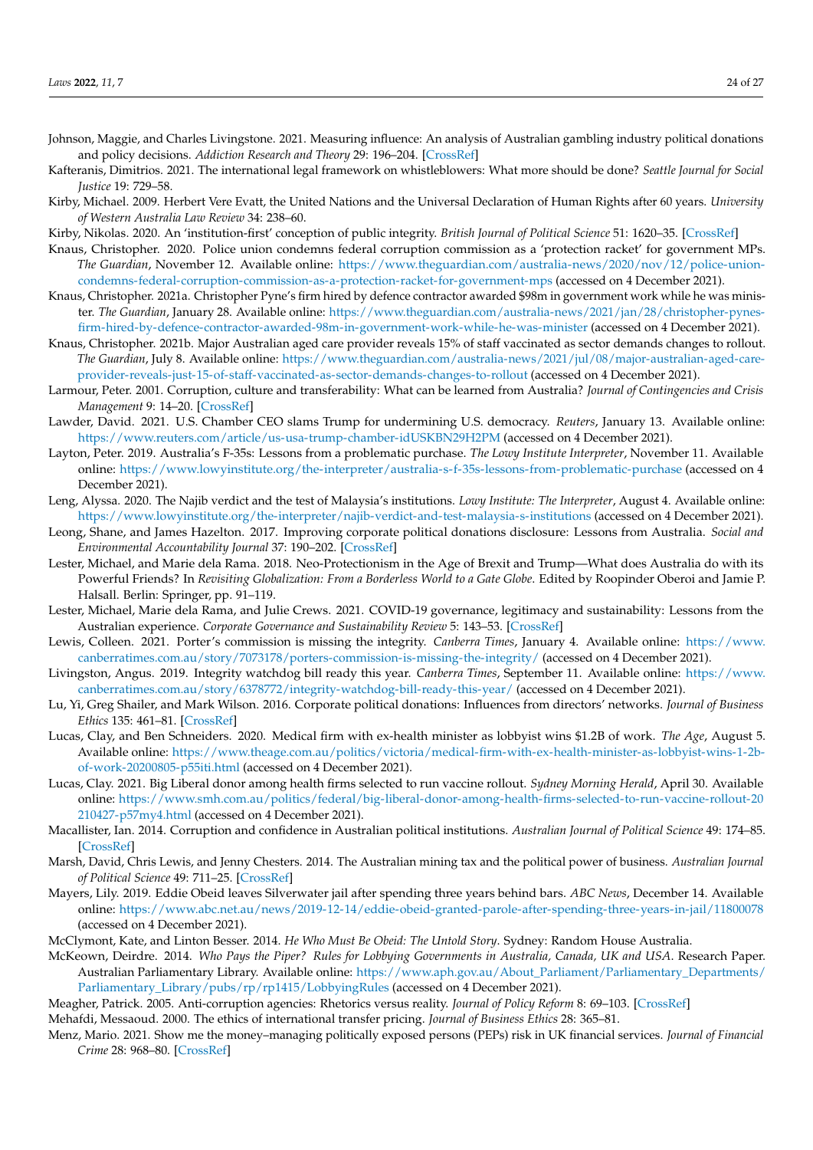- <span id="page-23-18"></span>Johnson, Maggie, and Charles Livingstone. 2021. Measuring influence: An analysis of Australian gambling industry political donations and policy decisions. *Addiction Research and Theory* 29: 196–204. [\[CrossRef\]](http://doi.org/10.1080/16066359.2020.1766449)
- <span id="page-23-15"></span>Kafteranis, Dimitrios. 2021. The international legal framework on whistleblowers: What more should be done? *Seattle Journal for Social Justice* 19: 729–58.
- <span id="page-23-24"></span>Kirby, Michael. 2009. Herbert Vere Evatt, the United Nations and the Universal Declaration of Human Rights after 60 years. *University of Western Australia Law Review* 34: 238–60.
- <span id="page-23-8"></span>Kirby, Nikolas. 2020. An 'institution-first' conception of public integrity. *British Journal of Political Science* 51: 1620–35. [\[CrossRef\]](http://doi.org/10.1017/S000712342000006X)
- <span id="page-23-10"></span>Knaus, Christopher. 2020. Police union condemns federal corruption commission as a 'protection racket' for government MPs. *The Guardian*, November 12. Available online: [https://www.theguardian.com/australia-news/2020/nov/12/police-union](https://www.theguardian.com/australia-news/2020/nov/12/police-union-condemns-federal-corruption-commission-as-a-protection-racket-for-government-mps)[condemns-federal-corruption-commission-as-a-protection-racket-for-government-mps](https://www.theguardian.com/australia-news/2020/nov/12/police-union-condemns-federal-corruption-commission-as-a-protection-racket-for-government-mps) (accessed on 4 December 2021).
- <span id="page-23-23"></span>Knaus, Christopher. 2021a. Christopher Pyne's firm hired by defence contractor awarded \$98m in government work while he was minister. *The Guardian*, January 28. Available online: [https://www.theguardian.com/australia-news/2021/jan/28/christopher-pynes](https://www.theguardian.com/australia-news/2021/jan/28/christopher-pynes-firm-hired-by-defence-contractor-awarded-98m-in-government-work-while-he-was-minister)[firm-hired-by-defence-contractor-awarded-98m-in-government-work-while-he-was-minister](https://www.theguardian.com/australia-news/2021/jan/28/christopher-pynes-firm-hired-by-defence-contractor-awarded-98m-in-government-work-while-he-was-minister) (accessed on 4 December 2021).
- <span id="page-23-20"></span>Knaus, Christopher. 2021b. Major Australian aged care provider reveals 15% of staff vaccinated as sector demands changes to rollout. *The Guardian*, July 8. Available online: [https://www.theguardian.com/australia-news/2021/jul/08/major-australian-aged-care](https://www.theguardian.com/australia-news/2021/jul/08/major-australian-aged-care-provider-reveals-just-15-of-staff-vaccinated-as-sector-demands-changes-to-rollout)[provider-reveals-just-15-of-staff-vaccinated-as-sector-demands-changes-to-rollout](https://www.theguardian.com/australia-news/2021/jul/08/major-australian-aged-care-provider-reveals-just-15-of-staff-vaccinated-as-sector-demands-changes-to-rollout) (accessed on 4 December 2021).
- <span id="page-23-3"></span>Larmour, Peter. 2001. Corruption, culture and transferability: What can be learned from Australia? *Journal of Contingencies and Crisis Management* 9: 14–20. [\[CrossRef\]](http://doi.org/10.1111/1468-5973.00149)
- <span id="page-23-0"></span>Lawder, David. 2021. U.S. Chamber CEO slams Trump for undermining U.S. democracy. *Reuters*, January 13. Available online: <https://www.reuters.com/article/us-usa-trump-chamber-idUSKBN29H2PM> (accessed on 4 December 2021).
- <span id="page-23-16"></span>Layton, Peter. 2019. Australia's F-35s: Lessons from a problematic purchase. *The Lowy Institute Interpreter*, November 11. Available online: <https://www.lowyinstitute.org/the-interpreter/australia-s-f-35s-lessons-from-problematic-purchase> (accessed on 4 December 2021).
- <span id="page-23-1"></span>Leng, Alyssa. 2020. The Najib verdict and the test of Malaysia's institutions. *Lowy Institute: The Interpreter*, August 4. Available online: <https://www.lowyinstitute.org/the-interpreter/najib-verdict-and-test-malaysia-s-institutions> (accessed on 4 December 2021).
- <span id="page-23-21"></span>Leong, Shane, and James Hazelton. 2017. Improving corporate political donations disclosure: Lessons from Australia. *Social and Environmental Accountability Journal* 37: 190–202. [\[CrossRef\]](http://doi.org/10.1080/0969160X.2017.1336108)
- <span id="page-23-25"></span>Lester, Michael, and Marie dela Rama. 2018. Neo-Protectionism in the Age of Brexit and Trump—What does Australia do with its Powerful Friends? In *Revisiting Globalization: From a Borderless World to a Gate Globe*. Edited by Roopinder Oberoi and Jamie P. Halsall. Berlin: Springer, pp. 91–119.
- <span id="page-23-4"></span>Lester, Michael, Marie dela Rama, and Julie Crews. 2021. COVID-19 governance, legitimacy and sustainability: Lessons from the Australian experience. *Corporate Governance and Sustainability Review* 5: 143–53. [\[CrossRef\]](http://doi.org/10.22495/cgsrv5i1sip5)
- <span id="page-23-13"></span>Lewis, Colleen. 2021. Porter's commission is missing the integrity. *Canberra Times*, January 4. Available online: [https://www.](https://www.canberratimes.com.au/story/7073178/porters-commission-is-missing-the-integrity/) [canberratimes.com.au/story/7073178/porters-commission-is-missing-the-integrity/](https://www.canberratimes.com.au/story/7073178/porters-commission-is-missing-the-integrity/) (accessed on 4 December 2021).
- <span id="page-23-14"></span>Livingston, Angus. 2019. Integrity watchdog bill ready this year. *Canberra Times*, September 11. Available online: [https://www.](https://www.canberratimes.com.au/story/6378772/integrity-watchdog-bill-ready-this-year/) [canberratimes.com.au/story/6378772/integrity-watchdog-bill-ready-this-year/](https://www.canberratimes.com.au/story/6378772/integrity-watchdog-bill-ready-this-year/) (accessed on 4 December 2021).
- <span id="page-23-22"></span>Lu, Yi, Greg Shailer, and Mark Wilson. 2016. Corporate political donations: Influences from directors' networks. *Journal of Business Ethics* 135: 461–81. [\[CrossRef\]](http://doi.org/10.1007/s10551-014-2458-3)
- <span id="page-23-5"></span>Lucas, Clay, and Ben Schneiders. 2020. Medical firm with ex-health minister as lobbyist wins \$1.2B of work. *The Age*, August 5. Available online: [https://www.theage.com.au/politics/victoria/medical-firm-with-ex-health-minister-as-lobbyist-wins-1-2b](https://www.theage.com.au/politics/victoria/medical-firm-with-ex-health-minister-as-lobbyist-wins-1-2b-of-work-20200805-p55iti.html)[of-work-20200805-p55iti.html](https://www.theage.com.au/politics/victoria/medical-firm-with-ex-health-minister-as-lobbyist-wins-1-2b-of-work-20200805-p55iti.html) (accessed on 4 December 2021).
- <span id="page-23-19"></span>Lucas, Clay. 2021. Big Liberal donor among health firms selected to run vaccine rollout. *Sydney Morning Herald*, April 30. Available online: [https://www.smh.com.au/politics/federal/big-liberal-donor-among-health-firms-selected-to-run-vaccine-rollout-20](https://www.smh.com.au/politics/federal/big-liberal-donor-among-health-firms-selected-to-run-vaccine-rollout-20210427-p57my4.html) [210427-p57my4.html](https://www.smh.com.au/politics/federal/big-liberal-donor-among-health-firms-selected-to-run-vaccine-rollout-20210427-p57my4.html) (accessed on 4 December 2021).
- <span id="page-23-2"></span>Macallister, Ian. 2014. Corruption and confidence in Australian political institutions. *Australian Journal of Political Science* 49: 174–85. [\[CrossRef\]](http://doi.org/10.1080/10361146.2014.880401)
- <span id="page-23-6"></span>Marsh, David, Chris Lewis, and Jenny Chesters. 2014. The Australian mining tax and the political power of business. *Australian Journal of Political Science* 49: 711–25. [\[CrossRef\]](http://doi.org/10.1080/10361146.2014.954985)
- <span id="page-23-12"></span>Mayers, Lily. 2019. Eddie Obeid leaves Silverwater jail after spending three years behind bars. *ABC News*, December 14. Available online: <https://www.abc.net.au/news/2019-12-14/eddie-obeid-granted-parole-after-spending-three-years-in-jail/11800078> (accessed on 4 December 2021).
- <span id="page-23-11"></span>McClymont, Kate, and Linton Besser. 2014. *He Who Must Be Obeid: The Untold Story*. Sydney: Random House Australia.
- <span id="page-23-17"></span>McKeown, Deirdre. 2014. *Who Pays the Piper? Rules for Lobbying Governments in Australia, Canada, UK and USA*. Research Paper. Australian Parliamentary Library. Available online: [https://www.aph.gov.au/About\\_Parliament/Parliamentary\\_Departments/](https://www.aph.gov.au/About_Parliament/Parliamentary_Departments/Parliamentary_Library/pubs/rp/rp1415/LobbyingRules) [Parliamentary\\_Library/pubs/rp/rp1415/LobbyingRules](https://www.aph.gov.au/About_Parliament/Parliamentary_Departments/Parliamentary_Library/pubs/rp/rp1415/LobbyingRules) (accessed on 4 December 2021).
- <span id="page-23-7"></span>Meagher, Patrick. 2005. Anti-corruption agencies: Rhetorics versus reality. *Journal of Policy Reform* 8: 69–103. [\[CrossRef\]](http://doi.org/10.1080/1384128042000328950)
- <span id="page-23-26"></span>Mehafdi, Messaoud. 2000. The ethics of international transfer pricing. *Journal of Business Ethics* 28: 365–81.
- <span id="page-23-9"></span>Menz, Mario. 2021. Show me the money–managing politically exposed persons (PEPs) risk in UK financial services. *Journal of Financial Crime* 28: 968–80. [\[CrossRef\]](http://doi.org/10.1108/JFC-12-2019-0169)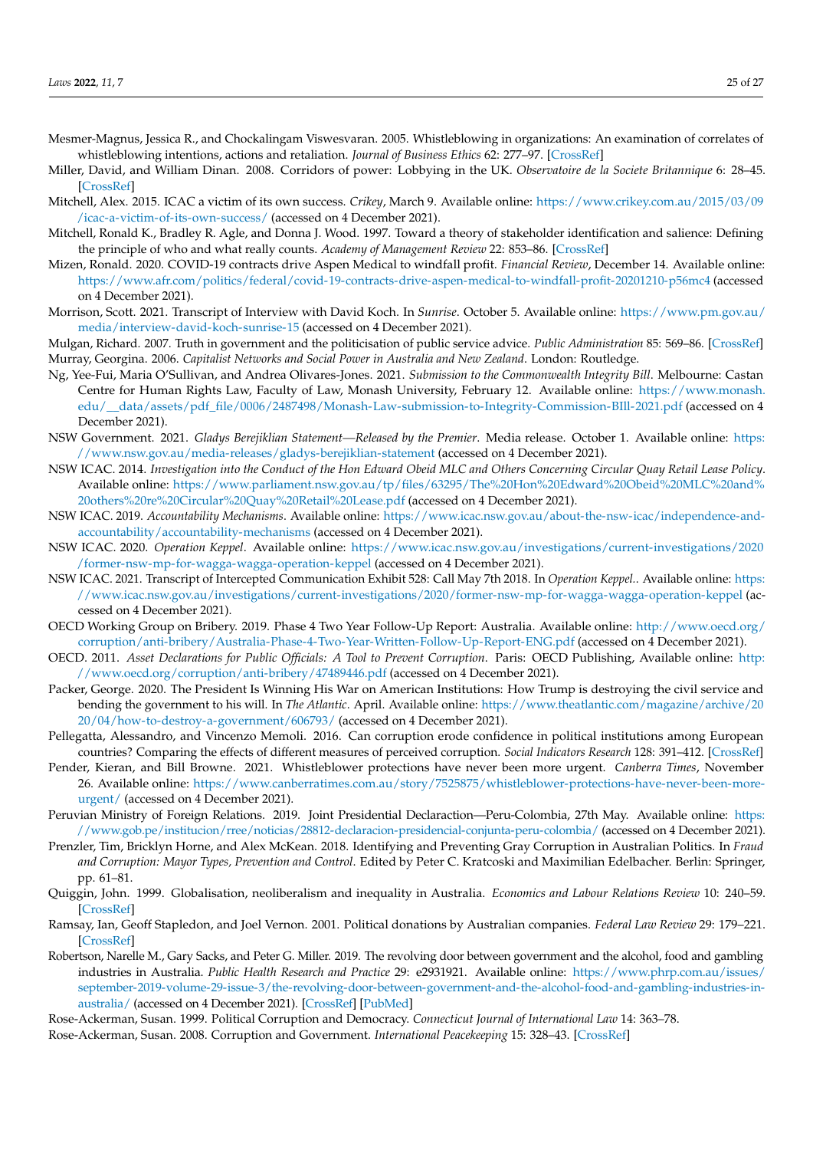- <span id="page-24-17"></span>Mesmer-Magnus, Jessica R., and Chockalingam Viswesvaran. 2005. Whistleblowing in organizations: An examination of correlates of whistleblowing intentions, actions and retaliation. *Journal of Business Ethics* 62: 277–97. [\[CrossRef\]](http://doi.org/10.1007/s10551-005-0849-1)
- <span id="page-24-23"></span>Miller, David, and William Dinan. 2008. Corridors of power: Lobbying in the UK. *Observatoire de la Societe Britannique* 6: 28–45. [\[CrossRef\]](http://doi.org/10.4000/osb.409)
- <span id="page-24-11"></span>Mitchell, Alex. 2015. ICAC a victim of its own success. *Crikey*, March 9. Available online: [https://www.crikey.com.au/2015/03/09](https://www.crikey.com.au/2015/03/09/icac-a-victim-of-its-own-success/) [/icac-a-victim-of-its-own-success/](https://www.crikey.com.au/2015/03/09/icac-a-victim-of-its-own-success/) (accessed on 4 December 2021).
- <span id="page-24-7"></span>Mitchell, Ronald K., Bradley R. Agle, and Donna J. Wood. 1997. Toward a theory of stakeholder identification and salience: Defining the principle of who and what really counts. *Academy of Management Review* 22: 853–86. [\[CrossRef\]](http://doi.org/10.2307/259247)
- <span id="page-24-5"></span>Mizen, Ronald. 2020. COVID-19 contracts drive Aspen Medical to windfall profit. *Financial Review*, December 14. Available online: <https://www.afr.com/politics/federal/covid-19-contracts-drive-aspen-medical-to-windfall-profit-20201210-p56mc4> (accessed on 4 December 2021).
- <span id="page-24-13"></span>Morrison, Scott. 2021. Transcript of Interview with David Koch. In *Sunrise*. October 5. Available online: [https://www.pm.gov.au/](https://www.pm.gov.au/media/interview-david-koch-sunrise-15) [media/interview-david-koch-sunrise-15](https://www.pm.gov.au/media/interview-david-koch-sunrise-15) (accessed on 4 December 2021).

<span id="page-24-10"></span><span id="page-24-9"></span>Mulgan, Richard. 2007. Truth in government and the politicisation of public service advice. *Public Administration* 85: 569–86. [\[CrossRef\]](http://doi.org/10.1111/j.1467-9299.2007.00663.x) Murray, Georgina. 2006. *Capitalist Networks and Social Power in Australia and New Zealand*. London: Routledge.

- <span id="page-24-12"></span>Ng, Yee-Fui, Maria O'Sullivan, and Andrea Olivares-Jones. 2021. *Submission to the Commonwealth Integrity Bill*. Melbourne: Castan Centre for Human Rights Law, Faculty of Law, Monash University, February 12. Available online: [https://www.monash.](https://www.monash.edu/__data/assets/pdf_file/0006/2487498/Monash-Law-submission-to-Integrity-Commission-BIll-2021.pdf) [edu/\\_\\_data/assets/pdf\\_file/0006/2487498/Monash-Law-submission-to-Integrity-Commission-BIll-2021.pdf](https://www.monash.edu/__data/assets/pdf_file/0006/2487498/Monash-Law-submission-to-Integrity-Commission-BIll-2021.pdf) (accessed on 4 December 2021).
- <span id="page-24-16"></span>NSW Government. 2021. *Gladys Berejiklian Statement—Released by the Premier*. Media release. October 1. Available online: [https:](https://www.nsw.gov.au/media-releases/gladys-berejiklian-statement) [//www.nsw.gov.au/media-releases/gladys-berejiklian-statement](https://www.nsw.gov.au/media-releases/gladys-berejiklian-statement) (accessed on 4 December 2021).
- <span id="page-24-14"></span>NSW ICAC. 2014. *Investigation into the Conduct of the Hon Edward Obeid MLC and Others Concerning Circular Quay Retail Lease Policy*. Available online: [https://www.parliament.nsw.gov.au/tp/files/63295/The%20Hon%20Edward%20Obeid%20MLC%20and%](https://www.parliament.nsw.gov.au/tp/files/63295/The%20Hon%20Edward%20Obeid%20MLC%20and%20others%20re%20Circular%20Quay%20Retail%20Lease.pdf) [20others%20re%20Circular%20Quay%20Retail%20Lease.pdf](https://www.parliament.nsw.gov.au/tp/files/63295/The%20Hon%20Edward%20Obeid%20MLC%20and%20others%20re%20Circular%20Quay%20Retail%20Lease.pdf) (accessed on 4 December 2021).
- <span id="page-24-19"></span>NSW ICAC. 2019. *Accountability Mechanisms*. Available online: [https://www.icac.nsw.gov.au/about-the-nsw-icac/independence-and](https://www.icac.nsw.gov.au/about-the-nsw-icac/independence-and-accountability/accountability-mechanisms)[accountability/accountability-mechanisms](https://www.icac.nsw.gov.au/about-the-nsw-icac/independence-and-accountability/accountability-mechanisms) (accessed on 4 December 2021).
- <span id="page-24-15"></span>NSW ICAC. 2020. *Operation Keppel*. Available online: [https://www.icac.nsw.gov.au/investigations/current-investigations/2020](https://www.icac.nsw.gov.au/investigations/current-investigations/2020/former-nsw-mp-for-wagga-wagga-operation-keppel) [/former-nsw-mp-for-wagga-wagga-operation-keppel](https://www.icac.nsw.gov.au/investigations/current-investigations/2020/former-nsw-mp-for-wagga-wagga-operation-keppel) (accessed on 4 December 2021).
- <span id="page-24-3"></span>NSW ICAC. 2021. Transcript of Intercepted Communication Exhibit 528: Call May 7th 2018. In *Operation Keppel.*. Available online: [https:](https://www.icac.nsw.gov.au/investigations/current-investigations/2020/former-nsw-mp-for-wagga-wagga-operation-keppel) [//www.icac.nsw.gov.au/investigations/current-investigations/2020/former-nsw-mp-for-wagga-wagga-operation-keppel](https://www.icac.nsw.gov.au/investigations/current-investigations/2020/former-nsw-mp-for-wagga-wagga-operation-keppel) (accessed on 4 December 2021).
- <span id="page-24-24"></span>OECD Working Group on Bribery. 2019. Phase 4 Two Year Follow-Up Report: Australia. Available online: [http://www.oecd.org/](http://www.oecd.org/corruption/anti-bribery/Australia-Phase-4-Two-Year-Written-Follow-Up-Report-ENG.pdf) [corruption/anti-bribery/Australia-Phase-4-Two-Year-Written-Follow-Up-Report-ENG.pdf](http://www.oecd.org/corruption/anti-bribery/Australia-Phase-4-Two-Year-Written-Follow-Up-Report-ENG.pdf) (accessed on 4 December 2021).
- <span id="page-24-22"></span>OECD. 2011. *Asset Declarations for Public Officials: A Tool to Prevent Corruption*. Paris: OECD Publishing, Available online: [http:](http://www.oecd.org/corruption/anti-bribery/47489446.pdf) [//www.oecd.org/corruption/anti-bribery/47489446.pdf](http://www.oecd.org/corruption/anti-bribery/47489446.pdf) (accessed on 4 December 2021).
- <span id="page-24-2"></span>Packer, George. 2020. The President Is Winning His War on American Institutions: How Trump is destroying the civil service and bending the government to his will. In *The Atlantic*. April. Available online: [https://www.theatlantic.com/magazine/archive/20](https://www.theatlantic.com/magazine/archive/2020/04/how-to-destroy-a-government/606793/) [20/04/how-to-destroy-a-government/606793/](https://www.theatlantic.com/magazine/archive/2020/04/how-to-destroy-a-government/606793/) (accessed on 4 December 2021).
- <span id="page-24-6"></span>Pellegatta, Alessandro, and Vincenzo Memoli. 2016. Can corruption erode confidence in political institutions among European countries? Comparing the effects of different measures of perceived corruption. *Social Indicators Research* 128: 391–412. [\[CrossRef\]](http://doi.org/10.1007/s11205-015-1036-0)
- <span id="page-24-18"></span>Pender, Kieran, and Bill Browne. 2021. Whistleblower protections have never been more urgent. *Canberra Times*, November 26. Available online: [https://www.canberratimes.com.au/story/7525875/whistleblower-protections-have-never-been-more](https://www.canberratimes.com.au/story/7525875/whistleblower-protections-have-never-been-more-urgent/)[urgent/](https://www.canberratimes.com.au/story/7525875/whistleblower-protections-have-never-been-more-urgent/) (accessed on 4 December 2021).
- <span id="page-24-25"></span>Peruvian Ministry of Foreign Relations. 2019. Joint Presidential Declaraction—Peru-Colombia, 27th May. Available online: [https:](https://www.gob.pe/institucion/rree/noticias/28812-declaracion-presidencial-conjunta-peru-colombia/) [//www.gob.pe/institucion/rree/noticias/28812-declaracion-presidencial-conjunta-peru-colombia/](https://www.gob.pe/institucion/rree/noticias/28812-declaracion-presidencial-conjunta-peru-colombia/) (accessed on 4 December 2021).
- <span id="page-24-1"></span>Prenzler, Tim, Bricklyn Horne, and Alex McKean. 2018. Identifying and Preventing Gray Corruption in Australian Politics. In *Fraud and Corruption: Mayor Types, Prevention and Control*. Edited by Peter C. Kratcoski and Maximilian Edelbacher. Berlin: Springer, pp. 61–81.
- <span id="page-24-8"></span>Quiggin, John. 1999. Globalisation, neoliberalism and inequality in Australia. *Economics and Labour Relations Review* 10: 240–59. [\[CrossRef\]](http://doi.org/10.1177/103530469901000206)
- <span id="page-24-21"></span>Ramsay, Ian, Geoff Stapledon, and Joel Vernon. 2001. Political donations by Australian companies. *Federal Law Review* 29: 179–221. [\[CrossRef\]](http://doi.org/10.22145/flr.29.2.3)
- <span id="page-24-20"></span>Robertson, Narelle M., Gary Sacks, and Peter G. Miller. 2019. The revolving door between government and the alcohol, food and gambling industries in Australia. *Public Health Research and Practice* 29: e2931921. Available online: [https://www.phrp.com.au/issues/](https://www.phrp.com.au/issues/september-2019-volume-29-issue-3/the-revolving-door-between-government-and-the-alcohol-food-and-gambling-industries-in-australia/) [september-2019-volume-29-issue-3/the-revolving-door-between-government-and-the-alcohol-food-and-gambling-industries-in](https://www.phrp.com.au/issues/september-2019-volume-29-issue-3/the-revolving-door-between-government-and-the-alcohol-food-and-gambling-industries-in-australia/)[australia/](https://www.phrp.com.au/issues/september-2019-volume-29-issue-3/the-revolving-door-between-government-and-the-alcohol-food-and-gambling-industries-in-australia/) (accessed on 4 December 2021). [\[CrossRef\]](http://doi.org/10.17061/phrp2931921) [\[PubMed\]](http://www.ncbi.nlm.nih.gov/pubmed/31569204)
- <span id="page-24-4"></span>Rose-Ackerman, Susan. 1999. Political Corruption and Democracy. *Connecticut Journal of International Law* 14: 363–78.

<span id="page-24-0"></span>Rose-Ackerman, Susan. 2008. Corruption and Government. *International Peacekeeping* 15: 328–43. [\[CrossRef\]](http://doi.org/10.1080/13533310802058802)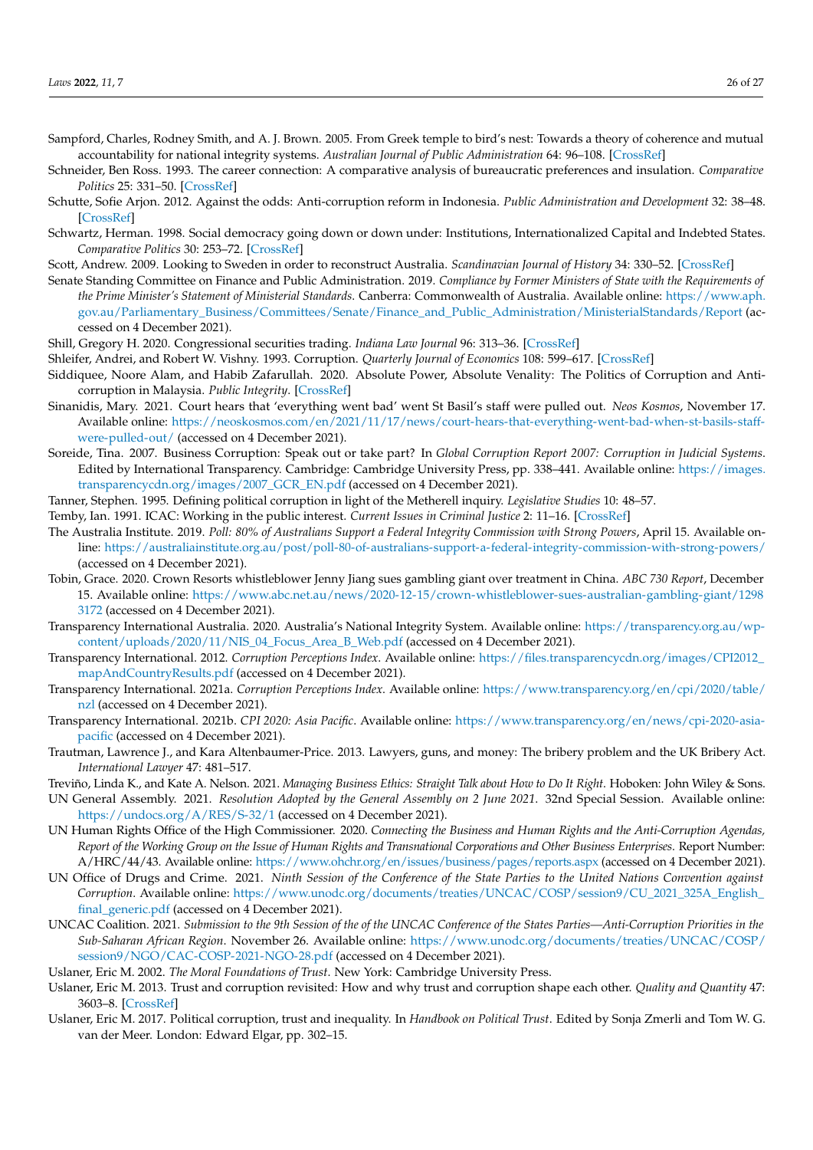- <span id="page-25-12"></span>Sampford, Charles, Rodney Smith, and A. J. Brown. 2005. From Greek temple to bird's nest: Towards a theory of coherence and mutual accountability for national integrity systems. *Australian Journal of Public Administration* 64: 96–108. [\[CrossRef\]](http://doi.org/10.1111/j.1467-8500.2005.00445.x)
- <span id="page-25-20"></span>Schneider, Ben Ross. 1993. The career connection: A comparative analysis of bureaucratic preferences and insulation. *Comparative Politics* 25: 331–50. [\[CrossRef\]](http://doi.org/10.2307/422249)
- <span id="page-25-23"></span>Schutte, Sofie Arjon. 2012. Against the odds: Anti-corruption reform in Indonesia. *Public Administration and Development* 32: 38–48. [\[CrossRef\]](http://doi.org/10.1002/pad.623)
- <span id="page-25-6"></span>Schwartz, Herman. 1998. Social democracy going down or down under: Institutions, Internationalized Capital and Indebted States. *Comparative Politics* 30: 253–72. [\[CrossRef\]](http://doi.org/10.2307/421986)
- <span id="page-25-7"></span>Scott, Andrew. 2009. Looking to Sweden in order to reconstruct Australia. *Scandinavian Journal of History* 34: 330–52. [\[CrossRef\]](http://doi.org/10.1080/03468750903134756)
- <span id="page-25-21"></span>Senate Standing Committee on Finance and Public Administration. 2019. *Compliance by Former Ministers of State with the Requirements of the Prime Minister's Statement of Ministerial Standards*. Canberra: Commonwealth of Australia. Available online: [https://www.aph.](https://www.aph.gov.au/Parliamentary_Business/Committees/Senate/Finance_and_Public_Administration/MinisterialStandards/Report) [gov.au/Parliamentary\\_Business/Committees/Senate/Finance\\_and\\_Public\\_Administration/MinisterialStandards/Report](https://www.aph.gov.au/Parliamentary_Business/Committees/Senate/Finance_and_Public_Administration/MinisterialStandards/Report) (accessed on 4 December 2021).
- <span id="page-25-15"></span>Shill, Gregory H. 2020. Congressional securities trading. *Indiana Law Journal* 96: 313–36. [\[CrossRef\]](http://doi.org/10.2139/ssrn.3570314)
- <span id="page-25-0"></span>Shleifer, Andrei, and Robert W. Vishny. 1993. Corruption. *Quarterly Journal of Economics* 108: 599–617. [\[CrossRef\]](http://doi.org/10.2307/2118402)
- <span id="page-25-2"></span>Siddiquee, Noore Alam, and Habib Zafarullah. 2020. Absolute Power, Absolute Venality: The Politics of Corruption and Anticorruption in Malaysia. *Public Integrity*. [\[CrossRef\]](http://doi.org/10.1080/10999922.2020.1830541)
- <span id="page-25-22"></span>Sinanidis, Mary. 2021. Court hears that 'everything went bad' went St Basil's staff were pulled out. *Neos Kosmos*, November 17. Available online: [https://neoskosmos.com/en/2021/11/17/news/court-hears-that-everything-went-bad-when-st-basils-staff](https://neoskosmos.com/en/2021/11/17/news/court-hears-that-everything-went-bad-when-st-basils-staff-were-pulled-out/)[were-pulled-out/](https://neoskosmos.com/en/2021/11/17/news/court-hears-that-everything-went-bad-when-st-basils-staff-were-pulled-out/) (accessed on 4 December 2021).
- <span id="page-25-10"></span>Soreide, Tina. 2007. Business Corruption: Speak out or take part? In *Global Corruption Report 2007: Corruption in Judicial Systems*. Edited by International Transparency. Cambridge: Cambridge University Press, pp. 338–441. Available online: [https://images.](https://images.transparencycdn.org/images/2007_GCR_EN.pdf) [transparencycdn.org/images/2007\\_GCR\\_EN.pdf](https://images.transparencycdn.org/images/2007_GCR_EN.pdf) (accessed on 4 December 2021).
- <span id="page-25-13"></span>Tanner, Stephen. 1995. Defining political corruption in light of the Metherell inquiry. *Legislative Studies* 10: 48–57.
- <span id="page-25-16"></span>Temby, Ian. 1991. ICAC: Working in the public interest. *Current Issues in Criminal Justice* 2: 11–16. [\[CrossRef\]](http://doi.org/10.1080/10345329.1991.12036491)
- <span id="page-25-14"></span>The Australia Institute. 2019. *Poll: 80% of Australians Support a Federal Integrity Commission with Strong Powers*, April 15. Available online: <https://australiainstitute.org.au/post/poll-80-of-australians-support-a-federal-integrity-commission-with-strong-powers/> (accessed on 4 December 2021).
- <span id="page-25-17"></span>Tobin, Grace. 2020. Crown Resorts whistleblower Jenny Jiang sues gambling giant over treatment in China. *ABC 730 Report*, December 15. Available online: [https://www.abc.net.au/news/2020-12-15/crown-whistleblower-sues-australian-gambling-giant/1298](https://www.abc.net.au/news/2020-12-15/crown-whistleblower-sues-australian-gambling-giant/12983172) [3172](https://www.abc.net.au/news/2020-12-15/crown-whistleblower-sues-australian-gambling-giant/12983172) (accessed on 4 December 2021).
- <span id="page-25-18"></span>Transparency International Australia. 2020. Australia's National Integrity System. Available online: [https://transparency.org.au/wp](https://transparency.org.au/wp-content/uploads/2020/11/NIS_04_Focus_Area_B_Web.pdf)[content/uploads/2020/11/NIS\\_04\\_Focus\\_Area\\_B\\_Web.pdf](https://transparency.org.au/wp-content/uploads/2020/11/NIS_04_Focus_Area_B_Web.pdf) (accessed on 4 December 2021).
- <span id="page-25-5"></span>Transparency International. 2012. *Corruption Perceptions Index*. Available online: [https://files.transparencycdn.org/images/CPI2012\\_](https://files.transparencycdn.org/images/CPI2012_mapAndCountryResults.pdf) [mapAndCountryResults.pdf](https://files.transparencycdn.org/images/CPI2012_mapAndCountryResults.pdf) (accessed on 4 December 2021).
- <span id="page-25-3"></span>Transparency International. 2021a. *Corruption Perceptions Index*. Available online: [https://www.transparency.org/en/cpi/2020/table/](https://www.transparency.org/en/cpi/2020/table/nzl) [nzl](https://www.transparency.org/en/cpi/2020/table/nzl) (accessed on 4 December 2021).
- <span id="page-25-4"></span>Transparency International. 2021b. *CPI 2020: Asia Pacific*. Available online: [https://www.transparency.org/en/news/cpi-2020-asia](https://www.transparency.org/en/news/cpi-2020-asia-pacific)[pacific](https://www.transparency.org/en/news/cpi-2020-asia-pacific) (accessed on 4 December 2021).
- <span id="page-25-19"></span>Trautman, Lawrence J., and Kara Altenbaumer-Price. 2013. Lawyers, guns, and money: The bribery problem and the UK Bribery Act. *International Lawyer* 47: 481–517.
- <span id="page-25-25"></span><span id="page-25-11"></span>Treviño, Linda K., and Kate A. Nelson. 2021. *Managing Business Ethics: Straight Talk about How to Do It Right*. Hoboken: John Wiley & Sons.
- UN General Assembly. 2021. *Resolution Adopted by the General Assembly on 2 June 2021*. 32nd Special Session. Available online: <https://undocs.org/A/RES/S-32/1> (accessed on 4 December 2021).
- <span id="page-25-27"></span>UN Human Rights Office of the High Commissioner. 2020. *Connecting the Business and Human Rights and the Anti-Corruption Agendas, Report of the Working Group on the Issue of Human Rights and Transnational Corporations and Other Business Enterprises*. Report Number: A/HRC/44/43. Available online: <https://www.ohchr.org/en/issues/business/pages/reports.aspx> (accessed on 4 December 2021).
- <span id="page-25-26"></span>UN Office of Drugs and Crime. 2021. *Ninth Session of the Conference of the State Parties to the United Nations Convention against Corruption*. Available online: [https://www.unodc.org/documents/treaties/UNCAC/COSP/session9/CU\\_2021\\_325A\\_English\\_](https://www.unodc.org/documents/treaties/UNCAC/COSP/session9/CU_2021_325A_English_final_generic.pdf) [final\\_generic.pdf](https://www.unodc.org/documents/treaties/UNCAC/COSP/session9/CU_2021_325A_English_final_generic.pdf) (accessed on 4 December 2021).
- <span id="page-25-24"></span>UNCAC Coalition. 2021. *Submission to the 9th Session of the of the UNCAC Conference of the States Parties—Anti-Corruption Priorities in the Sub-Saharan African Region*. November 26. Available online: [https://www.unodc.org/documents/treaties/UNCAC/COSP/](https://www.unodc.org/documents/treaties/UNCAC/COSP/session9/NGO/CAC-COSP-2021-NGO-28.pdf) [session9/NGO/CAC-COSP-2021-NGO-28.pdf](https://www.unodc.org/documents/treaties/UNCAC/COSP/session9/NGO/CAC-COSP-2021-NGO-28.pdf) (accessed on 4 December 2021).
- <span id="page-25-8"></span>Uslaner, Eric M. 2002. *The Moral Foundations of Trust*. New York: Cambridge University Press.
- <span id="page-25-1"></span>Uslaner, Eric M. 2013. Trust and corruption revisited: How and why trust and corruption shape each other. *Quality and Quantity* 47: 3603–8. [\[CrossRef\]](http://doi.org/10.1007/s11135-012-9742-z)
- <span id="page-25-9"></span>Uslaner, Eric M. 2017. Political corruption, trust and inequality. In *Handbook on Political Trust*. Edited by Sonja Zmerli and Tom W. G. van der Meer. London: Edward Elgar, pp. 302–15.